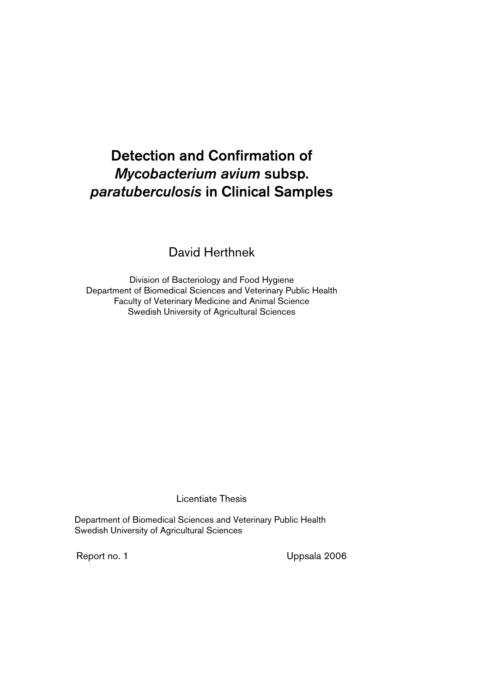# **Detection and Confirmation of**  *Mycobacterium avium* **subsp.**  *paratuberculosis* **in Clinical Samples**

David Herthnek

Division of Bacteriology and Food Hygiene Department of Biomedical Sciences and Veterinary Public Health Faculty of Veterinary Medicine and Animal Science Swedish University of Agricultural Sciences

Licentiate Thesis

Department of Biomedical Sciences and Veterinary Public Health Swedish University of Agricultural Sciences

Report no. 1 Separate Separate Separate Separate Separate Separate Uppsala 2006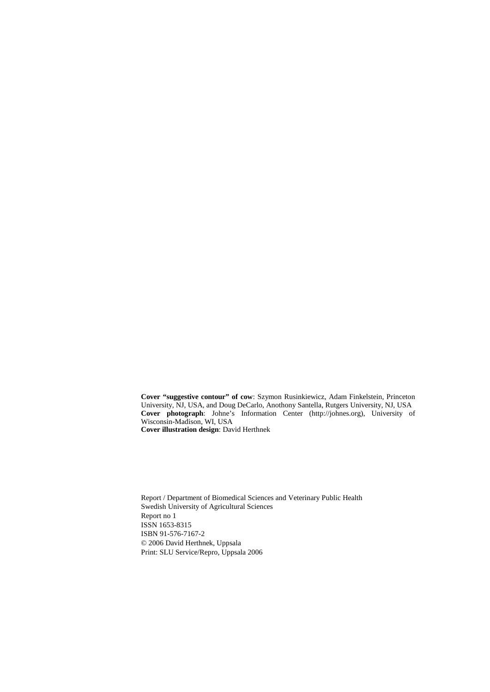**Cover "suggestive contour" of cow**: Szymon Rusinkiewicz, Adam Finkelstein, Princeton University, NJ, USA, and Doug DeCarlo, Anothony Santella, Rutgers University, NJ, USA **Cover photograph**: Johne's Information Center (http://johnes.org), University of Wisconsin-Madison, WI, USA **Cover illustration design**: David Herthnek

Report / Department of Biomedical Sciences and Veterinary Public Health Swedish University of Agricultural Sciences Report no 1 ISSN 1653-8315 ISBN 91-576-7167-2 © 2006 David Herthnek, Uppsala Print: SLU Service/Repro, Uppsala 2006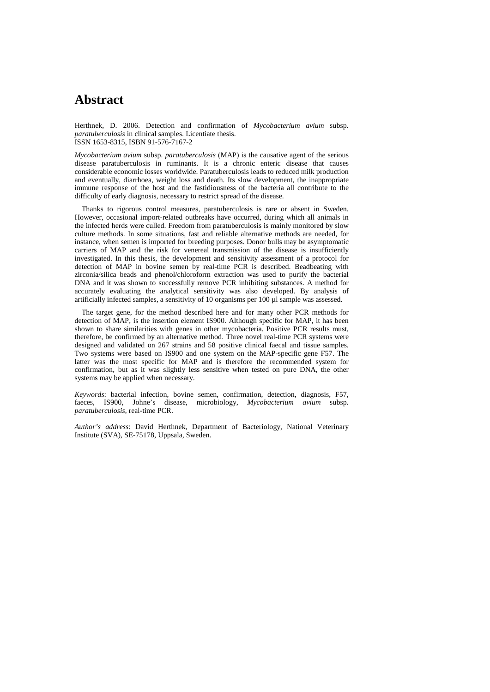# **Abstract**

Herthnek, D. 2006. Detection and confirmation of *Mycobacterium avium* subsp. *paratuberculosis* in clinical samples. Licentiate thesis. ISSN 1653-8315, ISBN 91-576-7167-2

*Mycobacterium avium* subsp. *paratuberculosis* (MAP) is the causative agent of the serious disease paratuberculosis in ruminants. It is a chronic enteric disease that causes considerable economic losses worldwide. Paratuberculosis leads to reduced milk production and eventually, diarrhoea, weight loss and death. Its slow development, the inappropriate immune response of the host and the fastidiousness of the bacteria all contribute to the difficulty of early diagnosis, necessary to restrict spread of the disease.

Thanks to rigorous control measures, paratuberculosis is rare or absent in Sweden. However, occasional import-related outbreaks have occurred, during which all animals in the infected herds were culled. Freedom from paratuberculosis is mainly monitored by slow culture methods. In some situations, fast and reliable alternative methods are needed, for instance, when semen is imported for breeding purposes. Donor bulls may be asymptomatic carriers of MAP and the risk for venereal transmission of the disease is insufficiently investigated. In this thesis, the development and sensitivity assessment of a protocol for detection of MAP in bovine semen by real-time PCR is described. Beadbeating with zirconia/silica beads and phenol/chloroform extraction was used to purify the bacterial DNA and it was shown to successfully remove PCR inhibiting substances. A method for accurately evaluating the analytical sensitivity was also developed. By analysis of artificially infected samples, a sensitivity of 10 organisms per 100  $\mu$ l sample was assessed.

The target gene, for the method described here and for many other PCR methods for detection of MAP, is the insertion element IS900. Although specific for MAP, it has been shown to share similarities with genes in other mycobacteria. Positive PCR results must, therefore, be confirmed by an alternative method. Three novel real-time PCR systems were designed and validated on 267 strains and 58 positive clinical faecal and tissue samples. Two systems were based on IS900 and one system on the MAP-specific gene F57. The latter was the most specific for MAP and is therefore the recommended system for confirmation, but as it was slightly less sensitive when tested on pure DNA, the other systems may be applied when necessary.

*Keywords*: bacterial infection, bovine semen, confirmation, detection, diagnosis, F57, faeces, IS900, Johne's disease, microbiology, *Mycobacterium avium* subsp. *paratuberculosis*, real-time PCR.

*Author's address*: David Herthnek, Department of Bacteriology, National Veterinary Institute (SVA), SE-75178, Uppsala, Sweden.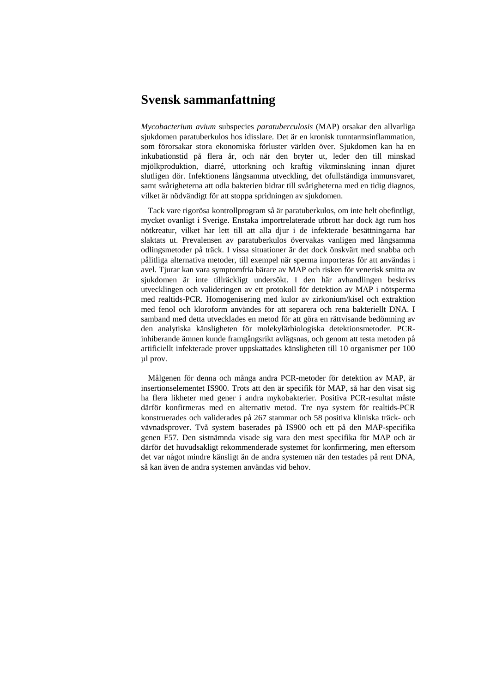# **Svensk sammanfattning**

*Mycobacterium avium* subspecies *paratuberculosis* (MAP) orsakar den allvarliga sjukdomen paratuberkulos hos idisslare. Det är en kronisk tunntarmsinflammation, som förorsakar stora ekonomiska förluster världen över. Sjukdomen kan ha en inkubationstid på flera år, och när den bryter ut, leder den till minskad mjölkproduktion, diarré, uttorkning och kraftig viktminskning innan djuret slutligen dör. Infektionens långsamma utveckling, det ofullständiga immunsvaret, samt svårigheterna att odla bakterien bidrar till svårigheterna med en tidig diagnos, vilket är nödvändigt för att stoppa spridningen av sjukdomen.

Tack vare rigorösa kontrollprogram så är paratuberkulos, om inte helt obefintligt, mycket ovanligt i Sverige. Enstaka importrelaterade utbrott har dock ägt rum hos nötkreatur, vilket har lett till att alla djur i de infekterade besättningarna har slaktats ut. Prevalensen av paratuberkulos övervakas vanligen med långsamma odlingsmetoder på träck. I vissa situationer är det dock önskvärt med snabba och pålitliga alternativa metoder, till exempel när sperma importeras för att användas i avel. Tjurar kan vara symptomfria bärare av MAP och risken för venerisk smitta av sjukdomen är inte tillräckligt undersökt. I den här avhandlingen beskrivs utvecklingen och valideringen av ett protokoll för detektion av MAP i nötsperma med realtids-PCR. Homogenisering med kulor av zirkonium/kisel och extraktion med fenol och kloroform användes för att separera och rena bakteriellt DNA. I samband med detta utvecklades en metod för att göra en rättvisande bedömning av den analytiska känsligheten för molekylärbiologiska detektionsmetoder. PCRinhiberande ämnen kunde framgångsrikt avlägsnas, och genom att testa metoden på artificiellt infekterade prover uppskattades känsligheten till 10 organismer per 100 µl prov.

Målgenen för denna och många andra PCR-metoder för detektion av MAP, är insertionselementet IS900. Trots att den är specifik för MAP, så har den visat sig ha flera likheter med gener i andra mykobakterier. Positiva PCR-resultat måste därför konfirmeras med en alternativ metod. Tre nya system för realtids-PCR konstruerades och validerades på 267 stammar och 58 positiva kliniska träck- och vävnadsprover. Två system baserades på IS900 och ett på den MAP-specifika genen F57. Den sistnämnda visade sig vara den mest specifika för MAP och är därför det huvudsakligt rekommenderade systemet för konfirmering, men eftersom det var något mindre känsligt än de andra systemen när den testades på rent DNA, så kan även de andra systemen användas vid behov.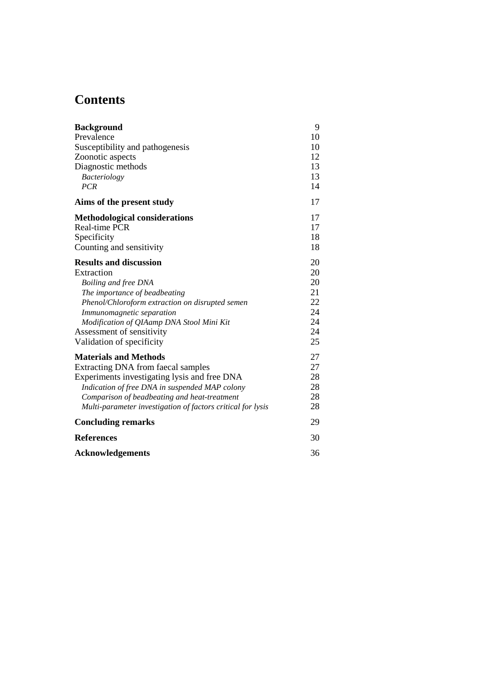# **Contents**

| <b>Background</b>                                           | 9  |
|-------------------------------------------------------------|----|
| Prevalence                                                  | 10 |
| Susceptibility and pathogenesis                             | 10 |
| Zoonotic aspects                                            | 12 |
| Diagnostic methods                                          | 13 |
| Bacteriology                                                | 13 |
| PCR                                                         | 14 |
| Aims of the present study                                   | 17 |
| <b>Methodological considerations</b>                        | 17 |
| Real-time PCR                                               | 17 |
| Specificity                                                 | 18 |
| Counting and sensitivity                                    | 18 |
| <b>Results and discussion</b>                               | 20 |
| Extraction                                                  | 20 |
| Boiling and free DNA                                        | 20 |
| The importance of beadbeating                               | 21 |
| Phenol/Chloroform extraction on disrupted semen             | 22 |
| Immunomagnetic separation                                   | 24 |
| Modification of QIAamp DNA Stool Mini Kit                   | 24 |
| Assessment of sensitivity                                   | 24 |
| Validation of specificity                                   | 25 |
| <b>Materials and Methods</b>                                | 27 |
| Extracting DNA from faecal samples                          | 27 |
| Experiments investigating lysis and free DNA                | 28 |
| Indication of free DNA in suspended MAP colony              | 28 |
| Comparison of beadbeating and heat-treatment                | 28 |
| Multi-parameter investigation of factors critical for lysis | 28 |
| <b>Concluding remarks</b>                                   | 29 |
| <b>References</b>                                           | 30 |
| <b>Acknowledgements</b>                                     | 36 |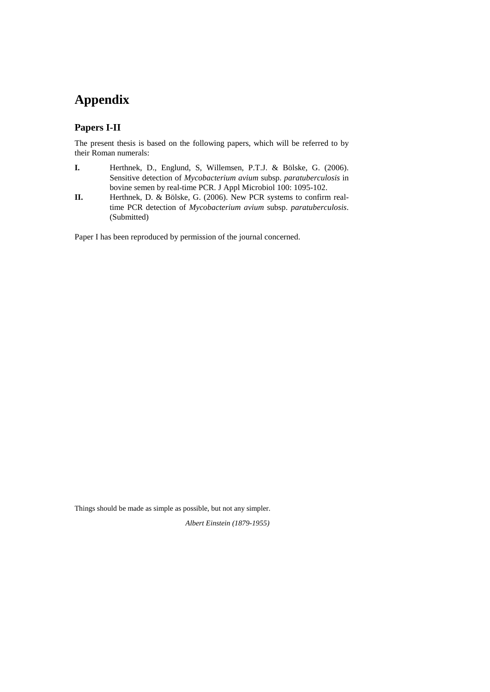# **Appendix**

# **Papers I-II**

The present thesis is based on the following papers, which will be referred to by their Roman numerals:

- **I.** Herthnek, D., Englund, S, Willemsen, P.T.J. & Bölske, G. (2006). Sensitive detection of *Mycobacterium avium* subsp. *paratuberculosis* in bovine semen by real-time PCR. J Appl Microbiol 100: 1095-102.
- **II.** Herthnek, D. & Bölske, G. (2006). New PCR systems to confirm realtime PCR detection of *Mycobacterium avium* subsp. *paratuberculosis*. (Submitted)

Paper I has been reproduced by permission of the journal concerned.

Things should be made as simple as possible, but not any simpler.

 *Albert Einstein (1879-1955)*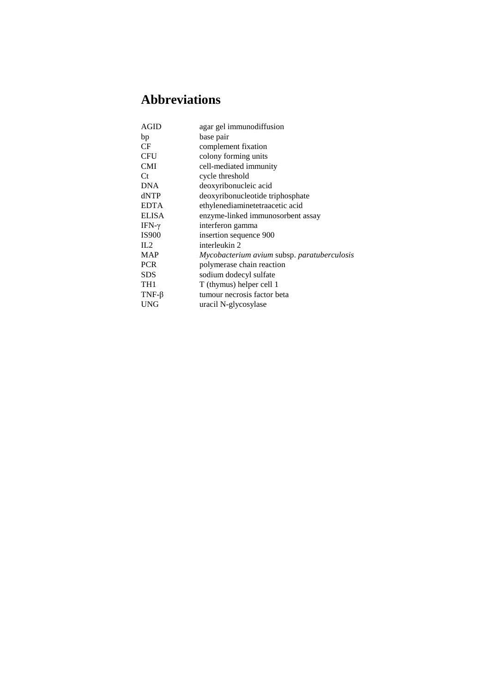# **Abbreviations**

| agar gel immunodiffusion                    |
|---------------------------------------------|
| base pair                                   |
| complement fixation                         |
| colony forming units                        |
| cell-mediated immunity                      |
| cycle threshold                             |
| deoxyribonucleic acid                       |
| deoxyribonucleotide triphosphate            |
| ethylenediaminetetraacetic acid             |
| enzyme-linked immunosorbent assay           |
| interferon gamma                            |
| insertion sequence 900                      |
| interleukin 2                               |
| Mycobacterium avium subsp. paratuberculosis |
| polymerase chain reaction                   |
| sodium dodecyl sulfate                      |
| T (thymus) helper cell 1                    |
| tumour necrosis factor beta                 |
| uracil N-glycosylase                        |
|                                             |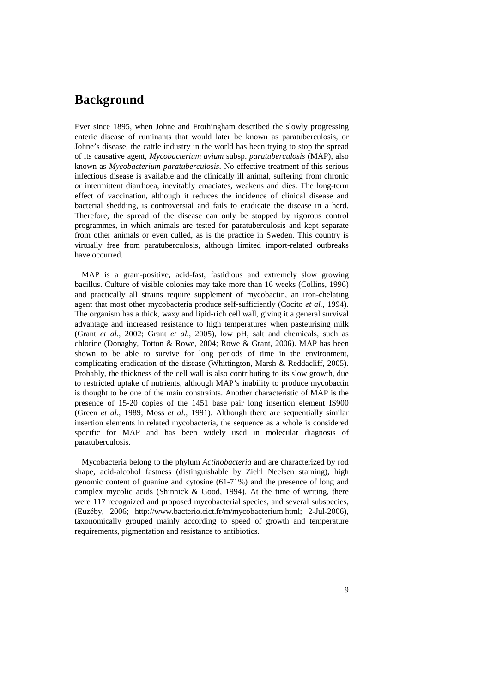# **Background**

Ever since 1895, when Johne and Frothingham described the slowly progressing enteric disease of ruminants that would later be known as paratuberculosis, or Johne's disease, the cattle industry in the world has been trying to stop the spread of its causative agent, *Mycobacterium avium* subsp. *paratuberculosis* (MAP), also known as *Mycobacterium paratuberculosis*. No effective treatment of this serious infectious disease is available and the clinically ill animal, suffering from chronic or intermittent diarrhoea, inevitably emaciates, weakens and dies. The long-term effect of vaccination, although it reduces the incidence of clinical disease and bacterial shedding, is controversial and fails to eradicate the disease in a herd. Therefore, the spread of the disease can only be stopped by rigorous control programmes, in which animals are tested for paratuberculosis and kept separate from other animals or even culled, as is the practice in Sweden. This country is virtually free from paratuberculosis, although limited import-related outbreaks have occurred.

MAP is a gram-positive, acid-fast, fastidious and extremely slow growing bacillus. Culture of visible colonies may take more than 16 weeks (Collins, 1996) and practically all strains require supplement of mycobactin, an iron-chelating agent that most other mycobacteria produce self-sufficiently (Cocito *et al.*, 1994). The organism has a thick, waxy and lipid-rich cell wall, giving it a general survival advantage and increased resistance to high temperatures when pasteurising milk (Grant *et al.*, 2002; Grant *et al.*, 2005), low pH, salt and chemicals, such as chlorine (Donaghy, Totton & Rowe, 2004; Rowe & Grant, 2006). MAP has been shown to be able to survive for long periods of time in the environment, complicating eradication of the disease (Whittington, Marsh & Reddacliff, 2005). Probably, the thickness of the cell wall is also contributing to its slow growth, due to restricted uptake of nutrients, although MAP's inability to produce mycobactin is thought to be one of the main constraints. Another characteristic of MAP is the presence of 15-20 copies of the 1451 base pair long insertion element IS900 (Green *et al.*, 1989; Moss *et al.*, 1991). Although there are sequentially similar insertion elements in related mycobacteria, the sequence as a whole is considered specific for MAP and has been widely used in molecular diagnosis of paratuberculosis.

Mycobacteria belong to the phylum *Actinobacteria* and are characterized by rod shape, acid-alcohol fastness (distinguishable by Ziehl Neelsen staining), high genomic content of guanine and cytosine (61-71%) and the presence of long and complex mycolic acids (Shinnick  $&$  Good, 1994). At the time of writing, there were 117 recognized and proposed mycobacterial species, and several subspecies, (Euzéby, 2006; http://www.bacterio.cict.fr/m/mycobacterium.html; 2-Jul-2006), taxonomically grouped mainly according to speed of growth and temperature requirements, pigmentation and resistance to antibiotics.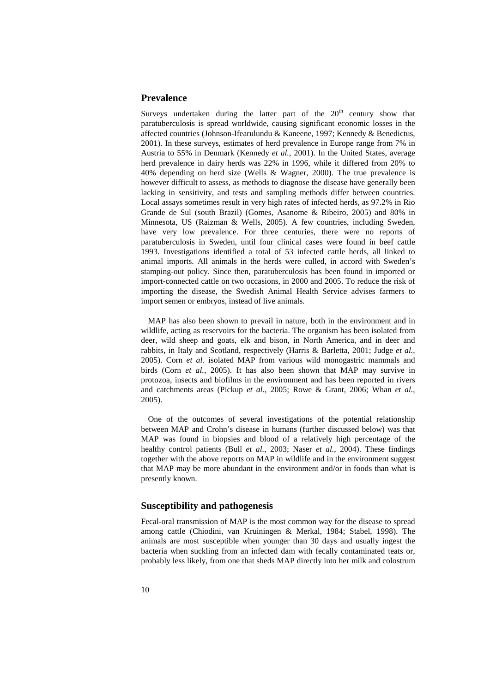## **Prevalence**

Surveys undertaken during the latter part of the  $20<sup>th</sup>$  century show that paratuberculosis is spread worldwide, causing significant economic losses in the affected countries (Johnson-Ifearulundu & Kaneene, 1997; Kennedy & Benedictus, 2001). In these surveys, estimates of herd prevalence in Europe range from 7% in Austria to 55% in Denmark (Kennedy *et al.*, 2001). In the United States, average herd prevalence in dairy herds was 22% in 1996, while it differed from 20% to 40% depending on herd size (Wells & Wagner, 2000). The true prevalence is however difficult to assess, as methods to diagnose the disease have generally been lacking in sensitivity, and tests and sampling methods differ between countries. Local assays sometimes result in very high rates of infected herds, as 97.2% in Rio Grande de Sul (south Brazil) (Gomes, Asanome & Ribeiro, 2005) and 80% in Minnesota, US (Raizman & Wells, 2005). A few countries, including Sweden, have very low prevalence. For three centuries, there were no reports of paratuberculosis in Sweden, until four clinical cases were found in beef cattle 1993. Investigations identified a total of 53 infected cattle herds, all linked to animal imports. All animals in the herds were culled, in accord with Sweden's stamping-out policy. Since then, paratuberculosis has been found in imported or import-connected cattle on two occasions, in 2000 and 2005. To reduce the risk of importing the disease, the Swedish Animal Health Service advises farmers to import semen or embryos, instead of live animals.

MAP has also been shown to prevail in nature, both in the environment and in wildlife, acting as reservoirs for the bacteria. The organism has been isolated from deer, wild sheep and goats, elk and bison, in North America, and in deer and rabbits, in Italy and Scotland, respectively (Harris & Barletta, 2001; Judge *et al.*, 2005). Corn *et al.* isolated MAP from various wild monogastric mammals and birds (Corn *et al.*, 2005). It has also been shown that MAP may survive in protozoa, insects and biofilms in the environment and has been reported in rivers and catchments areas (Pickup *et al.*, 2005; Rowe & Grant, 2006; Whan *et al.*, 2005).

One of the outcomes of several investigations of the potential relationship between MAP and Crohn's disease in humans (further discussed below) was that MAP was found in biopsies and blood of a relatively high percentage of the healthy control patients (Bull *et al.*, 2003; Naser *et al.*, 2004). These findings together with the above reports on MAP in wildlife and in the environment suggest that MAP may be more abundant in the environment and/or in foods than what is presently known.

### **Susceptibility and pathogenesis**

Fecal-oral transmission of MAP is the most common way for the disease to spread among cattle (Chiodini, van Kruiningen & Merkal, 1984; Stabel, 1998). The animals are most susceptible when younger than 30 days and usually ingest the bacteria when suckling from an infected dam with fecally contaminated teats or, probably less likely, from one that sheds MAP directly into her milk and colostrum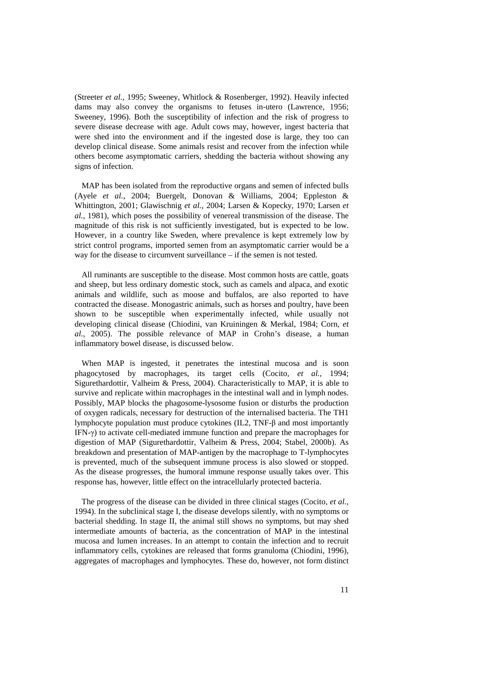(Streeter *et al.*, 1995; Sweeney, Whitlock & Rosenberger, 1992). Heavily infected dams may also convey the organisms to fetuses in-utero (Lawrence, 1956; Sweeney, 1996). Both the susceptibility of infection and the risk of progress to severe disease decrease with age. Adult cows may, however, ingest bacteria that were shed into the environment and if the ingested dose is large, they too can develop clinical disease. Some animals resist and recover from the infection while others become asymptomatic carriers, shedding the bacteria without showing any signs of infection.

MAP has been isolated from the reproductive organs and semen of infected bulls (Ayele *et al.*, 2004; Buergelt, Donovan & Williams, 2004; Eppleston & Whittington, 2001; Glawischnig *et al.*, 2004; Larsen & Kopecky, 1970; Larsen *et al.*, 1981), which poses the possibility of venereal transmission of the disease. The magnitude of this risk is not sufficiently investigated, but is expected to be low. However, in a country like Sweden, where prevalence is kept extremely low by strict control programs, imported semen from an asymptomatic carrier would be a way for the disease to circumvent surveillance – if the semen is not tested.

All ruminants are susceptible to the disease. Most common hosts are cattle, goats and sheep, but less ordinary domestic stock, such as camels and alpaca, and exotic animals and wildlife, such as moose and buffalos, are also reported to have contracted the disease. Monogastric animals, such as horses and poultry, have been shown to be susceptible when experimentally infected, while usually not developing clinical disease (Chiodini, van Kruiningen & Merkal, 1984; Corn*, et al.*, 2005). The possible relevance of MAP in Crohn's disease, a human inflammatory bowel disease, is discussed below.

When MAP is ingested, it penetrates the intestinal mucosa and is soon phagocytosed by macrophages, its target cells (Cocito*, et al.*, 1994; Sigurethardottir, Valheim & Press, 2004). Characteristically to MAP, it is able to survive and replicate within macrophages in the intestinal wall and in lymph nodes. Possibly, MAP blocks the phagosome-lysosome fusion or disturbs the production of oxygen radicals, necessary for destruction of the internalised bacteria. The TH1 lymphocyte population must produce cytokines (IL2, TNF-β and most importantly IFN-γ) to activate cell-mediated immune function and prepare the macrophages for digestion of MAP (Sigurethardottir, Valheim & Press, 2004; Stabel, 2000b). As breakdown and presentation of MAP-antigen by the macrophage to T-lymphocytes is prevented, much of the subsequent immune process is also slowed or stopped. As the disease progresses, the humoral immune response usually takes over. This response has, however, little effect on the intracellularly protected bacteria.

The progress of the disease can be divided in three clinical stages (Cocito*, et al.*, 1994). In the subclinical stage I, the disease develops silently, with no symptoms or bacterial shedding. In stage II, the animal still shows no symptoms, but may shed intermediate amounts of bacteria, as the concentration of MAP in the intestinal mucosa and lumen increases. In an attempt to contain the infection and to recruit inflammatory cells, cytokines are released that forms granuloma (Chiodini, 1996), aggregates of macrophages and lymphocytes. These do, however, not form distinct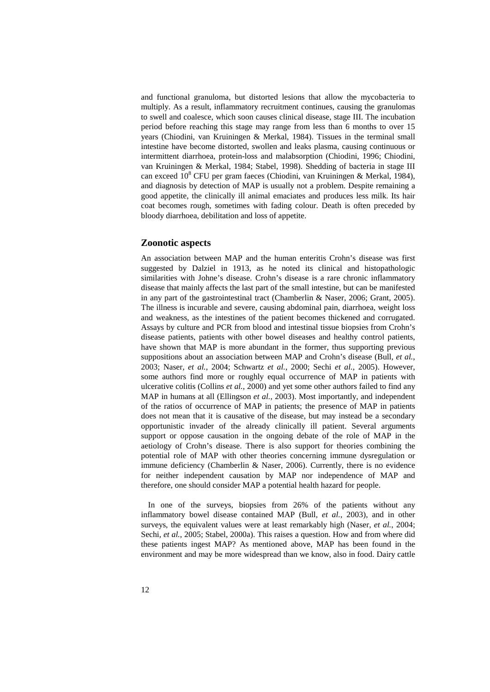and functional granuloma, but distorted lesions that allow the mycobacteria to multiply. As a result, inflammatory recruitment continues, causing the granulomas to swell and coalesce, which soon causes clinical disease, stage III. The incubation period before reaching this stage may range from less than 6 months to over 15 years (Chiodini, van Kruiningen & Merkal, 1984). Tissues in the terminal small intestine have become distorted, swollen and leaks plasma, causing continuous or intermittent diarrhoea, protein-loss and malabsorption (Chiodini, 1996; Chiodini, van Kruiningen & Merkal, 1984; Stabel, 1998). Shedding of bacteria in stage III can exceed 10<sup>8</sup> CFU per gram faeces (Chiodini, van Kruiningen & Merkal, 1984), and diagnosis by detection of MAP is usually not a problem. Despite remaining a good appetite, the clinically ill animal emaciates and produces less milk. Its hair coat becomes rough, sometimes with fading colour. Death is often preceded by bloody diarrhoea, debilitation and loss of appetite.

### **Zoonotic aspects**

An association between MAP and the human enteritis Crohn's disease was first suggested by Dalziel in 1913, as he noted its clinical and histopathologic similarities with Johne's disease. Crohn's disease is a rare chronic inflammatory disease that mainly affects the last part of the small intestine, but can be manifested in any part of the gastrointestinal tract (Chamberlin & Naser, 2006; Grant, 2005). The illness is incurable and severe, causing abdominal pain, diarrhoea, weight loss and weakness, as the intestines of the patient becomes thickened and corrugated. Assays by culture and PCR from blood and intestinal tissue biopsies from Crohn's disease patients, patients with other bowel diseases and healthy control patients, have shown that MAP is more abundant in the former, thus supporting previous suppositions about an association between MAP and Crohn's disease (Bull*, et al.*, 2003; Naser*, et al.*, 2004; Schwartz *et al.*, 2000; Sechi *et al.*, 2005). However, some authors find more or roughly equal occurrence of MAP in patients with ulcerative colitis (Collins *et al.*, 2000) and yet some other authors failed to find any MAP in humans at all (Ellingson *et al.*, 2003). Most importantly, and independent of the ratios of occurrence of MAP in patients; the presence of MAP in patients does not mean that it is causative of the disease, but may instead be a secondary opportunistic invader of the already clinically ill patient. Several arguments support or oppose causation in the ongoing debate of the role of MAP in the aetiology of Crohn's disease. There is also support for theories combining the potential role of MAP with other theories concerning immune dysregulation or immune deficiency (Chamberlin & Naser, 2006). Currently, there is no evidence for neither independent causation by MAP nor independence of MAP and therefore, one should consider MAP a potential health hazard for people.

In one of the surveys, biopsies from 26% of the patients without any inflammatory bowel disease contained MAP (Bull*, et al.*, 2003), and in other surveys, the equivalent values were at least remarkably high (Naser*, et al.*, 2004; Sechi*, et al.*, 2005; Stabel, 2000a). This raises a question. How and from where did these patients ingest MAP? As mentioned above, MAP has been found in the environment and may be more widespread than we know, also in food. Dairy cattle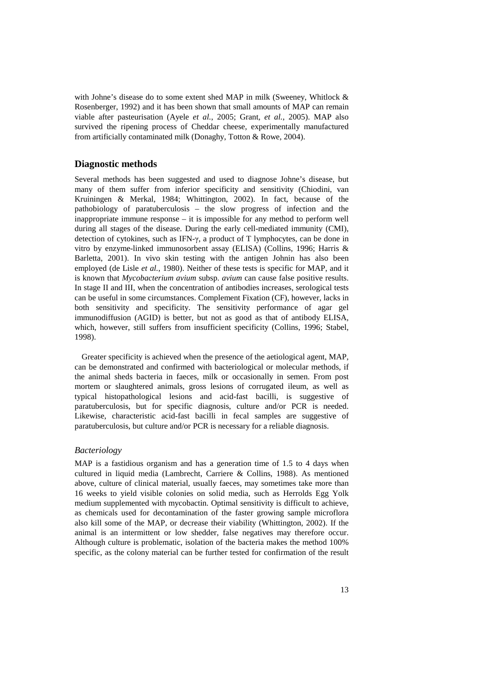with Johne's disease do to some extent shed MAP in milk (Sweeney, Whitlock  $\&$ Rosenberger, 1992) and it has been shown that small amounts of MAP can remain viable after pasteurisation (Ayele *et al.*, 2005; Grant*, et al.*, 2005). MAP also survived the ripening process of Cheddar cheese, experimentally manufactured from artificially contaminated milk (Donaghy, Totton & Rowe, 2004).

### **Diagnostic methods**

Several methods has been suggested and used to diagnose Johne's disease, but many of them suffer from inferior specificity and sensitivity (Chiodini, van Kruiningen & Merkal, 1984; Whittington, 2002). In fact, because of the pathobiology of paratuberculosis – the slow progress of infection and the inappropriate immune response – it is impossible for any method to perform well during all stages of the disease. During the early cell-mediated immunity (CMI), detection of cytokines, such as IFN-γ, a product of T lymphocytes, can be done in vitro by enzyme-linked immunosorbent assay (ELISA) (Collins, 1996; Harris & Barletta, 2001). In vivo skin testing with the antigen Johnin has also been employed (de Lisle *et al.*, 1980). Neither of these tests is specific for MAP, and it is known that *Mycobacterium avium* subsp. *avium* can cause false positive results. In stage II and III, when the concentration of antibodies increases, serological tests can be useful in some circumstances. Complement Fixation (CF), however, lacks in both sensitivity and specificity. The sensitivity performance of agar gel immunodiffusion (AGID) is better, but not as good as that of antibody ELISA, which, however, still suffers from insufficient specificity (Collins, 1996; Stabel, 1998).

Greater specificity is achieved when the presence of the aetiological agent, MAP, can be demonstrated and confirmed with bacteriological or molecular methods, if the animal sheds bacteria in faeces, milk or occasionally in semen. From post mortem or slaughtered animals, gross lesions of corrugated ileum, as well as typical histopathological lesions and acid-fast bacilli, is suggestive of paratuberculosis, but for specific diagnosis, culture and/or PCR is needed. Likewise, characteristic acid-fast bacilli in fecal samples are suggestive of paratuberculosis, but culture and/or PCR is necessary for a reliable diagnosis.

### *Bacteriology*

MAP is a fastidious organism and has a generation time of 1.5 to 4 days when cultured in liquid media (Lambrecht, Carriere & Collins, 1988). As mentioned above, culture of clinical material, usually faeces, may sometimes take more than 16 weeks to yield visible colonies on solid media, such as Herrolds Egg Yolk medium supplemented with mycobactin. Optimal sensitivity is difficult to achieve, as chemicals used for decontamination of the faster growing sample microflora also kill some of the MAP, or decrease their viability (Whittington, 2002). If the animal is an intermittent or low shedder, false negatives may therefore occur. Although culture is problematic, isolation of the bacteria makes the method 100% specific, as the colony material can be further tested for confirmation of the result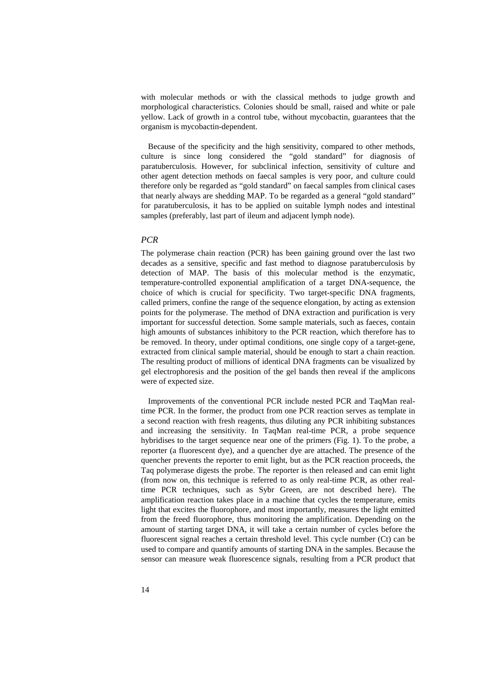with molecular methods or with the classical methods to judge growth and morphological characteristics. Colonies should be small, raised and white or pale yellow. Lack of growth in a control tube, without mycobactin, guarantees that the organism is mycobactin-dependent.

Because of the specificity and the high sensitivity, compared to other methods, culture is since long considered the "gold standard" for diagnosis of paratuberculosis. However, for subclinical infection, sensitivity of culture and other agent detection methods on faecal samples is very poor, and culture could therefore only be regarded as "gold standard" on faecal samples from clinical cases that nearly always are shedding MAP. To be regarded as a general "gold standard" for paratuberculosis, it has to be applied on suitable lymph nodes and intestinal samples (preferably, last part of ileum and adjacent lymph node).

### *PCR*

The polymerase chain reaction (PCR) has been gaining ground over the last two decades as a sensitive, specific and fast method to diagnose paratuberculosis by detection of MAP. The basis of this molecular method is the enzymatic, temperature-controlled exponential amplification of a target DNA-sequence, the choice of which is crucial for specificity. Two target-specific DNA fragments, called primers, confine the range of the sequence elongation, by acting as extension points for the polymerase. The method of DNA extraction and purification is very important for successful detection. Some sample materials, such as faeces, contain high amounts of substances inhibitory to the PCR reaction, which therefore has to be removed. In theory, under optimal conditions, one single copy of a target-gene, extracted from clinical sample material, should be enough to start a chain reaction. The resulting product of millions of identical DNA fragments can be visualized by gel electrophoresis and the position of the gel bands then reveal if the amplicons were of expected size.

Improvements of the conventional PCR include nested PCR and TaqMan realtime PCR. In the former, the product from one PCR reaction serves as template in a second reaction with fresh reagents, thus diluting any PCR inhibiting substances and increasing the sensitivity. In TaqMan real-time PCR, a probe sequence hybridises to the target sequence near one of the primers (Fig. 1). To the probe, a reporter (a fluorescent dye), and a quencher dye are attached. The presence of the quencher prevents the reporter to emit light, but as the PCR reaction proceeds, the Taq polymerase digests the probe. The reporter is then released and can emit light (from now on, this technique is referred to as only real-time PCR, as other realtime PCR techniques, such as Sybr Green, are not described here). The amplification reaction takes place in a machine that cycles the temperature, emits light that excites the fluorophore, and most importantly, measures the light emitted from the freed fluorophore, thus monitoring the amplification. Depending on the amount of starting target DNA, it will take a certain number of cycles before the fluorescent signal reaches a certain threshold level. This cycle number (Ct) can be used to compare and quantify amounts of starting DNA in the samples. Because the sensor can measure weak fluorescence signals, resulting from a PCR product that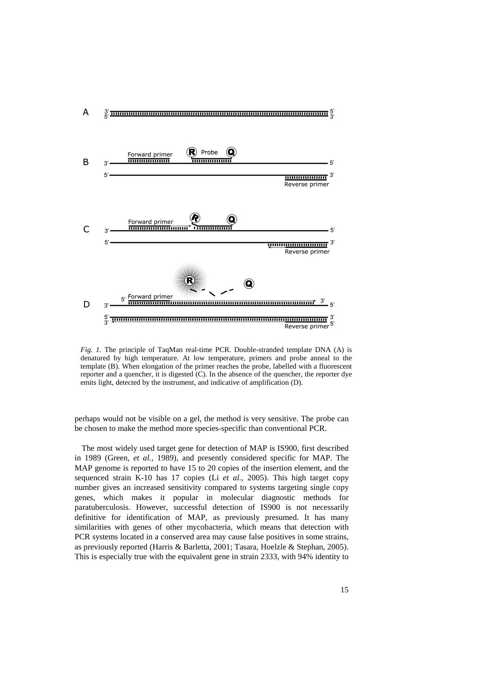#### A  $\frac{3}{2}$ , <del>пиниципиниципиниципиниципиниципиниципиниципиницип</del>



*Fig. 1.* The principle of TaqMan real-time PCR. Double-stranded template DNA (A) is denatured by high temperature. At low temperature, primers and probe anneal to the template (B). When elongation of the primer reaches the probe, labelled with a fluorescent reporter and a quencher, it is digested (C). In the absence of the quencher, the reporter dye emits light, detected by the instrument, and indicative of amplification (D).

perhaps would not be visible on a gel, the method is very sensitive. The probe can be chosen to make the method more species-specific than conventional PCR.

The most widely used target gene for detection of MAP is IS900, first described in 1989 (Green*, et al.*, 1989), and presently considered specific for MAP. The MAP genome is reported to have 15 to 20 copies of the insertion element, and the sequenced strain K-10 has 17 copies (Li *et al.*, 2005). This high target copy number gives an increased sensitivity compared to systems targeting single copy genes, which makes it popular in molecular diagnostic methods for paratuberculosis. However, successful detection of IS900 is not necessarily definitive for identification of MAP, as previously presumed. It has many similarities with genes of other mycobacteria, which means that detection with PCR systems located in a conserved area may cause false positives in some strains, as previously reported (Harris & Barletta, 2001; Tasara, Hoelzle & Stephan, 2005). This is especially true with the equivalent gene in strain 2333, with 94% identity to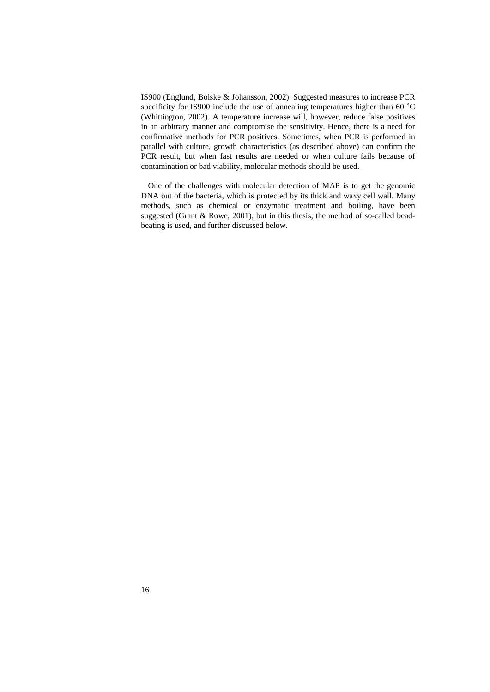IS900 (Englund, Bölske & Johansson, 2002). Suggested measures to increase PCR specificity for IS900 include the use of annealing temperatures higher than 60 ˚C (Whittington, 2002). A temperature increase will, however, reduce false positives in an arbitrary manner and compromise the sensitivity. Hence, there is a need for confirmative methods for PCR positives. Sometimes, when PCR is performed in parallel with culture, growth characteristics (as described above) can confirm the PCR result, but when fast results are needed or when culture fails because of contamination or bad viability, molecular methods should be used.

One of the challenges with molecular detection of MAP is to get the genomic DNA out of the bacteria, which is protected by its thick and waxy cell wall. Many methods, such as chemical or enzymatic treatment and boiling, have been suggested (Grant & Rowe, 2001), but in this thesis, the method of so-called beadbeating is used, and further discussed below.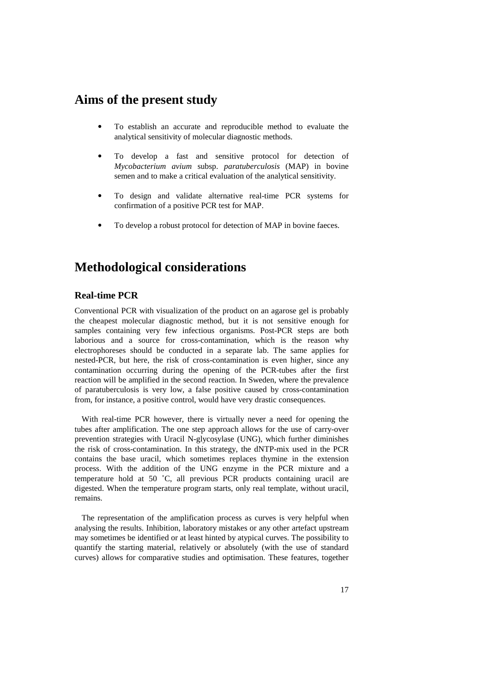# **Aims of the present study**

- To establish an accurate and reproducible method to evaluate the analytical sensitivity of molecular diagnostic methods.
- To develop a fast and sensitive protocol for detection of *Mycobacterium avium* subsp. *paratuberculosis* (MAP) in bovine semen and to make a critical evaluation of the analytical sensitivity.
- To design and validate alternative real-time PCR systems for confirmation of a positive PCR test for MAP.
- To develop a robust protocol for detection of MAP in bovine faeces.

# **Methodological considerations**

# **Real-time PCR**

Conventional PCR with visualization of the product on an agarose gel is probably the cheapest molecular diagnostic method, but it is not sensitive enough for samples containing very few infectious organisms. Post-PCR steps are both laborious and a source for cross-contamination, which is the reason why electrophoreses should be conducted in a separate lab. The same applies for nested-PCR, but here, the risk of cross-contamination is even higher, since any contamination occurring during the opening of the PCR-tubes after the first reaction will be amplified in the second reaction. In Sweden, where the prevalence of paratuberculosis is very low, a false positive caused by cross-contamination from, for instance, a positive control, would have very drastic consequences.

With real-time PCR however, there is virtually never a need for opening the tubes after amplification. The one step approach allows for the use of carry-over prevention strategies with Uracil N-glycosylase (UNG), which further diminishes the risk of cross-contamination. In this strategy, the dNTP-mix used in the PCR contains the base uracil, which sometimes replaces thymine in the extension process. With the addition of the UNG enzyme in the PCR mixture and a temperature hold at 50 ˚C, all previous PCR products containing uracil are digested. When the temperature program starts, only real template, without uracil, remains.

The representation of the amplification process as curves is very helpful when analysing the results. Inhibition, laboratory mistakes or any other artefact upstream may sometimes be identified or at least hinted by atypical curves. The possibility to quantify the starting material, relatively or absolutely (with the use of standard curves) allows for comparative studies and optimisation. These features, together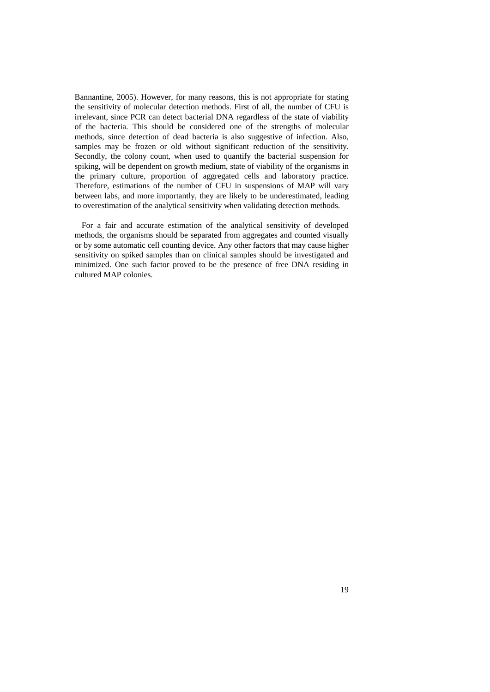Bannantine, 2005). However, for many reasons, this is not appropriate for stating the sensitivity of molecular detection methods. First of all, the number of CFU is irrelevant, since PCR can detect bacterial DNA regardless of the state of viability of the bacteria. This should be considered one of the strengths of molecular methods, since detection of dead bacteria is also suggestive of infection. Also, samples may be frozen or old without significant reduction of the sensitivity. Secondly, the colony count, when used to quantify the bacterial suspension for spiking, will be dependent on growth medium, state of viability of the organisms in the primary culture, proportion of aggregated cells and laboratory practice. Therefore, estimations of the number of CFU in suspensions of MAP will vary between labs, and more importantly, they are likely to be underestimated, leading to overestimation of the analytical sensitivity when validating detection methods.

For a fair and accurate estimation of the analytical sensitivity of developed methods, the organisms should be separated from aggregates and counted visually or by some automatic cell counting device. Any other factors that may cause higher sensitivity on spiked samples than on clinical samples should be investigated and minimized. One such factor proved to be the presence of free DNA residing in cultured MAP colonies.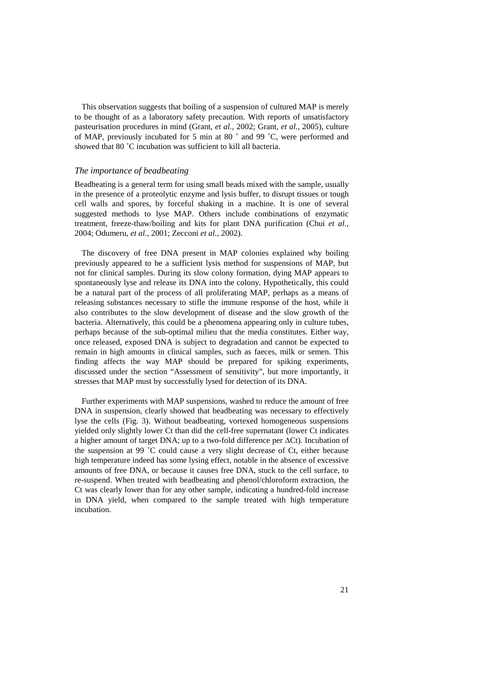This observation suggests that boiling of a suspension of cultured MAP is merely to be thought of as a laboratory safety precaution. With reports of unsatisfactory pasteurisation procedures in mind (Grant*, et al.*, 2002; Grant*, et al.*, 2005), culture of MAP, previously incubated for 5 min at 80 ˚ and 99 ˚C, were performed and showed that 80 ˚C incubation was sufficient to kill all bacteria.

# *The importance of beadbeating*

Beadbeating is a general term for using small beads mixed with the sample, usually in the presence of a proteolytic enzyme and lysis buffer, to disrupt tissues or tough cell walls and spores, by forceful shaking in a machine. It is one of several suggested methods to lyse MAP. Others include combinations of enzymatic treatment, freeze-thaw/boiling and kits for plant DNA purification (Chui *et al.*, 2004; Odumeru*, et al.*, 2001; Zecconi *et al.*, 2002).

The discovery of free DNA present in MAP colonies explained why boiling previously appeared to be a sufficient lysis method for suspensions of MAP, but not for clinical samples. During its slow colony formation, dying MAP appears to spontaneously lyse and release its DNA into the colony. Hypothetically, this could be a natural part of the process of all proliferating MAP, perhaps as a means of releasing substances necessary to stifle the immune response of the host, while it also contributes to the slow development of disease and the slow growth of the bacteria. Alternatively, this could be a phenomena appearing only in culture tubes, perhaps because of the sub-optimal milieu that the media constitutes. Either way, once released, exposed DNA is subject to degradation and cannot be expected to remain in high amounts in clinical samples, such as faeces, milk or semen. This finding affects the way MAP should be prepared for spiking experiments, discussed under the section "Assessment of sensitivity", but more importantly, it stresses that MAP must by successfully lysed for detection of its DNA.

Further experiments with MAP suspensions, washed to reduce the amount of free DNA in suspension, clearly showed that beadbeating was necessary to effectively lyse the cells (Fig. 3). Without beadbeating, vortexed homogeneous suspensions yielded only slightly lower Ct than did the cell-free supernatant (lower Ct indicates a higher amount of target DNA; up to a two-fold difference per ∆Ct). Incubation of the suspension at 99 ˚C could cause a very slight decrease of Ct, either because high temperature indeed has some lysing effect, notable in the absence of excessive amounts of free DNA, or because it causes free DNA, stuck to the cell surface, to re-suspend. When treated with beadbeating and phenol/chloroform extraction, the Ct was clearly lower than for any other sample, indicating a hundred-fold increase in DNA yield, when compared to the sample treated with high temperature incubation.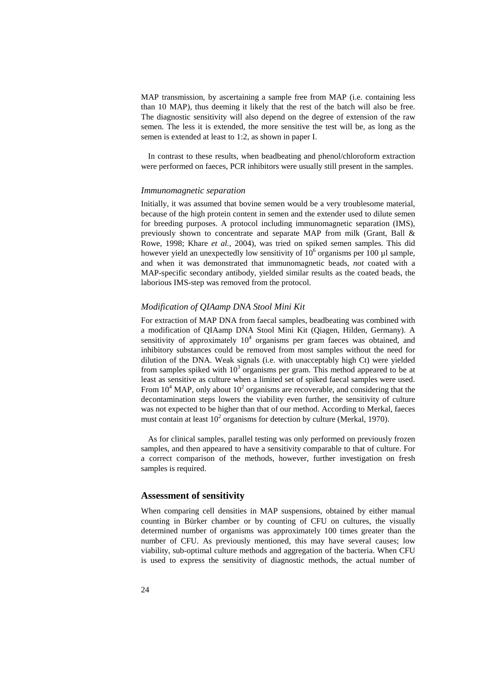MAP transmission, by ascertaining a sample free from MAP (i.e. containing less than 10 MAP), thus deeming it likely that the rest of the batch will also be free. The diagnostic sensitivity will also depend on the degree of extension of the raw semen. The less it is extended, the more sensitive the test will be, as long as the semen is extended at least to 1:2, as shown in paper I.

In contrast to these results, when beadbeating and phenol/chloroform extraction were performed on faeces, PCR inhibitors were usually still present in the samples.

#### *Immunomagnetic separation*

Initially, it was assumed that bovine semen would be a very troublesome material, because of the high protein content in semen and the extender used to dilute semen for breeding purposes. A protocol including immunomagnetic separation (IMS), previously shown to concentrate and separate MAP from milk (Grant, Ball & Rowe, 1998; Khare *et al.*, 2004), was tried on spiked semen samples. This did however yield an unexpectedly low sensitivity of  $10^6$  organisms per 100  $\mu$ l sample, and when it was demonstrated that immunomagnetic beads, *not* coated with a MAP-specific secondary antibody, yielded similar results as the coated beads, the laborious IMS-step was removed from the protocol.

### *Modification of QIAamp DNA Stool Mini Kit*

For extraction of MAP DNA from faecal samples, beadbeating was combined with a modification of QIAamp DNA Stool Mini Kit (Qiagen, Hilden, Germany). A sensitivity of approximately  $10<sup>4</sup>$  organisms per gram faeces was obtained, and inhibitory substances could be removed from most samples without the need for dilution of the DNA. Weak signals (i.e. with unacceptably high Ct) were yielded from samples spiked with  $10<sup>3</sup>$  organisms per gram. This method appeared to be at least as sensitive as culture when a limited set of spiked faecal samples were used. From  $10^4$  MAP, only about  $10^2$  organisms are recoverable, and considering that the decontamination steps lowers the viability even further, the sensitivity of culture was not expected to be higher than that of our method. According to Merkal, faeces must contain at least  $10^2$  organisms for detection by culture (Merkal, 1970).

As for clinical samples, parallel testing was only performed on previously frozen samples, and then appeared to have a sensitivity comparable to that of culture. For a correct comparison of the methods, however, further investigation on fresh samples is required.

### **Assessment of sensitivity**

When comparing cell densities in MAP suspensions, obtained by either manual counting in Bürker chamber or by counting of CFU on cultures, the visually determined number of organisms was approximately 100 times greater than the number of CFU. As previously mentioned, this may have several causes; low viability, sub-optimal culture methods and aggregation of the bacteria. When CFU is used to express the sensitivity of diagnostic methods, the actual number of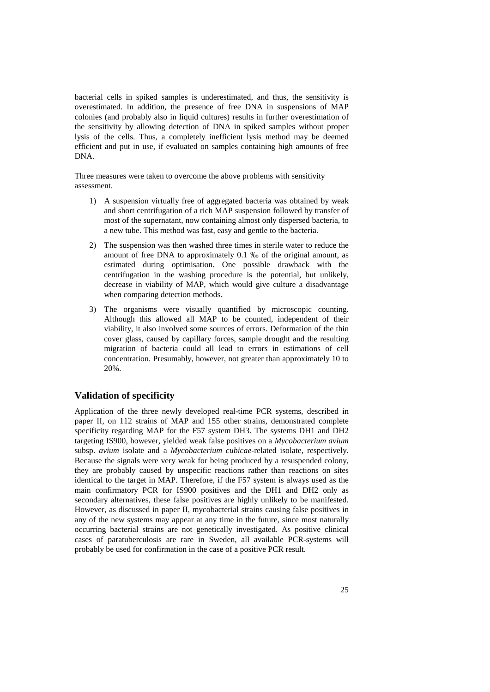bacterial cells in spiked samples is underestimated, and thus, the sensitivity is overestimated. In addition, the presence of free DNA in suspensions of MAP colonies (and probably also in liquid cultures) results in further overestimation of the sensitivity by allowing detection of DNA in spiked samples without proper lysis of the cells. Thus, a completely inefficient lysis method may be deemed efficient and put in use, if evaluated on samples containing high amounts of free DNA.

Three measures were taken to overcome the above problems with sensitivity assessment.

- 1) A suspension virtually free of aggregated bacteria was obtained by weak and short centrifugation of a rich MAP suspension followed by transfer of most of the supernatant, now containing almost only dispersed bacteria, to a new tube. This method was fast, easy and gentle to the bacteria.
- 2) The suspension was then washed three times in sterile water to reduce the amount of free DNA to approximately 0.1 ‰ of the original amount, as estimated during optimisation. One possible drawback with the centrifugation in the washing procedure is the potential, but unlikely, decrease in viability of MAP, which would give culture a disadvantage when comparing detection methods.
- 3) The organisms were visually quantified by microscopic counting. Although this allowed all MAP to be counted, independent of their viability, it also involved some sources of errors. Deformation of the thin cover glass, caused by capillary forces, sample drought and the resulting migration of bacteria could all lead to errors in estimations of cell concentration. Presumably, however, not greater than approximately 10 to 20%.

# **Validation of specificity**

Application of the three newly developed real-time PCR systems, described in paper II, on 112 strains of MAP and 155 other strains, demonstrated complete specificity regarding MAP for the F57 system DH3. The systems DH1 and DH2 targeting IS900, however, yielded weak false positives on a *Mycobacterium avium* subsp. *avium* isolate and a *Mycobacterium cubicae*-related isolate, respectively. Because the signals were very weak for being produced by a resuspended colony, they are probably caused by unspecific reactions rather than reactions on sites identical to the target in MAP. Therefore, if the F57 system is always used as the main confirmatory PCR for IS900 positives and the DH1 and DH2 only as secondary alternatives, these false positives are highly unlikely to be manifested. However, as discussed in paper II, mycobacterial strains causing false positives in any of the new systems may appear at any time in the future, since most naturally occurring bacterial strains are not genetically investigated. As positive clinical cases of paratuberculosis are rare in Sweden, all available PCR-systems will probably be used for confirmation in the case of a positive PCR result.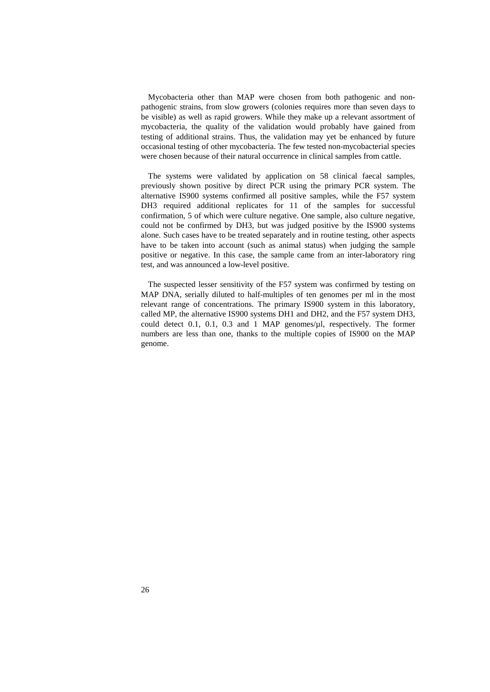Mycobacteria other than MAP were chosen from both pathogenic and nonpathogenic strains, from slow growers (colonies requires more than seven days to be visible) as well as rapid growers. While they make up a relevant assortment of mycobacteria, the quality of the validation would probably have gained from testing of additional strains. Thus, the validation may yet be enhanced by future occasional testing of other mycobacteria. The few tested non-mycobacterial species were chosen because of their natural occurrence in clinical samples from cattle.

 The systems were validated by application on 58 clinical faecal samples, previously shown positive by direct PCR using the primary PCR system. The alternative IS900 systems confirmed all positive samples, while the F57 system DH3 required additional replicates for 11 of the samples for successful confirmation, 5 of which were culture negative. One sample, also culture negative, could not be confirmed by DH3, but was judged positive by the IS900 systems alone. Such cases have to be treated separately and in routine testing, other aspects have to be taken into account (such as animal status) when judging the sample positive or negative. In this case, the sample came from an inter-laboratory ring test, and was announced a low-level positive.

The suspected lesser sensitivity of the F57 system was confirmed by testing on MAP DNA, serially diluted to half-multiples of ten genomes per ml in the most relevant range of concentrations. The primary IS900 system in this laboratory, called MP, the alternative IS900 systems DH1 and DH2, and the F57 system DH3, could detect 0.1, 0.1, 0.3 and 1 MAP genomes/µl, respectively. The former numbers are less than one, thanks to the multiple copies of IS900 on the MAP genome.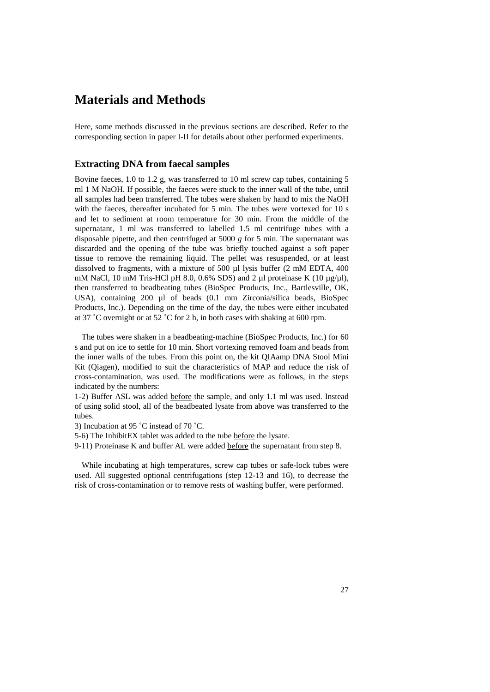# **Materials and Methods**

Here, some methods discussed in the previous sections are described. Refer to the corresponding section in paper I-II for details about other performed experiments.

### **Extracting DNA from faecal samples**

Bovine faeces, 1.0 to 1.2 g, was transferred to 10 ml screw cap tubes, containing 5 ml 1 M NaOH. If possible, the faeces were stuck to the inner wall of the tube, until all samples had been transferred. The tubes were shaken by hand to mix the NaOH with the faeces, thereafter incubated for 5 min. The tubes were vortexed for 10 s and let to sediment at room temperature for 30 min. From the middle of the supernatant, 1 ml was transferred to labelled 1.5 ml centrifuge tubes with a disposable pipette, and then centrifuged at 5000  $g$  for 5 min. The supernatant was discarded and the opening of the tube was briefly touched against a soft paper tissue to remove the remaining liquid. The pellet was resuspended, or at least dissolved to fragments, with a mixture of 500 µl lysis buffer (2 mM EDTA, 400 mM NaCl, 10 mM Tris-HCl pH 8.0, 0.6% SDS) and 2 µl proteinase K (10  $\mu$ g/ $\mu$ l), then transferred to beadbeating tubes (BioSpec Products, Inc., Bartlesville, OK, USA), containing 200 µl of beads (0.1 mm Zirconia/silica beads, BioSpec Products, Inc.). Depending on the time of the day, the tubes were either incubated at 37 ˚C overnight or at 52 ˚C for 2 h, in both cases with shaking at 600 rpm.

The tubes were shaken in a beadbeating-machine (BioSpec Products, Inc.) for 60 s and put on ice to settle for 10 min. Short vortexing removed foam and beads from the inner walls of the tubes. From this point on, the kit QIAamp DNA Stool Mini Kit (Qiagen), modified to suit the characteristics of MAP and reduce the risk of cross-contamination, was used. The modifications were as follows, in the steps indicated by the numbers:

1-2) Buffer ASL was added before the sample, and only 1.1 ml was used. Instead of using solid stool, all of the beadbeated lysate from above was transferred to the tubes.

3) Incubation at 95 ˚C instead of 70 ˚C.

5-6) The InhibitEX tablet was added to the tube before the lysate.

9-11) Proteinase K and buffer AL were added before the supernatant from step 8.

While incubating at high temperatures, screw cap tubes or safe-lock tubes were used. All suggested optional centrifugations (step 12-13 and 16), to decrease the risk of cross-contamination or to remove rests of washing buffer, were performed.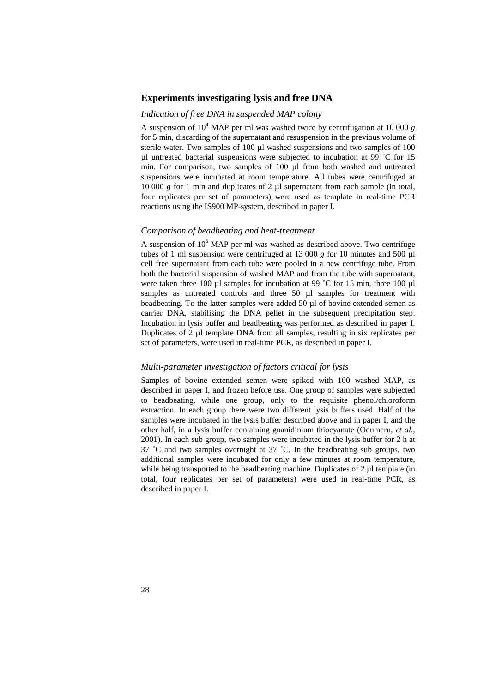# **Experiments investigating lysis and free DNA**

### *Indication of free DNA in suspended MAP colony*

A suspension of  $10^4$  MAP per ml was washed twice by centrifugation at  $10\ 000\ g$ for 5 min, discarding of the supernatant and resuspension in the previous volume of sterile water. Two samples of 100 µl washed suspensions and two samples of 100 µl untreated bacterial suspensions were subjected to incubation at 99 ˚C for 15 min. For comparison, two samples of 100 µl from both washed and untreated suspensions were incubated at room temperature. All tubes were centrifuged at 10 000 *g* for 1 min and duplicates of 2 ul supernatant from each sample (in total, four replicates per set of parameters) were used as template in real-time PCR reactions using the IS900 MP-system, described in paper I.

### *Comparison of beadbeating and heat-treatment*

A suspension of  $10<sup>5</sup>$  MAP per ml was washed as described above. Two centrifuge tubes of 1 ml suspension were centrifuged at 13 000 *g* for 10 minutes and 500 µl cell free supernatant from each tube were pooled in a new centrifuge tube. From both the bacterial suspension of washed MAP and from the tube with supernatant, were taken three 100 µl samples for incubation at 99 °C for 15 min, three 100 µl samples as untreated controls and three 50 µl samples for treatment with beadbeating. To the latter samples were added 50 µl of bovine extended semen as carrier DNA, stabilising the DNA pellet in the subsequent precipitation step. Incubation in lysis buffer and beadbeating was performed as described in paper I. Duplicates of 2 µl template DNA from all samples, resulting in six replicates per set of parameters, were used in real-time PCR, as described in paper I.

### *Multi-parameter investigation of factors critical for lysis*

Samples of bovine extended semen were spiked with 100 washed MAP, as described in paper I, and frozen before use. One group of samples were subjected to beadbeating, while one group, only to the requisite phenol/chloroform extraction. In each group there were two different lysis buffers used. Half of the samples were incubated in the lysis buffer described above and in paper I, and the other half, in a lysis buffer containing guanidinium thiocyanate (Odumeru*, et al.*, 2001). In each sub group, two samples were incubated in the lysis buffer for 2 h at 37  $\degree$ C and two samples overnight at 37  $\degree$ C. In the beadbeating sub groups, two additional samples were incubated for only a few minutes at room temperature, while being transported to the beadbeating machine. Duplicates of  $2 \mu$ l template (in total, four replicates per set of parameters) were used in real-time PCR, as described in paper I.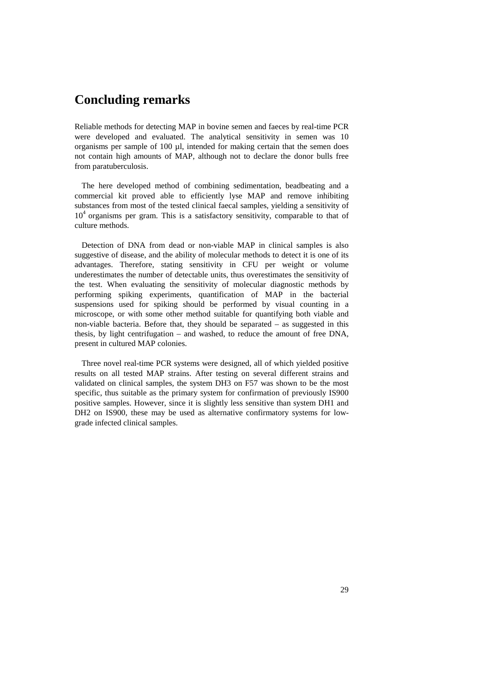# **Concluding remarks**

Reliable methods for detecting MAP in bovine semen and faeces by real-time PCR were developed and evaluated. The analytical sensitivity in semen was 10 organisms per sample of 100 µl, intended for making certain that the semen does not contain high amounts of MAP, although not to declare the donor bulls free from paratuberculosis.

The here developed method of combining sedimentation, beadbeating and a commercial kit proved able to efficiently lyse MAP and remove inhibiting substances from most of the tested clinical faecal samples, yielding a sensitivity of  $10<sup>4</sup>$  organisms per gram. This is a satisfactory sensitivity, comparable to that of culture methods.

Detection of DNA from dead or non-viable MAP in clinical samples is also suggestive of disease, and the ability of molecular methods to detect it is one of its advantages. Therefore, stating sensitivity in CFU per weight or volume underestimates the number of detectable units, thus overestimates the sensitivity of the test. When evaluating the sensitivity of molecular diagnostic methods by performing spiking experiments, quantification of MAP in the bacterial suspensions used for spiking should be performed by visual counting in a microscope, or with some other method suitable for quantifying both viable and non-viable bacteria. Before that, they should be separated – as suggested in this thesis, by light centrifugation – and washed, to reduce the amount of free DNA, present in cultured MAP colonies.

Three novel real-time PCR systems were designed, all of which yielded positive results on all tested MAP strains. After testing on several different strains and validated on clinical samples, the system DH3 on F57 was shown to be the most specific, thus suitable as the primary system for confirmation of previously IS900 positive samples. However, since it is slightly less sensitive than system DH1 and DH2 on IS900, these may be used as alternative confirmatory systems for lowgrade infected clinical samples.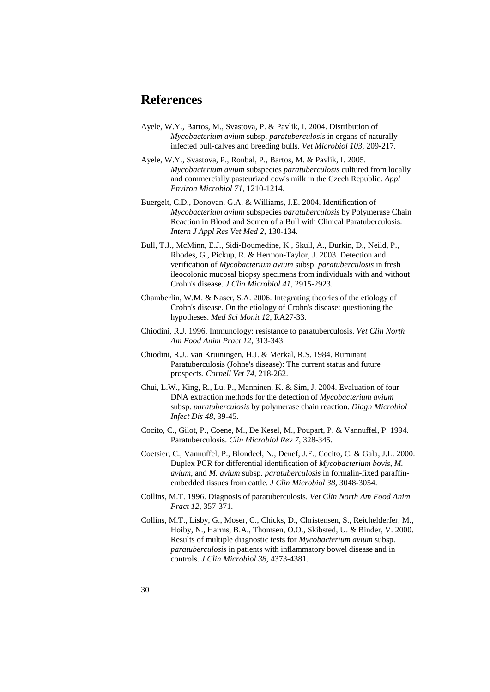# **References**

- Ayele, W.Y., Bartos, M., Svastova, P. & Pavlik, I. 2004. Distribution of *Mycobacterium avium* subsp. *paratuberculosis* in organs of naturally infected bull-calves and breeding bulls. *Vet Microbiol 103*, 209-217.
- Ayele, W.Y., Svastova, P., Roubal, P., Bartos, M. & Pavlik, I. 2005. *Mycobacterium avium* subspecies *paratuberculosis* cultured from locally and commercially pasteurized cow's milk in the Czech Republic. *Appl Environ Microbiol 71*, 1210-1214.
- Buergelt, C.D., Donovan, G.A. & Williams, J.E. 2004. Identification of *Mycobacterium avium* subspecies *paratuberculosis* by Polymerase Chain Reaction in Blood and Semen of a Bull with Clinical Paratuberculosis. *Intern J Appl Res Vet Med 2*, 130-134.
- Bull, T.J., McMinn, E.J., Sidi-Boumedine, K., Skull, A., Durkin, D., Neild, P., Rhodes, G., Pickup, R. & Hermon-Taylor, J. 2003. Detection and verification of *Mycobacterium avium* subsp. *paratuberculosis* in fresh ileocolonic mucosal biopsy specimens from individuals with and without Crohn's disease. *J Clin Microbiol 41*, 2915-2923.
- Chamberlin, W.M. & Naser, S.A. 2006. Integrating theories of the etiology of Crohn's disease. On the etiology of Crohn's disease: questioning the hypotheses. *Med Sci Monit 12*, RA27-33.
- Chiodini, R.J. 1996. Immunology: resistance to paratuberculosis. *Vet Clin North Am Food Anim Pract 12*, 313-343.
- Chiodini, R.J., van Kruiningen, H.J. & Merkal, R.S. 1984. Ruminant Paratuberculosis (Johne's disease): The current status and future prospects. *Cornell Vet 74*, 218-262.
- Chui, L.W., King, R., Lu, P., Manninen, K. & Sim, J. 2004. Evaluation of four DNA extraction methods for the detection of *Mycobacterium avium*  subsp. *paratuberculosis* by polymerase chain reaction. *Diagn Microbiol Infect Dis 48*, 39-45.
- Cocito, C., Gilot, P., Coene, M., De Kesel, M., Poupart, P. & Vannuffel, P. 1994. Paratuberculosis. *Clin Microbiol Rev 7*, 328-345.
- Coetsier, C., Vannuffel, P., Blondeel, N., Denef, J.F., Cocito, C. & Gala, J.L. 2000. Duplex PCR for differential identification of *Mycobacterium bovis*, *M. avium*, and *M. avium* subsp. *paratuberculosis* in formalin-fixed paraffinembedded tissues from cattle. *J Clin Microbiol 38*, 3048-3054.
- Collins, M.T. 1996. Diagnosis of paratuberculosis. *Vet Clin North Am Food Anim Pract 12*, 357-371.
- Collins, M.T., Lisby, G., Moser, C., Chicks, D., Christensen, S., Reichelderfer, M., Hoiby, N., Harms, B.A., Thomsen, O.O., Skibsted, U. & Binder, V. 2000. Results of multiple diagnostic tests for *Mycobacterium avium* subsp. *paratuberculosis* in patients with inflammatory bowel disease and in controls. *J Clin Microbiol 38*, 4373-4381.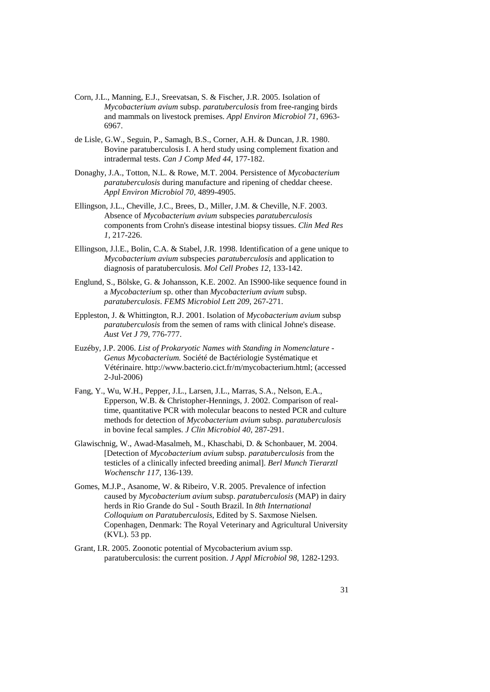- Corn, J.L., Manning, E.J., Sreevatsan, S. & Fischer, J.R. 2005. Isolation of *Mycobacterium avium* subsp. *paratuberculosis* from free-ranging birds and mammals on livestock premises. *Appl Environ Microbiol 71*, 6963- 6967.
- de Lisle, G.W., Seguin, P., Samagh, B.S., Corner, A.H. & Duncan, J.R. 1980. Bovine paratuberculosis I. A herd study using complement fixation and intradermal tests. *Can J Comp Med 44*, 177-182.
- Donaghy, J.A., Totton, N.L. & Rowe, M.T. 2004. Persistence of *Mycobacterium paratuberculosis* during manufacture and ripening of cheddar cheese. *Appl Environ Microbiol 70*, 4899-4905.
- Ellingson, J.L., Cheville, J.C., Brees, D., Miller, J.M. & Cheville, N.F. 2003. Absence of *Mycobacterium avium* subspecies *paratuberculosis*  components from Crohn's disease intestinal biopsy tissues. *Clin Med Res 1*, 217-226.
- Ellingson, J.l.E., Bolin, C.A. & Stabel, J.R. 1998. Identification of a gene unique to *Mycobacterium avium* subspecies *paratuberculosis* and application to diagnosis of paratuberculosis. *Mol Cell Probes 12*, 133-142.
- Englund, S., Bölske, G. & Johansson, K.E. 2002. An IS900-like sequence found in a *Mycobacterium* sp. other than *Mycobacterium avium* subsp. *paratuberculosis*. *FEMS Microbiol Lett 209*, 267-271.
- Eppleston, J. & Whittington, R.J. 2001. Isolation of *Mycobacterium avium* subsp *paratuberculosis* from the semen of rams with clinical Johne's disease. *Aust Vet J 79*, 776-777.
- Euzéby, J.P. 2006. *List of Prokaryotic Names with Standing in Nomenclature Genus Mycobacterium.* Société de Bactériologie Systématique et Vétérinaire. http://www.bacterio.cict.fr/m/mycobacterium.html; (accessed 2-Jul-2006)
- Fang, Y., Wu, W.H., Pepper, J.L., Larsen, J.L., Marras, S.A., Nelson, E.A., Epperson, W.B. & Christopher-Hennings, J. 2002. Comparison of realtime, quantitative PCR with molecular beacons to nested PCR and culture methods for detection of *Mycobacterium avium* subsp. *paratuberculosis*  in bovine fecal samples. *J Clin Microbiol 40*, 287-291.
- Glawischnig, W., Awad-Masalmeh, M., Khaschabi, D. & Schonbauer, M. 2004. [Detection of *Mycobacterium avium* subsp. *paratuberculosis* from the testicles of a clinically infected breeding animal]. *Berl Munch Tierarztl Wochenschr 117*, 136-139.
- Gomes, M.J.P., Asanome, W. & Ribeiro, V.R. 2005. Prevalence of infection caused by *Mycobacterium avium* subsp. *paratuberculosis* (MAP) in dairy herds in Rio Grande do Sul - South Brazil. In *8th International Colloquium on Paratuberculosis*, Edited by S. Saxmose Nielsen. Copenhagen, Denmark: The Royal Veterinary and Agricultural University (KVL). 53 pp.
- Grant, I.R. 2005. Zoonotic potential of Mycobacterium avium ssp. paratuberculosis: the current position. *J Appl Microbiol 98*, 1282-1293.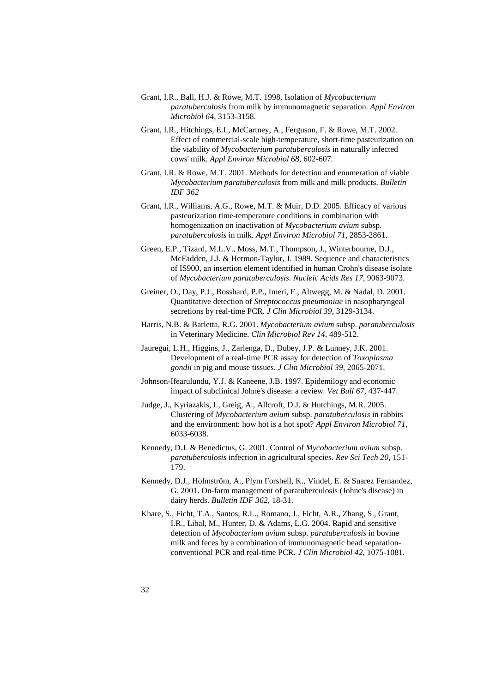- Grant, I.R., Ball, H.J. & Rowe, M.T. 1998. Isolation of *Mycobacterium paratuberculosis* from milk by immunomagnetic separation. *Appl Environ Microbiol 64*, 3153-3158.
- Grant, I.R., Hitchings, E.I., McCartney, A., Ferguson, F. & Rowe, M.T. 2002. Effect of commercial-scale high-temperature, short-time pasteurization on the viability of *Mycobacterium paratuberculosis* in naturally infected cows' milk. *Appl Environ Microbiol 68*, 602-607.
- Grant, I.R. & Rowe, M.T. 2001. Methods for detection and enumeration of viable *Mycobacterium paratuberculosis* from milk and milk products. *Bulletin IDF 362*
- Grant, I.R., Williams, A.G., Rowe, M.T. & Muir, D.D. 2005. Efficacy of various pasteurization time-temperature conditions in combination with homogenization on inactivation of *Mycobacterium avium* subsp. *paratuberculosis* in milk. *Appl Environ Microbiol 71*, 2853-2861.
- Green, E.P., Tizard, M.L.V., Moss, M.T., Thompson, J., Winterbourne, D.J., McFadden, J.J. & Hermon-Taylor, J. 1989. Sequence and characteristics of IS900, an insertion element identified in human Crohn's disease isolate of *Mycobacterium paratuberculosis*. *Nucleic Acids Res 17*, 9063-9073.
- Greiner, O., Day, P.J., Bosshard, P.P., Imeri, F., Altwegg, M. & Nadal, D. 2001. Quantitative detection of *Streptococcus pneumoniae* in nasopharyngeal secretions by real-time PCR. *J Clin Microbiol 39*, 3129-3134.
- Harris, N.B. & Barletta, R.G. 2001. *Mycobacterium avium* subsp. *paratuberculosis*  in Veterinary Medicine. *Clin Microbiol Rev 14*, 489-512.
- Jauregui, L.H., Higgins, J., Zarlenga, D., Dubey, J.P. & Lunney, J.K. 2001. Development of a real-time PCR assay for detection of *Toxoplasma gondii* in pig and mouse tissues. *J Clin Microbiol 39*, 2065-2071.
- Johnson-Ifearulundu, Y.J. & Kaneene, J.B. 1997. Epidemilogy and economic impact of subclinical Johne's disease: a review. *Vet Bull 67*, 437-447.
- Judge, J., Kyriazakis, I., Greig, A., Allcroft, D.J. & Hutchings, M.R. 2005. Clustering of *Mycobacterium avium* subsp. *paratuberculosis* in rabbits and the environment: how hot is a hot spot? *Appl Environ Microbiol 71*, 6033-6038.
- Kennedy, D.J. & Benedictus, G. 2001. Control of *Mycobacterium avium* subsp. *paratuberculosis* infection in agricultural species. *Rev Sci Tech 20*, 151- 179.
- Kennedy, D.J., Holmström, A., Plym Forshell, K., Vindel, E. & Suarez Fernandez, G. 2001. On-farm management of paratuberculosis (Johne's disease) in dairy herds. *Bulletin IDF 362*, 18-31.
- Khare, S., Ficht, T.A., Santos, R.L., Romano, J., Ficht, A.R., Zhang, S., Grant, I.R., Libal, M., Hunter, D. & Adams, L.G. 2004. Rapid and sensitive detection of *Mycobacterium avium* subsp. *paratuberculosis* in bovine milk and feces by a combination of immunomagnetic bead separationconventional PCR and real-time PCR. *J Clin Microbiol 42*, 1075-1081.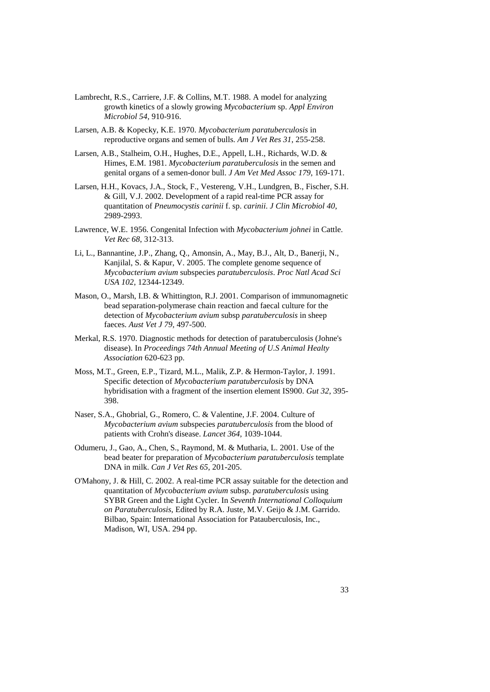- Lambrecht, R.S., Carriere, J.F. & Collins, M.T. 1988. A model for analyzing growth kinetics of a slowly growing *Mycobacterium* sp. *Appl Environ Microbiol 54*, 910-916.
- Larsen, A.B. & Kopecky, K.E. 1970. *Mycobacterium paratuberculosis* in reproductive organs and semen of bulls. *Am J Vet Res 31*, 255-258.
- Larsen, A.B., Stalheim, O.H., Hughes, D.E., Appell, L.H., Richards, W.D. & Himes, E.M. 1981. *Mycobacterium paratuberculosis* in the semen and genital organs of a semen-donor bull. *J Am Vet Med Assoc 179*, 169-171.
- Larsen, H.H., Kovacs, J.A., Stock, F., Vestereng, V.H., Lundgren, B., Fischer, S.H. & Gill, V.J. 2002. Development of a rapid real-time PCR assay for quantitation of *Pneumocystis carinii* f. sp. *carinii*. *J Clin Microbiol 40*, 2989-2993.
- Lawrence, W.E. 1956. Congenital Infection with *Mycobacterium johnei* in Cattle. *Vet Rec 68*, 312-313.
- Li, L., Bannantine, J.P., Zhang, Q., Amonsin, A., May, B.J., Alt, D., Banerji, N., Kanjilal, S. & Kapur, V. 2005. The complete genome sequence of *Mycobacterium avium* subspecies *paratuberculosis*. *Proc Natl Acad Sci USA 102*, 12344-12349.
- Mason, O., Marsh, I.B. & Whittington, R.J. 2001. Comparison of immunomagnetic bead separation-polymerase chain reaction and faecal culture for the detection of *Mycobacterium avium* subsp *paratuberculosis* in sheep faeces. *Aust Vet J 79*, 497-500.
- Merkal, R.S. 1970. Diagnostic methods for detection of paratuberculosis (Johne's disease). In *Proceedings 74th Annual Meeting of U.S Animal Healty Association* 620-623 pp.
- Moss, M.T., Green, E.P., Tizard, M.L., Malik, Z.P. & Hermon-Taylor, J. 1991. Specific detection of *Mycobacterium paratuberculosis* by DNA hybridisation with a fragment of the insertion element IS900. *Gut 32*, 395- 398.
- Naser, S.A., Ghobrial, G., Romero, C. & Valentine, J.F. 2004. Culture of *Mycobacterium avium* subspecies *paratuberculosis* from the blood of patients with Crohn's disease. *Lancet 364*, 1039-1044.
- Odumeru, J., Gao, A., Chen, S., Raymond, M. & Mutharia, L. 2001. Use of the bead beater for preparation of *Mycobacterium paratuberculosis* template DNA in milk. *Can J Vet Res 65*, 201-205.
- O'Mahony, J. & Hill, C. 2002. A real-time PCR assay suitable for the detection and quantitation of *Mycobacterium avium* subsp. *paratuberculosis* using SYBR Green and the Light Cycler. In *Seventh International Colloquium on Paratuberculosis*, Edited by R.A. Juste, M.V. Geijo & J.M. Garrido. Bilbao, Spain: International Association for Patauberculosis, Inc., Madison, WI, USA. 294 pp.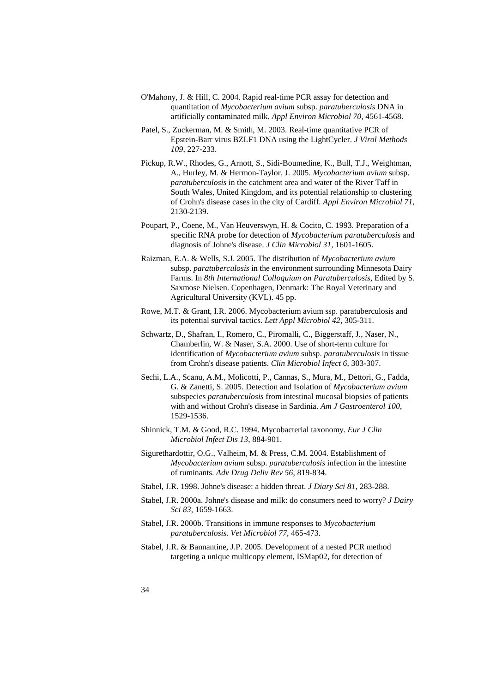- O'Mahony, J. & Hill, C. 2004. Rapid real-time PCR assay for detection and quantitation of *Mycobacterium avium* subsp. *paratuberculosis* DNA in artificially contaminated milk. *Appl Environ Microbiol 70*, 4561-4568.
- Patel, S., Zuckerman, M. & Smith, M. 2003. Real-time quantitative PCR of Epstein-Barr virus BZLF1 DNA using the LightCycler. *J Virol Methods 109*, 227-233.
- Pickup, R.W., Rhodes, G., Arnott, S., Sidi-Boumedine, K., Bull, T.J., Weightman, A., Hurley, M. & Hermon-Taylor, J. 2005. *Mycobacterium avium* subsp. *paratuberculosis* in the catchment area and water of the River Taff in South Wales, United Kingdom, and its potential relationship to clustering of Crohn's disease cases in the city of Cardiff. *Appl Environ Microbiol 71*, 2130-2139.
- Poupart, P., Coene, M., Van Heuverswyn, H. & Cocito, C. 1993. Preparation of a specific RNA probe for detection of *Mycobacterium paratuberculosis* and diagnosis of Johne's disease. *J Clin Microbiol 31*, 1601-1605.
- Raizman, E.A. & Wells, S.J. 2005. The distribution of *Mycobacterium avium* subsp. *paratuberculosis* in the environment surrounding Minnesota Dairy Farms. In *8th International Colloquium on Paratuberculosis*, Edited by S. Saxmose Nielsen. Copenhagen, Denmark: The Royal Veterinary and Agricultural University (KVL). 45 pp.
- Rowe, M.T. & Grant, I.R. 2006. Mycobacterium avium ssp. paratuberculosis and its potential survival tactics. *Lett Appl Microbiol 42*, 305-311.
- Schwartz, D., Shafran, I., Romero, C., Piromalli, C., Biggerstaff, J., Naser, N., Chamberlin, W. & Naser, S.A. 2000. Use of short-term culture for identification of *Mycobacterium avium* subsp. *paratuberculosis* in tissue from Crohn's disease patients. *Clin Microbiol Infect 6*, 303-307.
- Sechi, L.A., Scanu, A.M., Molicotti, P., Cannas, S., Mura, M., Dettori, G., Fadda, G. & Zanetti, S. 2005. Detection and Isolation of *Mycobacterium avium* subspecies *paratuberculosis* from intestinal mucosal biopsies of patients with and without Crohn's disease in Sardinia. *Am J Gastroenterol 100*, 1529-1536.
- Shinnick, T.M. & Good, R.C. 1994. Mycobacterial taxonomy. *Eur J Clin Microbiol Infect Dis 13*, 884-901.
- Sigurethardottir, O.G., Valheim, M. & Press, C.M. 2004. Establishment of *Mycobacterium avium* subsp. *paratuberculosis* infection in the intestine of ruminants. *Adv Drug Deliv Rev 56*, 819-834.
- Stabel, J.R. 1998. Johne's disease: a hidden threat. *J Diary Sci 81*, 283-288.
- Stabel, J.R. 2000a. Johne's disease and milk: do consumers need to worry? *J Dairy Sci 83*, 1659-1663.
- Stabel, J.R. 2000b. Transitions in immune responses to *Mycobacterium paratuberculosis*. *Vet Microbiol 77*, 465-473.
- Stabel, J.R. & Bannantine, J.P. 2005. Development of a nested PCR method targeting a unique multicopy element, ISMap02, for detection of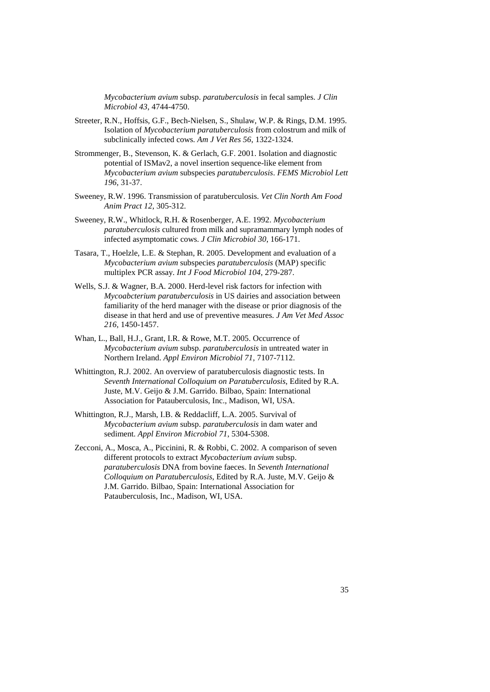*Mycobacterium avium* subsp. *paratuberculosis* in fecal samples. *J Clin Microbiol 43*, 4744-4750.

- Streeter, R.N., Hoffsis, G.F., Bech-Nielsen, S., Shulaw, W.P. & Rings, D.M. 1995. Isolation of *Mycobacterium paratuberculosis* from colostrum and milk of subclinically infected cows. *Am J Vet Res 56*, 1322-1324.
- Strommenger, B., Stevenson, K. & Gerlach, G.F. 2001. Isolation and diagnostic potential of ISMav2, a novel insertion sequence-like element from *Mycobacterium avium* subspecies *paratuberculosis*. *FEMS Microbiol Lett 196*, 31-37.
- Sweeney, R.W. 1996. Transmission of paratuberculosis. *Vet Clin North Am Food Anim Pract 12*, 305-312.
- Sweeney, R.W., Whitlock, R.H. & Rosenberger, A.E. 1992. *Mycobacterium paratuberculosis* cultured from milk and supramammary lymph nodes of infected asymptomatic cows. *J Clin Microbiol 30*, 166-171.
- Tasara, T., Hoelzle, L.E. & Stephan, R. 2005. Development and evaluation of a *Mycobacterium avium* subspecies *paratuberculosis* (MAP) specific multiplex PCR assay. *Int J Food Microbiol 104*, 279-287.
- Wells, S.J. & Wagner, B.A. 2000. Herd-level risk factors for infection with *Mycoabcterium paratuberculosis* in US dairies and association between familiarity of the herd manager with the disease or prior diagnosis of the disease in that herd and use of preventive measures. *J Am Vet Med Assoc 216*, 1450-1457.
- Whan, L., Ball, H.J., Grant, I.R. & Rowe, M.T. 2005. Occurrence of *Mycobacterium avium* subsp. *paratuberculosis* in untreated water in Northern Ireland. *Appl Environ Microbiol 71*, 7107-7112.
- Whittington, R.J. 2002. An overview of paratuberculosis diagnostic tests. In *Seventh International Colloquium on Paratuberculosis*, Edited by R.A. Juste, M.V. Geijo & J.M. Garrido. Bilbao, Spain: International Association for Patauberculosis, Inc., Madison, WI, USA.
- Whittington, R.J., Marsh, I.B. & Reddacliff, L.A. 2005. Survival of *Mycobacterium avium* subsp. *paratuberculosis* in dam water and sediment. *Appl Environ Microbiol 71*, 5304-5308.
- Zecconi, A., Mosca, A., Piccinini, R. & Robbi, C. 2002. A comparison of seven different protocols to extract *Mycobacterium avium* subsp. *paratuberculosis* DNA from bovine faeces. In *Seventh International Colloquium on Paratuberculosis*, Edited by R.A. Juste, M.V. Geijo & J.M. Garrido. Bilbao, Spain: International Association for Patauberculosis, Inc., Madison, WI, USA.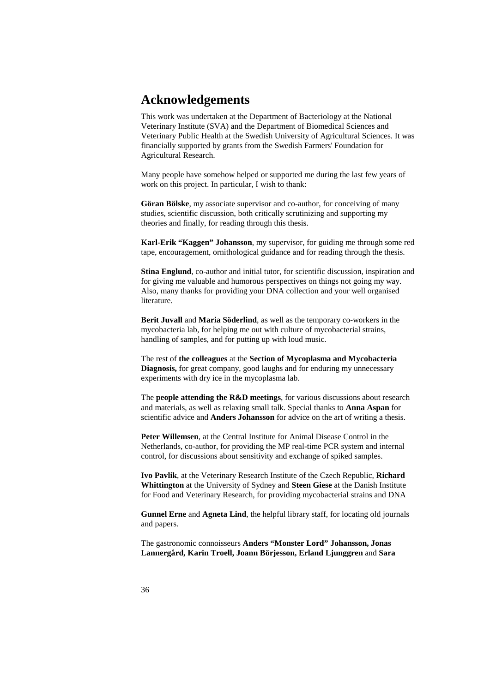# **Acknowledgements**

This work was undertaken at the Department of Bacteriology at the National Veterinary Institute (SVA) and the Department of Biomedical Sciences and Veterinary Public Health at the Swedish University of Agricultural Sciences. It was financially supported by grants from the Swedish Farmers' Foundation for Agricultural Research.

Many people have somehow helped or supported me during the last few years of work on this project. In particular, I wish to thank:

**Göran Bölske**, my associate supervisor and co-author, for conceiving of many studies, scientific discussion, both critically scrutinizing and supporting my theories and finally, for reading through this thesis.

**Karl-Erik "Kaggen" Johansson**, my supervisor, for guiding me through some red tape, encouragement, ornithological guidance and for reading through the thesis.

**Stina Englund**, co-author and initial tutor, for scientific discussion, inspiration and for giving me valuable and humorous perspectives on things not going my way. Also, many thanks for providing your DNA collection and your well organised literature.

**Berit Juvall** and **Maria Söderlind**, as well as the temporary co-workers in the mycobacteria lab, for helping me out with culture of mycobacterial strains, handling of samples, and for putting up with loud music.

The rest of **the colleagues** at the **Section of Mycoplasma and Mycobacteria Diagnosis,** for great company, good laughs and for enduring my unnecessary experiments with dry ice in the mycoplasma lab.

The **people attending the R&D meetings**, for various discussions about research and materials, as well as relaxing small talk. Special thanks to **Anna Aspan** for scientific advice and **Anders Johansson** for advice on the art of writing a thesis.

**Peter Willemsen**, at the Central Institute for Animal Disease Control in the Netherlands, co-author, for providing the MP real-time PCR system and internal control, for discussions about sensitivity and exchange of spiked samples.

**Ivo Pavlik**, at the Veterinary Research Institute of the Czech Republic, **Richard Whittington** at the University of Sydney and **Steen Giese** at the Danish Institute for Food and Veterinary Research, for providing mycobacterial strains and DNA

**Gunnel Erne** and **Agneta Lind**, the helpful library staff, for locating old journals and papers.

The gastronomic connoisseurs **Anders "Monster Lord" Johansson, Jonas Lannergård, Karin Troell, Joann Börjesson, Erland Ljunggren** and **Sara**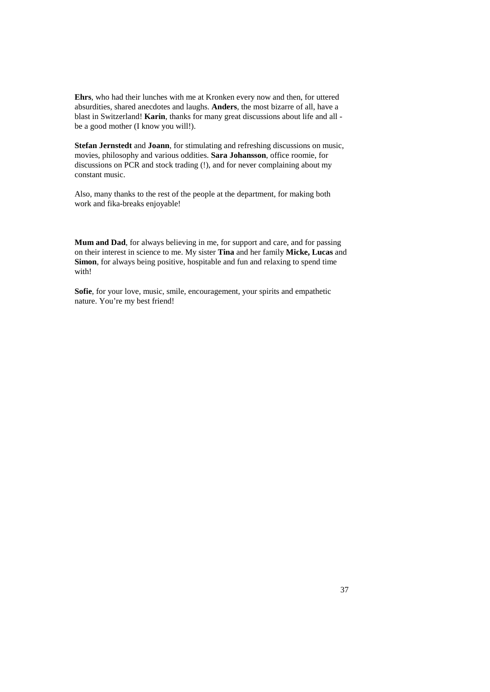**Ehrs**, who had their lunches with me at Kronken every now and then, for uttered absurdities, shared anecdotes and laughs. **Anders**, the most bizarre of all, have a blast in Switzerland! **Karin**, thanks for many great discussions about life and all be a good mother (I know you will!).

**Stefan Jernstedt** and **Joann**, for stimulating and refreshing discussions on music, movies, philosophy and various oddities. **Sara Johansson**, office roomie, for discussions on PCR and stock trading (!), and for never complaining about my constant music.

Also, many thanks to the rest of the people at the department, for making both work and fika-breaks enjoyable!

**Mum and Dad**, for always believing in me, for support and care, and for passing on their interest in science to me. My sister **Tina** and her family **Micke, Lucas** and **Simon**, for always being positive, hospitable and fun and relaxing to spend time with!

**Sofie**, for your love, music, smile, encouragement, your spirits and empathetic nature. You're my best friend!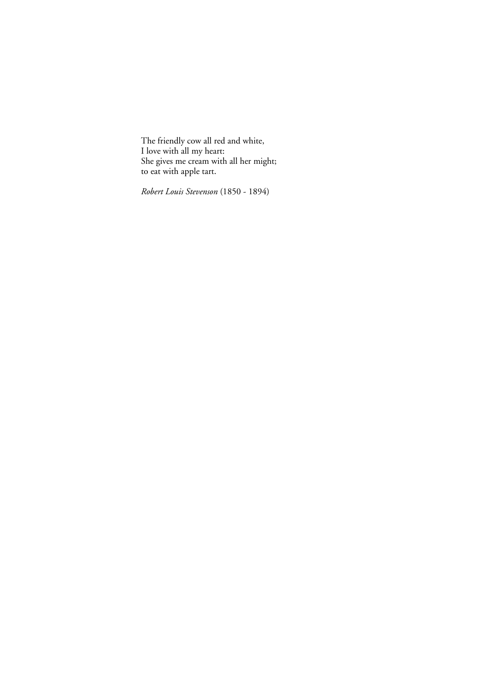The friendly cow all red and white, I love with all my heart:<br>She gives me cream with all her might; to eat with apple tart.

Robert Louis Stevenson (1850 - 1894)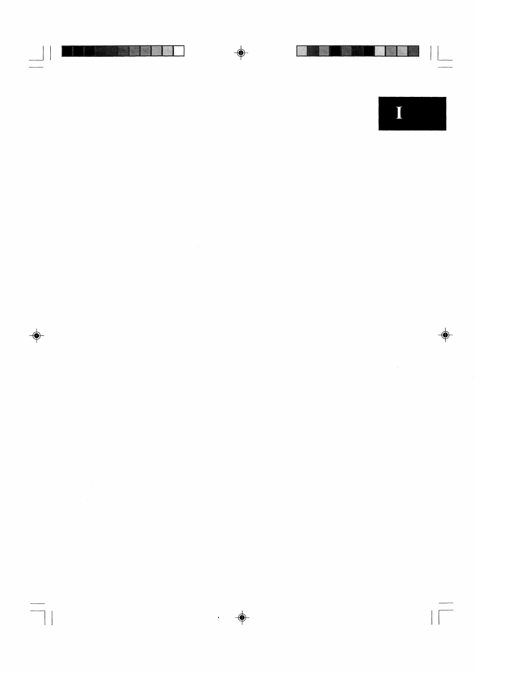$\mathbf I$ 

 $\cdot$ 

 $\begin{array}{c} \hline \end{array}$ 

 $\begin{array}{|c|c|} \hline \quad \quad & \quad \quad & \quad \quad \\ \hline \quad \quad & \quad \quad & \quad \quad \\ \hline \quad \quad & \quad \quad & \quad \quad \\ \hline \end{array}$ 

 $\blacklozenge$ 

 $\blacksquare$ 

 $\clubsuit$ 

 $\Box$ 

 $\Box$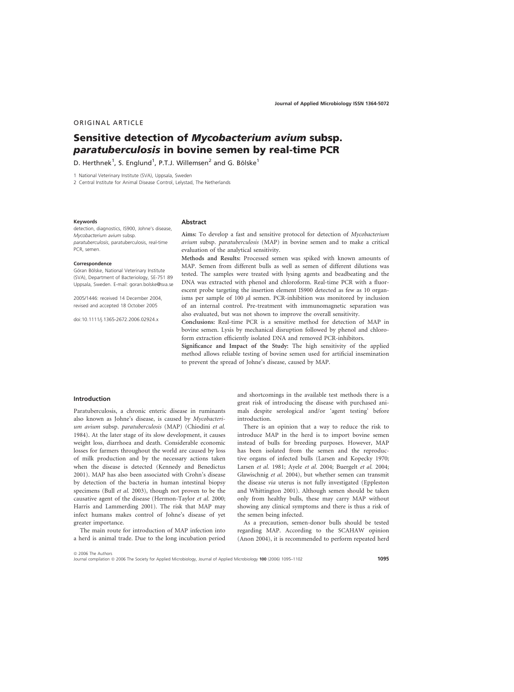### ORIGINAL ARTICLE

# Sensitive detection of Mycobacterium avium subsp. paratuberculosis in bovine semen by real-time PCR

D. Herthnek<sup>1</sup>, S. Englund<sup>1</sup>, P.T.J. Willemsen<sup>2</sup> and G. Bölske<sup>1</sup>

1 National Veterinary Institute (SVA), Uppsala, Sweden

2 Central Institute for Animal Disease Control, Lelystad, The Netherlands

#### Keywords

#### Abstract

detection, diagnostics, IS900, Johne's disease, Mycobacterium avium subsp. paratuberculosis, paratuberculosis, real-time PCR, semen.

#### Correspondence

Göran Bölske, National Veterinary Institute (SVA), Department of Bacteriology, SE-751 89 Uppsala, Sweden. E-mail: goran.bolske@sva.se

2005/1446: received 14 December 2004, revised and accepted 18 October 2005

doi:10.1111/j.1365-2672.2006.02924.x

#### Aims: To develop a fast and sensitive protocol for detection of Mycobacterium avium subsp. paratuberculosis (MAP) in bovine semen and to make a critical evaluation of the analytical sensitivity.

Methods and Results: Processed semen was spiked with known amounts of MAP. Semen from different bulls as well as semen of different dilutions was tested. The samples were treated with lysing agents and beadbeating and the DNA was extracted with phenol and chloroform. Real-time PCR with a fluorescent probe targeting the insertion element IS900 detected as few as 10 organisms per sample of 100  $\mu$ l semen. PCR-inhibition was monitored by inclusion of an internal control. Pre-treatment with immunomagnetic separation was also evaluated, but was not shown to improve the overall sensitivity.

Conclusions: Real-time PCR is a sensitive method for detection of MAP in bovine semen. Lysis by mechanical disruption followed by phenol and chloroform extraction efficiently isolated DNA and removed PCR-inhibitors.

Significance and Impact of the Study: The high sensitivity of the applied method allows reliable testing of bovine semen used for artificial insemination to prevent the spread of Johne's disease, caused by MAP.

#### Introduction

ª 2006 The Authors

Paratuberculosis, a chronic enteric disease in ruminants also known as Johne's disease, is caused by Mycobacterium avium subsp. paratuberculosis (MAP) (Chiodini et al. 1984). At the later stage of its slow development, it causes weight loss, diarrhoea and death. Considerable economic losses for farmers throughout the world are caused by loss of milk production and by the necessary actions taken when the disease is detected (Kennedy and Benedictus 2001). MAP has also been associated with Crohn's disease by detection of the bacteria in human intestinal biopsy specimens (Bull et al. 2003), though not proven to be the causative agent of the disease (Hermon-Taylor et al. 2000; Harris and Lammerding 2001). The risk that MAP may infect humans makes control of Johne's disease of yet greater importance.

The main route for introduction of MAP infection into a herd is animal trade. Due to the long incubation period and shortcomings in the available test methods there is a great risk of introducing the disease with purchased animals despite serological and/or 'agent testing' before introduction.

There is an opinion that a way to reduce the risk to introduce MAP in the herd is to import bovine semen instead of bulls for breeding purposes. However, MAP has been isolated from the semen and the reproductive organs of infected bulls (Larsen and Kopecky 1970; Larsen et al. 1981; Ayele et al. 2004; Buergelt et al. 2004; Glawischnig et al. 2004), but whether semen can transmit the disease via uterus is not fully investigated (Eppleston and Whittington 2001). Although semen should be taken only from healthy bulls, these may carry MAP without showing any clinical symptoms and there is thus a risk of the semen being infected.

As a precaution, semen-donor bulls should be tested regarding MAP. According to the SCAHAW opinion (Anon 2004), it is recommended to perform repeated herd

Journal compilation  $\circledcirc$  2006 The Society for Applied Microbiology, Journal of Applied Microbiology 100 (2006) 1095–1102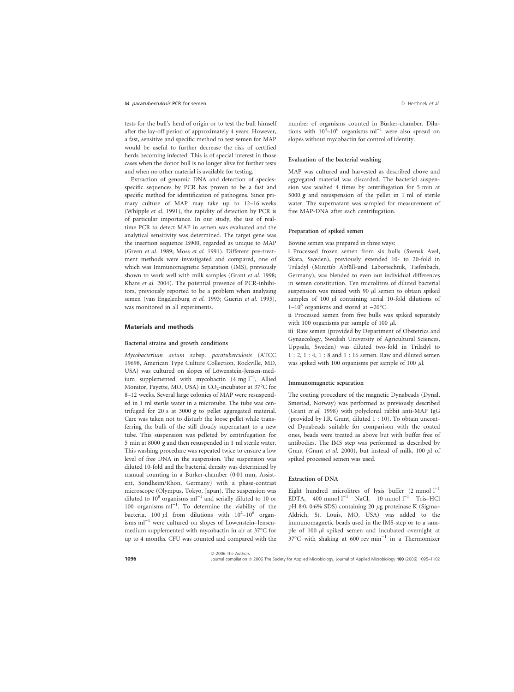tests for the bull's herd of origin or to test the bull himself after the lay-off period of approximately 4 years. However, a fast, sensitive and specific method to test semen for MAP would be useful to further decrease the risk of certified herds becoming infected. This is of special interest in those cases when the donor bull is no longer alive for further tests and when no other material is available for testing.

Extraction of genomic DNA and detection of speciesspecific sequences by PCR has proven to be a fast and specific method for identification of pathogens. Since primary culture of MAP may take up to 12–16 weeks (Whipple et al. 1991), the rapidity of detection by PCR is of particular importance. In our study, the use of realtime PCR to detect MAP in semen was evaluated and the analytical sensitivity was determined. The target gene was the insertion sequence IS900, regarded as unique to MAP (Green et al. 1989; Moss et al. 1991). Different pre-treatment methods were investigated and compared, one of which was Immunomagnetic Separation (IMS), previously shown to work well with milk samples (Grant et al. 1998; Khare et al. 2004). The potential presence of PCR-inhibitors, previously reported to be a problem when analysing semen (van Engelenburg et al. 1993; Guerin et al. 1995), was monitored in all experiments.

#### Materials and methods

#### Bacterial strains and growth conditions

Mycobacterium avium subsp. paratuberculosis (ATCC 19698, American Type Culture Collection, Rockville, MD, USA) was cultured on slopes of Löwenstein-Jensen-medium supplemented with mycobactin  $(4 \text{ mg } l^{-1})$ , Allied Monitor, Fayette, MO, USA) in  $CO_2$ -incubator at 37°C for 8–12 weeks. Several large colonies of MAP were resuspended in 1 ml sterile water in a microtube. The tube was centrifuged for 20 s at 3000  $g$  to pellet aggregated material. Care was taken not to disturb the loose pellet while transferring the bulk of the still cloudy supernatant to a new tube. This suspension was pelleted by centrifugation for 5 min at 8000  $\boldsymbol{g}$  and then resuspended in 1 ml sterile water. This washing procedure was repeated twice to ensure a low level of free DNA in the suspension. The suspension was diluted 10-fold and the bacterial density was determined by manual counting in a Bürker-chamber (0.01 mm, Assistent, Sondheim/Rhön, Germany) with a phase-contrast microscope (Olympus, Tokyo, Japan). The suspension was diluted to  $10^8$  organisms ml<sup>-1</sup> and serially diluted to 10 or 100 organisms  $ml^{-1}$ . To determine the viability of the bacteria, 100  $\mu$ l from dilutions with  $10^2 - 10^6$  organisms  $ml^{-1}$  were cultured on slopes of Löwenstein–Jensenmedium supplemented with mycobactin in air at 37°C for up to 4 months. CFU was counted and compared with the

number of organisms counted in Bürker-chamber. Dilutions with  $10^4 - 10^6$  organisms ml<sup>-1</sup> were also spread on slopes without mycobactin for control of identity.

#### Evaluation of the bacterial washing

MAP was cultured and harvested as described above and aggregated material was discarded. The bacterial suspension was washed 4 times by centrifugation for 5 min at 5000  $g$  and resuspension of the pellet in 1 ml of sterile <sup>5000</sup> g and resuspension of the pellet in 1 ml of sterile water. The supernatant was sampled for measurement of free MAP-DNA after each centrifugation.

#### Preparation of spiked semen

Bovine semen was prepared in three ways:

i Processed frozen semen from six bulls (Svensk Avel, Skara, Sweden), previously extended 10- to 20-fold in Triladyl (Minitüb Abfüll-und Labortechnik, Tiefenbach, Germany), was blended to even out individual differences in semen constitution. Ten microlitres of diluted bacterial suspension was mixed with 90  $\mu$ l semen to obtain spiked samples of  $100 \mu l$  containing serial 10-fold dilutions of  $1-10^6$  organisms and stored at  $-20^{\circ}$ C.

ii Processed semen from five bulls was spiked separately with 100 organisms per sample of 100  $\mu$ l.

iii Raw semen (provided by Department of Obstetrics and Gynaecology, Swedish University of Agricultural Sciences, Uppsala, Sweden) was diluted two-fold in Triladyl to 1 : 2, 1 : 4, 1 : 8 and 1 : 16 semen. Raw and diluted semen was spiked with 100 organisms per sample of 100  $\mu$ l.

#### Immunomagnetic separation

The coating procedure of the magnetic Dynabeads (Dynal, Smestad, Norway) was performed as previously described (Grant et al. 1998) with polyclonal rabbit anti-MAP IgG (provided by I.R. Grant, diluted 1 : 10). To obtain uncoated Dynabeads suitable for comparison with the coated ones, beads were treated as above but with buffer free of antibodies. The IMS step was performed as described by Grant (Grant et al. 2000), but instead of milk, 100  $\mu$ l of spiked processed semen was used.

#### Extraction of DNA

Eight hundred microlitres of lysis buffer  $(2 \text{ mmol } l^{-1})$ EDTA,  $400 \text{ mmol } l^{-1}$  NaCl,  $10 \text{ mmol } l^{-1}$  Tris–HCl pH 8.0, 0.6% SDS) containing 20 µg proteinase K (Sigma– Aldrich, St. Louis, MO, USA) was added to the immunomagnetic beads used in the IMS-step or to a sample of 100  $\mu$ l spiked semen and incubated overnight at  $37^{\circ}$ C with shaking at 600 rev min<sup>-1</sup> in a Thermomixer

ª 2006 The Authors

1096 Journal compilation ª 2006 The Society for Applied Microbiology, Journal of Applied Microbiology 100 (2006) 1095–1102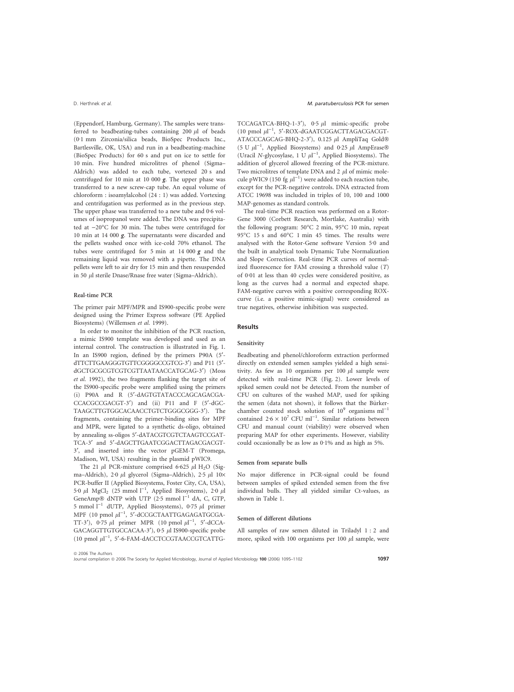(Eppendorf, Hamburg, Germany). The samples were transferred to beadbeating-tubes containing  $200 \mu l$  of beads (0.1 mm Zirconia/silica beads, BioSpec Products Inc., Bartlesville, OK, USA) and run in a beadbeating-machine (BioSpec Products) for 60 s and put on ice to settle for 10 min. Five hundred microlitres of phenol (Sigma– Aldrich) was added to each tube, vortexed 20 s and centrifuged for 10 min at 10 000 g. The upper phase was transferred to a new screw-cap tube. An equal volume of chloroform : isoamylalcohol (24 : 1) was added. Vortexing and centrifugation was performed as in the previous step. The upper phase was transferred to a new tube and 0.6 volumes of isopropanol were added. The DNA was precipitated at  $-20^{\circ}$ C for 30 min. The tubes were centrifuged for 10 min at 14 000 g. The supernatants were discarded and the pellets washed once with ice-cold 70% ethanol. The tubes were centrifuged for 5 min at  $14000 g$  and the remaining liquid was removed with a pipette. The DNA pellets were left to air dry for 15 min and then resuspended in 50 µl sterile Dnase/Rnase free water (Sigma–Aldrich).

#### Real-time PCR

The primer pair MPF/MPR and IS900-specific probe were designed using the Primer Express software (PE Applied Biosystems) (Willemsen et al. 1999).

In order to monitor the inhibition of the PCR reaction, a mimic IS900 template was developed and used as an internal control. The construction is illustrated in Fig. 1. In an IS900 region, defined by the primers P90A (5'dTTCTTGAAGGGTGTTCGGGGCCGTCG-3') and P11 (5'dGCTGCGCGTCGTCGTTAATAACCATGCAG-3') (Moss et al. 1992), the two fragments flanking the target site of the IS900-specific probe were amplified using the primers (i) P90A and R (5¢-dAGTGTATACCCAGCAGACGA-CCACGCCGACGT-3') and (ii) P11 and F (5'-dGC-TAAGCTTGTGGCACAACCTGTCTGGGCGGG-3'). The fragments, containing the primer-binding sites for MPF and MPR, were ligated to a synthetic ds-oligo, obtained by annealing ss-oligos 5¢-dATACGTCGTCTAAGTCCGAT-TCA-3¢ and 5¢-dAGCTTGAATCGGACTTAGACGACGT-3', and inserted into the vector pGEM-T (Promega, Madison, WI, USA) resulting in the plasmid pWIC9.

The 21  $\mu$ l PCR-mixture comprised 6.625  $\mu$ l H<sub>2</sub>O (Sigma-Aldrich), 2·0  $\mu$ l glycerol (Sigma-Aldrich), 2·5  $\mu$ l 10× PCR-buffer II (Applied Biosystems, Foster City, CA, USA), 5·0  $\mu$ l MgCl<sub>2</sub> (25 mmol l<sup>-1</sup>, Applied Biosystems), 2·0  $\mu$ l GeneAmp $\circledR$  dNTP with UTP (2.5 mmol  $I^{-1}$  dA, C, GTP, 5 mmol  $l^{-1}$  dUTP, Applied Biosystems), 0.75  $\mu$ l primer MPF (10 pmol  $\mu$ l<sup>-1</sup>, 5'-dCCGCTAATTGAGAGATGCGA-TT-3'), 0.75  $\mu$ l primer MPR (10 pmol  $\mu$ l<sup>-1</sup>, 5'-dCCA-GACAGGTTGTGCCACAA-3'), 0.5 µl IS900-specific probe  $(10 \text{ pmol }\mu\text{l}^{-1}, 5'$ -6-FAM-dACCTCCGTAACCGTCATTG-

TCCAGATCA-BHQ-1-3'),  $0.5 \mu l$  mimic-specific probe  $(10 \text{ pmol }\mu\text{l}^{-1}, 5'$ -ROX-dGAATCGGACTTAGACGACGT-ATACCCAGCAG-BHQ-2-3'), 0.125 µl AmpliTaq Gold® (5 U  $\mu$ l<sup>-1</sup>, Applied Biosystems) and 0.25  $\mu$ l AmpErase® (Uracil N-glycosylase, 1 U  $\mu$ l<sup>-1</sup>, Applied Biosystems). The addition of glycerol allowed freezing of the PCR-mixture. Two microlitres of template DNA and  $2 \mu$ l of mimic molecule pWIC9 (150 fg  $\mu$ l<sup>-1</sup>) were added to each reaction tube, except for the PCR-negative controls. DNA extracted from ATCC 19698 was included in triples of 10, 100 and 1000 MAP-genomes as standard controls.

The real-time PCR reaction was performed on a Rotor-Gene 3000 (Corbett Research, Mortlake, Australia) with the following program:  $50^{\circ}$ C 2 min,  $95^{\circ}$ C 10 min, repeat  $95^{\circ}$ C 15 s and  $60^{\circ}$ C 1 min 45 times. The results were analysed with the Rotor-Gene software Version 5.0 and the built in analytical tools Dynamic Tube Normalization and Slope Correction. Real-time PCR curves of normalized fluorescence for FAM crossing a threshold value (T) of 0.01 at less than 40 cycles were considered positive, as long as the curves had a normal and expected shape. FAM-negative curves with a positive corresponding ROXcurve (i.e. a positive mimic-signal) were considered as true negatives, otherwise inhibition was suspected.

#### Results

#### Sensitivity

Beadbeating and phenol/chloroform extraction performed directly on extended semen samples yielded a high sensitivity. As few as 10 organisms per 100  $\mu$ l sample were detected with real-time PCR (Fig. 2). Lower levels of spiked semen could not be detected. From the number of CFU on cultures of the washed MAP, used for spiking the semen (data not shown), it follows that the Bürkerchamber counted stock solution of  $10^9$  organisms ml<sup>-</sup> contained  $2.6 \times 10^7$  CFU ml<sup>-1</sup>. Similar relations between CFU and manual count (viability) were observed when preparing MAP for other experiments. However, viability could occasionally be as low as 0.1% and as high as 5%.

#### Semen from separate bulls

No major difference in PCR-signal could be found between samples of spiked extended semen from the five individual bulls. They all yielded similar Ct-values, as shown in Table 1.

#### Semen of different dilutions

All samples of raw semen diluted in Triladyl 1 : 2 and more, spiked with 100 organisms per 100  $\mu$ l sample, were

ª 2006 The Authors

Journal compilation  $\circledcirc$  2006 The Society for Applied Microbiology, Journal of Applied Microbiology 100 (2006) 1095–1102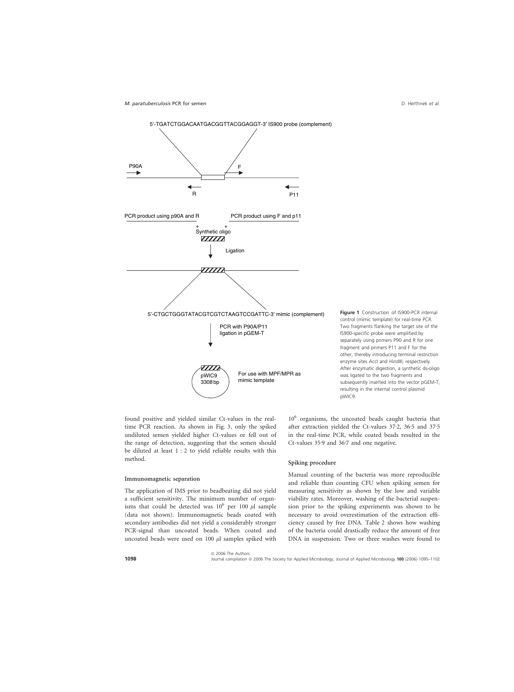M. paratuberculosis PCR for semen D. Herthnek et al.

5′-TGATCTGGACAATGACGGTTACGGAGGT-3′ IS900 probe (complement) P90A  $\diagup$  F R P11 PCR product using p90A and R PCR product using F and p11 + Synthetic oligo + Ligation ////// 5′-CTGCTGGGTATACGTCGTCTAAGTCCGATTC-3′ mimic (complement) PCR with P90A/P11 ligation in pGEM-T  $\overline{III}$ For use with MPF/MPR as pWIC9 mimic template .<br>3308 br

Figure 1 Construction of IS900-PCR internal control (mimic template) for real-time PCR. Two fragments flanking the target site of the IS900-specific probe were amplified by separately using primers P90 and R for one fragment and primers P11 and F for the other, thereby introducing terminal restriction enzyme sites AccI and HindIII, respectively. After enzymatic digestion, a synthetic ds-oligo was ligated to the two fragments and subsequently inserted into the vector pGEM-T, resulting in the internal control plasmid pWIC9.

found positive and yielded similar Ct-values in the realtime PCR reaction. As shown in Fig. 3, only the spiked undiluted semen yielded higher Ct-values or fell out of the range of detection, suggesting that the semen should be diluted at least 1 : 2 to yield reliable results with this method.

#### Immunomagnetic separation

The application of IMS prior to beadbeating did not yield a sufficient sensitivity. The minimum number of organisms that could be detected was  $10^6$  per 100  $\mu$ l sample (data not shown). Immunomagnetic beads coated with secondary antibodies did not yield a considerably stronger PCR-signal than uncoated beads. When coated and uncoated beads were used on  $100 \mu l$  samples spiked with

10<sup>6</sup> organisms, the uncoated beads caught bacteria that after extraction yielded the Ct-values  $37.2$ ,  $36.5$  and  $37.5$ in the real-time PCR, while coated beads resulted in the Ct-values  $35.9$  and  $36.7$  and one negative.

#### Spiking procedure

Manual counting of the bacteria was more reproducible and reliable than counting CFU when spiking semen for measuring sensitivity as shown by the low and variable viability rates. Moreover, washing of the bacterial suspension prior to the spiking experiments was shown to be necessary to avoid overestimation of the extraction efficiency caused by free DNA. Table 2 shows how washing of the bacteria could drastically reduce the amount of free DNA in suspension. Two or three washes were found to

ª 2006 The Authors

1098 **Journal compilation @ 2006 The Society for Applied Microbiology, Journal of Applied Microbiology 100 (2006) 1095–1102**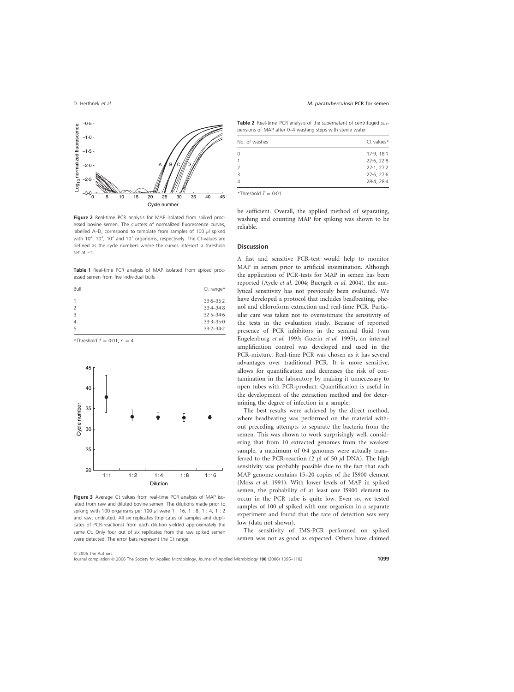

Figure 2 Real-time PCR analysis for MAP isolated from spiked processed bovine semen. The clusters of normalized fluorescence curves, labelled A–D, correspond to template from samples of 100  $\mu$ l spiked with  $10^4$ ,  $10^3$ ,  $10^2$  and  $10^1$  organisms, respectively. The Ct-values are defined as the cycle numbers where the curves intersect a threshold set at  $-2$ .

Table 1 Real-time PCR analysis of MAP isolated from spiked processed semen from five individual bulls

| Bull           | Ct range*     |
|----------------|---------------|
|                | $33.6 - 35.2$ |
| $\mathcal{P}$  | $33.4 - 34.8$ |
| 3              | $32.5 - 34.6$ |
| $\overline{4}$ | $33.3 - 35.0$ |
| 5              | $33.2 - 34.2$ |

\*Threshold  $T = 0.01$ ;  $n = 4$ .



Figure 3 Average Ct values from real-time PCR analysis of MAP isolated from raw and diluted bovine semen. The dilutions made prior to spiking with 100 organisms per 100  $\mu$ l were 1 : 16, 1 : 8, 1 : 4, 1 : 2 and raw, undiluted. All six replicates (triplicates of samples and duplicates of PCR-reactions) from each dilution yielded approximately the same Ct. Only four out of six replicates from the raw spiked semen were detected. The error bars represent the Ct range.

#### D. Herthnek et al. **M. paratuberculosis PCR for semen** M. paratuberculosis PCR for semen

Table 2 Real-time PCR analysis of the supernatant of centrifuged suspensions of MAP after 0–4 washing steps with sterile water

| No. of washes | Ct values* |
|---------------|------------|
|               | 17.9, 18.1 |
|               | 22.6, 22.8 |
| $\mathcal{P}$ | 27.1, 27.2 |
| 3             | 27.6, 27.6 |
|               | 28-4, 28-4 |
|               |            |

\*Threshold  $T = 0.01$ .

be sufficient. Overall, the applied method of separating, washing and counting MAP for spiking was shown to be reliable.

#### Discussion

A fast and sensitive PCR-test would help to monitor MAP in semen prior to artificial insemination. Although the application of PCR-tests for MAP in semen has been reported (Ayele et al. 2004; Buergelt et al. 2004), the analytical sensitivity has not previously been evaluated. We have developed a protocol that includes beadbeating, phenol and chloroform extraction and real-time PCR. Particular care was taken not to overestimate the sensitivity of the tests in the evaluation study. Because of reported presence of PCR inhibitors in the seminal fluid (van Engelenburg et al. 1993; Guerin et al. 1995), an internal amplification control was developed and used in the PCR-mixture. Real-time PCR was chosen as it has several advantages over traditional PCR. It is more sensitive, allows for quantification and decreases the risk of contamination in the laboratory by making it unnecessary to open tubes with PCR-product. Quantification is useful in the development of the extraction method and for determining the degree of infection in a sample.

The best results were achieved by the direct method, where beadbeating was performed on the material without preceding attempts to separate the bacteria from the semen. This was shown to work surprisingly well, considering that from 10 extracted genomes from the weakest sample, a maximum of 0.4 genomes were actually transferred to the PCR-reaction (2  $\mu$ l of 50  $\mu$ l DNA). The high sensitivity was probably possible due to the fact that each MAP genome contains 15–20 copies of the IS900 element (Moss et al. 1991). With lower levels of MAP in spiked semen, the probability of at least one IS900 element to occur in the PCR tube is quite low. Even so, we tested samples of 100  $\mu$ l spiked with one organism in a separate experiment and found that the rate of detection was very low (data not shown).

The sensitivity of IMS-PCR performed on spiked semen was not as good as expected. Others have claimed

Journal compilation  $\circledcirc$  2006 The Society for Applied Microbiology, Journal of Applied Microbiology 100 (2006) 1095–1102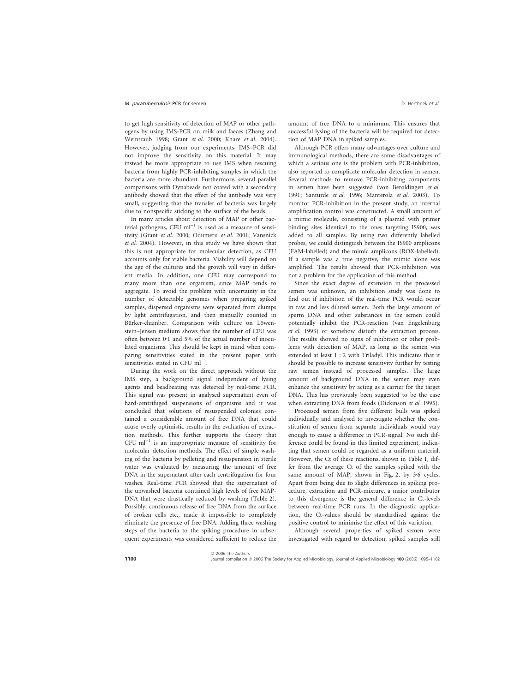#### M. paratuberculosis PCR for semen D. Herthnek et al.

to get high sensitivity of detection of MAP or other pathogens by using IMS-PCR on milk and faeces (Zhang and Weintraub 1998; Grant et al. 2000; Khare et al. 2004). However, judging from our experiments, IMS–PCR did not improve the sensitivity on this material. It may instead be more appropriate to use IMS when rescuing bacteria from highly PCR-inhibiting samples in which the bacteria are more abundant. Furthermore, several parallel comparisons with Dynabeads not coated with a secondary antibody showed that the effect of the antibody was very small, suggesting that the transfer of bacteria was largely due to nonspecific sticking to the surface of the beads.

In many articles about detection of MAP or other bacterial pathogens, CFU  $ml^{-1}$  is used as a measure of sensitivity (Grant et al. 2000; Odumeru et al. 2001; Vansnick et al. 2004). However, in this study we have shown that this is not appropriate for molecular detection, as CFU accounts only for viable bacteria. Viability will depend on the age of the cultures and the growth will vary in different media. In addition, one CFU may correspond to many more than one organism, since MAP tends to aggregate. To avoid the problem with uncertainty in the number of detectable genomes when preparing spiked samples, dispersed organisms were separated from clumps by light centrifugation, and then manually counted in Bürker-chamber. Comparison with culture on Löwenstein–Jensen medium shows that the number of CFU was often between 0.1 and 5% of the actual number of inoculated organisms. This should be kept in mind when comparing sensitivities stated in the present paper with sensitivities stated in CFU  $ml^{-1}$ .

During the work on the direct approach without the IMS step, a background signal independent of lysing agents and beadbeating was detected by real-time PCR. This signal was present in analysed supernatant even of hard-centrifuged suspensions of organisms and it was concluded that solutions of resuspended colonies contained a considerable amount of free DNA that could cause overly optimistic results in the evaluation of extraction methods. This further supports the theory that  $CFU$  ml<sup>-1</sup> is an inappropriate measure of sensitivity for molecular detection methods. The effect of simple washing of the bacteria by pelleting and resuspension in sterile water was evaluated by measuring the amount of free DNA in the supernatant after each centrifugation for four washes. Real-time PCR showed that the supernatant of the unwashed bacteria contained high levels of free MAP-DNA that were drastically reduced by washing (Table 2). Possibly, continuous release of free DNA from the surface of broken cells etc., made it impossible to completely eliminate the presence of free DNA. Adding three washing steps of the bacteria to the spiking procedure in subsequent experiments was considered sufficient to reduce the amount of free DNA to a minimum. This ensures that successful lysing of the bacteria will be required for detection of MAP DNA in spiked samples.

Although PCR offers many advantages over culture and immunological methods, there are some disadvantages of which a serious one is the problem with PCR-inhibition, also reported to complicate molecular detection in semen. Several methods to remove PCR-inhibiting components in semen have been suggested (von Beroldingen et al. 1991; Santurde et al. 1996; Manterola et al. 2003). To monitor PCR-inhibition in the present study, an internal amplification control was constructed. A small amount of a mimic molecule, consisting of a plasmid with primer binding sites identical to the ones targeting IS900, was added to all samples. By using two differently labelled probes, we could distinguish between the IS900 amplicons (FAM-labelled) and the mimic amplicons (ROX-labelled). If a sample was a true negative, the mimic alone was amplified. The results showed that PCR-inhibition was not a problem for the application of this method.

Since the exact degree of extension in the processed semen was unknown, an inhibition study was done to find out if inhibition of the real-time PCR would occur in raw and less diluted semen. Both the large amount of sperm DNA and other substances in the semen could potentially inhibit the PCR-reaction (van Engelenburg et al. 1993) or somehow disturb the extraction process. The results showed no signs of inhibition or other problems with detection of MAP, as long as the semen was extended at least 1 : 2 with Triladyl. This indicates that it should be possible to increase sensitivity further by testing raw semen instead of processed samples. The large amount of background DNA in the semen may even enhance the sensitivity by acting as a carrier for the target DNA. This has previously been suggested to be the case when extracting DNA from foods (Dickinson et al. 1995).

Processed semen from five different bulls was spiked individually and analysed to investigate whether the constitution of semen from separate individuals would vary enough to cause a difference in PCR-signal. No such difference could be found in this limited experiment, indicating that semen could be regarded as a uniform material. However, the Ct of these reactions, shown in Table 1, differ from the average Ct of the samples spiked with the same amount of MAP, shown in Fig. 2, by 3.6 cycles. Apart from being due to slight differences in spiking procedure, extraction and PCR-mixture, a major contributor to this divergence is the general difference in Ct-levels between real-time PCR runs. In the diagnostic application, the Ct-values should be standardised against the positive control to minimise the effect of this variation.

Although several properties of spiked semen were investigated with regard to detection, spiked samples still

ª 2006 The Authors

1100 Journal compilation ª 2006 The Society for Applied Microbiology, Journal of Applied Microbiology 100 (2006) 1095–1102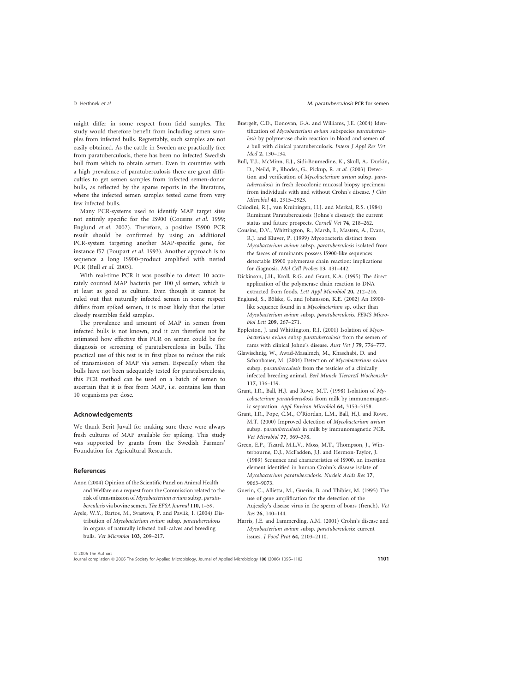might differ in some respect from field samples. The study would therefore benefit from including semen samples from infected bulls. Regrettably, such samples are not easily obtained. As the cattle in Sweden are practically free from paratuberculosis, there has been no infected Swedish bull from which to obtain semen. Even in countries with a high prevalence of paratuberculosis there are great difficulties to get semen samples from infected semen-donor bulls, as reflected by the sparse reports in the literature, where the infected semen samples tested came from very few infected bulls.

Many PCR-systems used to identify MAP target sites not entirely specific for the IS900 (Cousins et al. 1999; Englund et al. 2002). Therefore, a positive IS900 PCR result should be confirmed by using an additional PCR-system targeting another MAP-specific gene, for instance f57 (Poupart et al. 1993). Another approach is to sequence a long IS900-product amplified with nested PCR (Bull et al. 2003).

With real-time PCR it was possible to detect 10 accurately counted MAP bacteria per 100  $\mu$ l semen, which is at least as good as culture. Even though it cannot be ruled out that naturally infected semen in some respect differs from spiked semen, it is most likely that the latter closely resembles field samples.

The prevalence and amount of MAP in semen from infected bulls is not known, and it can therefore not be estimated how effective this PCR on semen could be for diagnosis or screening of paratuberculosis in bulls. The practical use of this test is in first place to reduce the risk of transmission of MAP via semen. Especially when the bulls have not been adequately tested for paratuberculosis, this PCR method can be used on a batch of semen to ascertain that it is free from MAP, i.e. contains less than 10 organisms per dose.

#### Acknowledgements

We thank Berit Juvall for making sure there were always fresh cultures of MAP available for spiking. This study was supported by grants from the Swedish Farmers' Foundation for Agricultural Research.

#### References

- Anon (2004) Opinion of the Scientific Panel on Animal Health and Welfare on a request from the Commission related to the risk of transmission of Mycobacterium avium subsp. paratuberculosis via bovine semen. The EFSA Journal 110, 1–59.
- Ayele, W.Y., Bartos, M., Svastova, P. and Pavlik, I. (2004) Distribution of Mycobacterium avium subsp. paratuberculosis in organs of naturally infected bull-calves and breeding bulls. Vet Microbiol 103, 209–217.

# D. Herthnek et al. **M. paratuberculosis PCR** for semen

- Buergelt, C.D., Donovan, G.A. and Williams, J.E. (2004) Identification of Mycobacterium avium subspecies paratuberculosis by polymerase chain reaction in blood and semen of a bull with clinical paratuberculosis. Intern J Appl Res Vet Med 2, 130–134.
- Bull, T.J., McMinn, E.J., Sidi-Boumedine, K., Skull, A., Durkin, D., Neild, P., Rhodes, G., Pickup, R. et al. (2003) Detection and verification of Mycobacterium avium subsp. paratuberculosis in fresh ileocolonic mucosal biopsy specimens from individuals with and without Crohn's disease. J Clin Microbiol 41, 2915–2923.
- Chiodini, R.J., van Kruiningen, H.J. and Merkal, R.S. (1984) Ruminant Paratuberculosis (Johne's disease): the current status and future prospects. Cornell Vet 74, 218-262.
- Cousins, D.V., Whittington, R., Marsh, I., Masters, A., Evans, R.J. and Kluver, P. (1999) Mycobacteria distinct from Mycobacterium avium subsp. paratuberculosis isolated from the faeces of ruminants possess IS900-like sequences detectable IS900 polymerase chain reaction: implications for diagnosis. Mol Cell Probes 13, 431–442.
- Dickinson, J.H., Kroll, R.G. and Grant, K.A. (1995) The direct application of the polymerase chain reaction to DNA extracted from foods. Lett Appl Microbiol 20, 212-216.
- Englund, S., Bölske, G. and Johansson, K.E. (2002) An IS900like sequence found in a Mycobacterium sp. other than Mycobacterium avium subsp. paratuberculosis. FEMS Microbiol Lett 209, 267–271.
- Eppleston, J. and Whittington, R.J. (2001) Isolation of Mycobacterium avium subsp paratuberculosis from the semen of rams with clinical Johne's disease. Aust Vet J 79, 776-777.
- Glawischnig, W., Awad-Masalmeh, M., Khaschabi, D. and Schonbauer, M. (2004) Detection of Mycobacterium avium subsp. *paratuberculosis* from the testicles of a clinically infected breeding animal. Berl Munch Tierarztl Wochenschr 117, 136–139.
- Grant, I.R., Ball, H.J. and Rowe, M.T. (1998) Isolation of Mycobacterium paratuberculosis from milk by immunomagnetic separation. Appl Environ Microbiol 64, 3153-3158.
- Grant, I.R., Pope, C.M., O'Riordan, L.M., Ball, H.J. and Rowe, M.T. (2000) Improved detection of Mycobacterium avium subsp. *paratuberculosis* in milk by immunomagnetic PCR. Vet Microbiol 77, 369–378.
- Green, E.P., Tizard, M.L.V., Moss, M.T., Thompson, J., Winterbourne, D.J., McFadden, J.J. and Hermon-Taylor, J. (1989) Sequence and characteristics of IS900, an insertion element identified in human Crohn's disease isolate of Mycobacterium paratuberculosis. Nucleic Acids Res 17, 9063–9073.
- Guerin, C., Allietta, M., Guerin, B. and Thibier, M. (1995) The use of gene amplification for the detection of the Aujeszky's disease virus in the sperm of boars (french). Vet Res 26, 140–144.
- Harris, J.E. and Lammerding, A.M. (2001) Crohn's disease and Mycobacterium avium subsp. paratuberculosis: current issues. J Food Prot 64, 2103–2110.

#### ª 2006 The Authors

Journal compilation  $\circledcirc$  2006 The Society for Applied Microbiology, Journal of Applied Microbiology 100 (2006) 1095–1102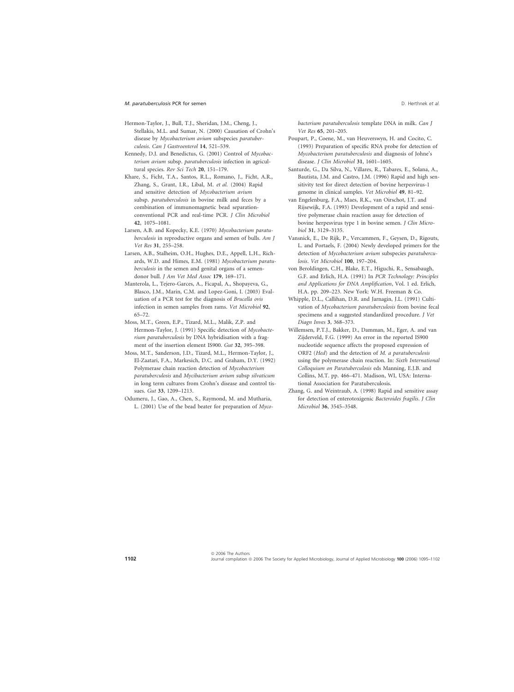#### M. paratuberculosis PCR for semen D. Herthnek et al.

- Hermon-Taylor, J., Bull, T.J., Sheridan, J.M., Cheng, J., Stellakis, M.L. and Sumar, N. (2000) Causation of Crohn's disease by Mycobacterium avium subspecies paratuberculosis. Can J Gastroenterol 14, 521–539.
- Kennedy, D.J. and Benedictus, G. (2001) Control of Mycobacterium avium subsp. paratuberculosis infection in agricultural species. Rev Sci Tech 20, 151–179.
- Khare, S., Ficht, T.A., Santos, R.L., Romano, J., Ficht, A.R., Zhang, S., Grant, I.R., Libal, M. et al. (2004) Rapid and sensitive detection of Mycobacterium avium subsp. paratuberculosis in bovine milk and feces by a combination of immunomagnetic bead separationconventional PCR and real-time PCR. J Clin Microbiol 42, 1075–1081.
- Larsen, A.B. and Kopecky, K.E. (1970) Mycobacterium paratuberculosis in reproductive organs and semen of bulls. Am J Vet Res 31, 255–258.
- Larsen, A.B., Stalheim, O.H., Hughes, D.E., Appell, L.H., Richards, W.D. and Himes, E.M. (1981) Mycobacterium paratuberculosis in the semen and genital organs of a semendonor bull. J Am Vet Med Assoc 179, 169-171.
- Manterola, L., Tejero-Garces, A., Ficapal, A., Shopayeva, G., Blasco, J.M., Marin, C.M. and Lopez-Goni, I. (2003) Evaluation of a PCR test for the diagnosis of Brucella ovis infection in semen samples from rams. Vet Microbiol 92, 65–72.
- Moss, M.T., Green, E.P., Tizard, M.L., Malik, Z.P. and Hermon-Taylor, J. (1991) Specific detection of Mycobacterium paratuberculosis by DNA hybridisation with a fragment of the insertion element IS900. Gut 32, 395–398.
- Moss, M.T., Sanderson, J.D., Tizard, M.L., Hermon-Taylor, J., El-Zaatari, F.A., Markesich, D.C. and Graham, D.Y. (1992) Polymerase chain reaction detection of Mycobacterium paratuberculosis and Mycibacterium avium subsp silvaticum in long term cultures from Crohn's disease and control tissues. Gut 33, 1209–1213.
- Odumeru, J., Gao, A., Chen, S., Raymond, M. and Mutharia, L. (2001) Use of the bead beater for preparation of Myco-

bacterium paratuberculosis template DNA in milk. Can J Vet Res 65, 201–205.

- Poupart, P., Coene, M., van Heuverswyn, H. and Cocito, C. (1993) Preparation of specific RNA probe for detection of Mycobacterium paratuberculosis and diagnosis of Johne's disease. J Clin Microbiol 31, 1601-1605.
- Santurde, G., Da Silva, N., Villares, R., Tabares, E., Solana, A., Bautista, J.M. and Castro, J.M. (1996) Rapid and high sensitivity test for direct detection of bovine herpesvirus-1 genome in clinical samples. Vet Microbiol 49, 81–92.
- van Engelenburg, F.A., Maes, R.K., van Oirschot, J.T. and Rijsewijk, F.A. (1993) Development of a rapid and sensitive polymerase chain reaction assay for detection of bovine herpesvirus type 1 in bovine semen. J Clin Microbiol 31, 3129–3135.
- Vansnick, E., De Rijk, P., Vercammen, F., Geysen, D., Rigouts, L. and Portaels, F. (2004) Newly developed primers for the detection of Mycobacterium avium subspecies paratuberculosis. Vet Microbiol 100, 197–204.
- von Beroldingen, C.H., Blake, E.T., Higuchi, R., Sensabaugh, G.F. and Erlich, H.A. (1991) In PCR Technology: Principles and Applications for DNA Amplification, Vol. 1 ed. Erlich, H.A. pp. 209–223. New York: W.H. Freeman & Co.
- Whipple, D.L., Callihan, D.R. and Jarnagin, J.L. (1991) Cultivation of Mycobacterium paratuberculosis from bovine fecal specimens and a suggested standardized procedure. J Vet Diagn Inves 3, 368–373.
- Willemsen, P.T.J., Bakker, D., Damman, M., Eger, A. and van Zijderveld, F.G. (1999) An error in the reported IS900 nucleotide sequence affects the proposed expression of ORF2 (Hed) and the detection of M. a paratuberculosis using the polymerase chain reaction. In: Sixth International Colloquium on Paratuberculosis eds Manning, E.J.B. and Collins, M.T. pp. 466–471. Madison, WI, USA: International Association for Paratuberculosis.
- Zhang, G. and Weintraub, A. (1998) Rapid and sensitive assay for detection of enterotoxigenic Bacteroides fragilis. J Clin Microbiol 36, 3545–3548.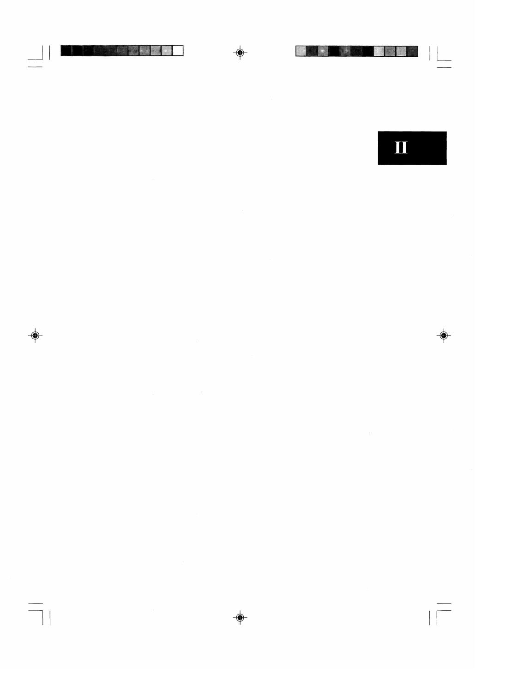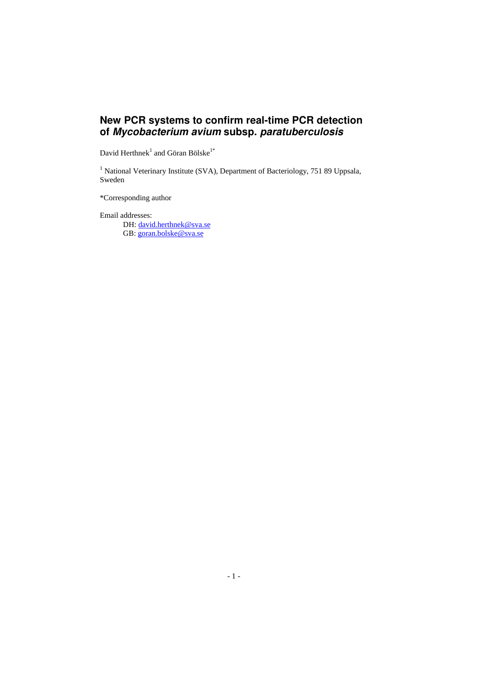# **New PCR systems to confirm real-time PCR detection of** *Mycobacterium avium* **subsp.** *paratuberculosis*

David Herthnek<sup>1</sup> and Göran Bölske<sup>1\*</sup>

<sup>1</sup> National Veterinary Institute (SVA), Department of Bacteriology, 751 89 Uppsala, Sweden

\*Corresponding author

Email addresses:

DH: david.herthnek@sva.se GB: goran.bolske@sva.se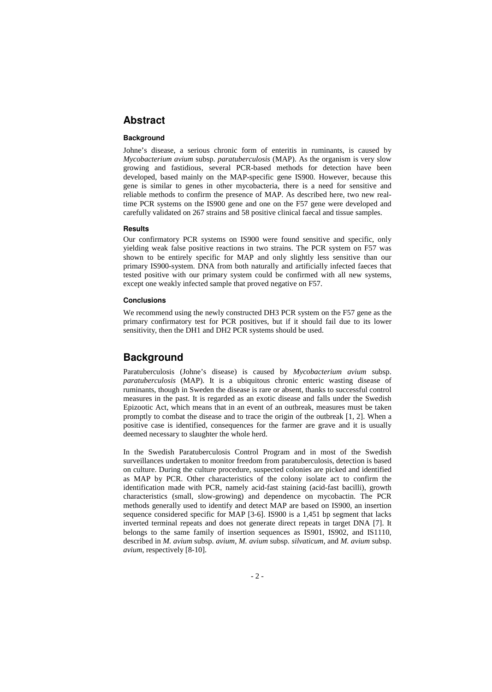# **Abstract**

## **Background**

Johne's disease, a serious chronic form of enteritis in ruminants, is caused by *Mycobacterium avium* subsp. *paratuberculosis* (MAP). As the organism is very slow growing and fastidious, several PCR-based methods for detection have been developed, based mainly on the MAP-specific gene IS900. However, because this gene is similar to genes in other mycobacteria, there is a need for sensitive and reliable methods to confirm the presence of MAP. As described here, two new realtime PCR systems on the IS900 gene and one on the F57 gene were developed and carefully validated on 267 strains and 58 positive clinical faecal and tissue samples.

#### **Results**

Our confirmatory PCR systems on IS900 were found sensitive and specific, only yielding weak false positive reactions in two strains. The PCR system on F57 was shown to be entirely specific for MAP and only slightly less sensitive than our primary IS900-system. DNA from both naturally and artificially infected faeces that tested positive with our primary system could be confirmed with all new systems, except one weakly infected sample that proved negative on F57.

#### **Conclusions**

We recommend using the newly constructed DH3 PCR system on the F57 gene as the primary confirmatory test for PCR positives, but if it should fail due to its lower sensitivity, then the DH1 and DH2 PCR systems should be used.

# **Background**

Paratuberculosis (Johne's disease) is caused by *Mycobacterium avium* subsp. *paratuberculosis* (MAP). It is a ubiquitous chronic enteric wasting disease of ruminants, though in Sweden the disease is rare or absent, thanks to successful control measures in the past. It is regarded as an exotic disease and falls under the Swedish Epizootic Act, which means that in an event of an outbreak, measures must be taken promptly to combat the disease and to trace the origin of the outbreak [1, 2]. When a positive case is identified, consequences for the farmer are grave and it is usually deemed necessary to slaughter the whole herd.

In the Swedish Paratuberculosis Control Program and in most of the Swedish surveillances undertaken to monitor freedom from paratuberculosis, detection is based on culture. During the culture procedure, suspected colonies are picked and identified as MAP by PCR. Other characteristics of the colony isolate act to confirm the identification made with PCR, namely acid-fast staining (acid-fast bacilli), growth characteristics (small, slow-growing) and dependence on mycobactin. The PCR methods generally used to identify and detect MAP are based on IS900, an insertion sequence considered specific for MAP [3-6]. IS900 is a 1,451 bp segment that lacks inverted terminal repeats and does not generate direct repeats in target DNA [7]. It belongs to the same family of insertion sequences as IS901, IS902, and IS1110, described in *M. avium* subsp. *avium*, *M. avium* subsp. *silvaticum*, and *M. avium* subsp. *avium*, respectively [8-10].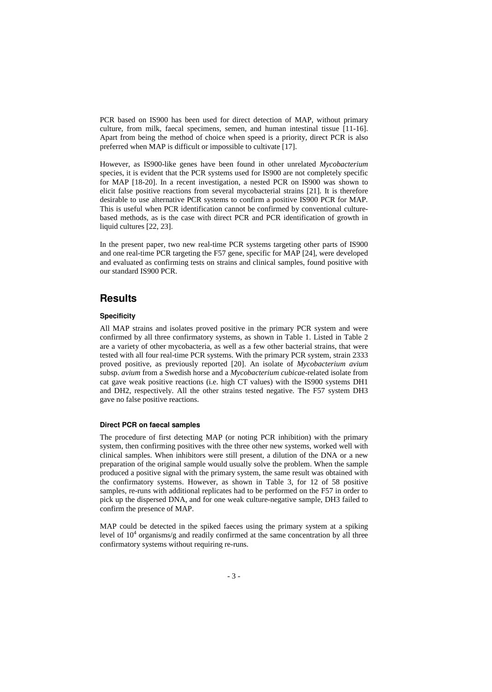PCR based on IS900 has been used for direct detection of MAP, without primary culture, from milk, faecal specimens, semen, and human intestinal tissue [11-16]. Apart from being the method of choice when speed is a priority, direct PCR is also preferred when MAP is difficult or impossible to cultivate [17].

However, as IS900-like genes have been found in other unrelated *Mycobacterium* species, it is evident that the PCR systems used for IS900 are not completely specific for MAP [18-20]. In a recent investigation, a nested PCR on IS900 was shown to elicit false positive reactions from several mycobacterial strains [21]. It is therefore desirable to use alternative PCR systems to confirm a positive IS900 PCR for MAP*.* This is useful when PCR identification cannot be confirmed by conventional culturebased methods, as is the case with direct PCR and PCR identification of growth in liquid cultures [22, 23].

In the present paper, two new real-time PCR systems targeting other parts of IS900 and one real-time PCR targeting the F57 gene, specific for MAP [24], were developed and evaluated as confirming tests on strains and clinical samples, found positive with our standard IS900 PCR.

# **Results**

### **Specificity**

All MAP strains and isolates proved positive in the primary PCR system and were confirmed by all three confirmatory systems, as shown in Table 1. Listed in Table 2 are a variety of other mycobacteria, as well as a few other bacterial strains, that were tested with all four real-time PCR systems. With the primary PCR system, strain 2333 proved positive, as previously reported [20]. An isolate of *Mycobacterium avium* subsp. *avium* from a Swedish horse and a *Mycobacterium cubicae*-related isolate from cat gave weak positive reactions (i.e. high CT values) with the IS900 systems DH1 and DH2, respectively. All the other strains tested negative. The F57 system DH3 gave no false positive reactions.

### **Direct PCR on faecal samples**

The procedure of first detecting MAP (or noting PCR inhibition) with the primary system, then confirming positives with the three other new systems, worked well with clinical samples. When inhibitors were still present, a dilution of the DNA or a new preparation of the original sample would usually solve the problem. When the sample produced a positive signal with the primary system, the same result was obtained with the confirmatory systems. However, as shown in Table 3, for 12 of 58 positive samples, re-runs with additional replicates had to be performed on the F57 in order to pick up the dispersed DNA, and for one weak culture-negative sample, DH3 failed to confirm the presence of MAP.

MAP could be detected in the spiked faeces using the primary system at a spiking level of  $10<sup>4</sup>$  organisms/g and readily confirmed at the same concentration by all three confirmatory systems without requiring re-runs.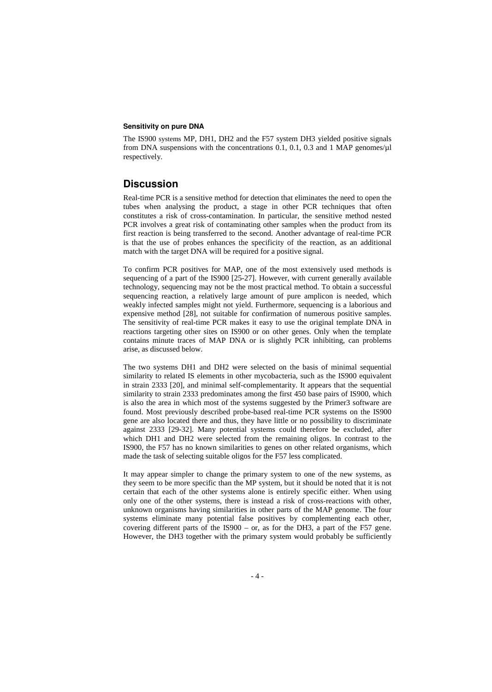### **Sensitivity on pure DNA**

The IS900 systems MP, DH1, DH2 and the F57 system DH3 yielded positive signals from DNA suspensions with the concentrations 0.1, 0.1, 0.3 and 1 MAP genomes/ $\mu$ l respectively.

# **Discussion**

Real-time PCR is a sensitive method for detection that eliminates the need to open the tubes when analysing the product, a stage in other PCR techniques that often constitutes a risk of cross-contamination. In particular, the sensitive method nested PCR involves a great risk of contaminating other samples when the product from its first reaction is being transferred to the second. Another advantage of real-time PCR is that the use of probes enhances the specificity of the reaction, as an additional match with the target DNA will be required for a positive signal.

To confirm PCR positives for MAP, one of the most extensively used methods is sequencing of a part of the IS900 [25-27]. However, with current generally available technology, sequencing may not be the most practical method. To obtain a successful sequencing reaction, a relatively large amount of pure amplicon is needed, which weakly infected samples might not yield. Furthermore, sequencing is a laborious and expensive method [28], not suitable for confirmation of numerous positive samples. The sensitivity of real-time PCR makes it easy to use the original template DNA in reactions targeting other sites on IS900 or on other genes. Only when the template contains minute traces of MAP DNA or is slightly PCR inhibiting, can problems arise, as discussed below.

The two systems DH1 and DH2 were selected on the basis of minimal sequential similarity to related IS elements in other mycobacteria, such as the IS900 equivalent in strain 2333 [20], and minimal self-complementarity. It appears that the sequential similarity to strain 2333 predominates among the first 450 base pairs of IS900, which is also the area in which most of the systems suggested by the Primer3 software are found. Most previously described probe-based real-time PCR systems on the IS900 gene are also located there and thus, they have little or no possibility to discriminate against 2333 [29-32]. Many potential systems could therefore be excluded, after which DH1 and DH2 were selected from the remaining oligos. In contrast to the IS900, the F57 has no known similarities to genes on other related organisms, which made the task of selecting suitable oligos for the F57 less complicated.

It may appear simpler to change the primary system to one of the new systems, as they seem to be more specific than the MP system, but it should be noted that it is not certain that each of the other systems alone is entirely specific either. When using only one of the other systems, there is instead a risk of cross-reactions with other, unknown organisms having similarities in other parts of the MAP genome. The four systems eliminate many potential false positives by complementing each other, covering different parts of the  $IS900 - or$ , as for the DH3, a part of the F57 gene. However, the DH3 together with the primary system would probably be sufficiently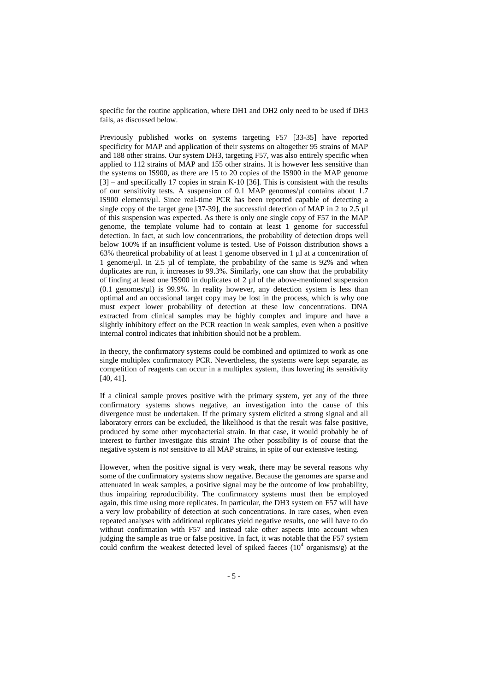specific for the routine application, where DH1 and DH2 only need to be used if DH3 fails, as discussed below.

Previously published works on systems targeting F57 [33-35] have reported specificity for MAP and application of their systems on altogether 95 strains of MAP and 188 other strains. Our system DH3, targeting F57, was also entirely specific when applied to 112 strains of MAP and 155 other strains. It is however less sensitive than the systems on IS900, as there are 15 to 20 copies of the IS900 in the MAP genome [3] – and specifically 17 copies in strain K-10 [36]. This is consistent with the results of our sensitivity tests. A suspension of 0.1 MAP genomes/μl contains about 1.7 IS900 elements/μl. Since real-time PCR has been reported capable of detecting a single copy of the target gene [37-39], the successful detection of MAP in 2 to 2.5 μl of this suspension was expected. As there is only one single copy of F57 in the MAP genome, the template volume had to contain at least 1 genome for successful detection. In fact, at such low concentrations, the probability of detection drops well below 100% if an insufficient volume is tested. Use of Poisson distribution shows a 63% theoretical probability of at least 1 genome observed in 1 μl at a concentration of 1 genome/μl. In 2.5 μl of template, the probability of the same is 92% and when duplicates are run, it increases to 99.3%. Similarly, one can show that the probability of finding at least one IS900 in duplicates of 2 μl of the above-mentioned suspension  $(0.1 \text{ genomes}/\mu\text{l})$  is 99.9%. In reality however, any detection system is less than optimal and an occasional target copy may be lost in the process, which is why one must expect lower probability of detection at these low concentrations. DNA extracted from clinical samples may be highly complex and impure and have a slightly inhibitory effect on the PCR reaction in weak samples, even when a positive internal control indicates that inhibition should not be a problem.

In theory, the confirmatory systems could be combined and optimized to work as one single multiplex confirmatory PCR. Nevertheless, the systems were kept separate, as competition of reagents can occur in a multiplex system, thus lowering its sensitivity [40, 41].

If a clinical sample proves positive with the primary system, yet any of the three confirmatory systems shows negative, an investigation into the cause of this divergence must be undertaken. If the primary system elicited a strong signal and all laboratory errors can be excluded, the likelihood is that the result was false positive, produced by some other mycobacterial strain. In that case, it would probably be of interest to further investigate this strain! The other possibility is of course that the negative system is *not* sensitive to all MAP strains, in spite of our extensive testing.

However, when the positive signal is very weak, there may be several reasons why some of the confirmatory systems show negative. Because the genomes are sparse and attenuated in weak samples, a positive signal may be the outcome of low probability, thus impairing reproducibility. The confirmatory systems must then be employed again, this time using more replicates. In particular, the DH3 system on F57 will have a very low probability of detection at such concentrations. In rare cases, when even repeated analyses with additional replicates yield negative results, one will have to do without confirmation with F57 and instead take other aspects into account when judging the sample as true or false positive. In fact, it was notable that the F57 system could confirm the weakest detected level of spiked faeces  $(10^4 \text{ organisms/g})$  at the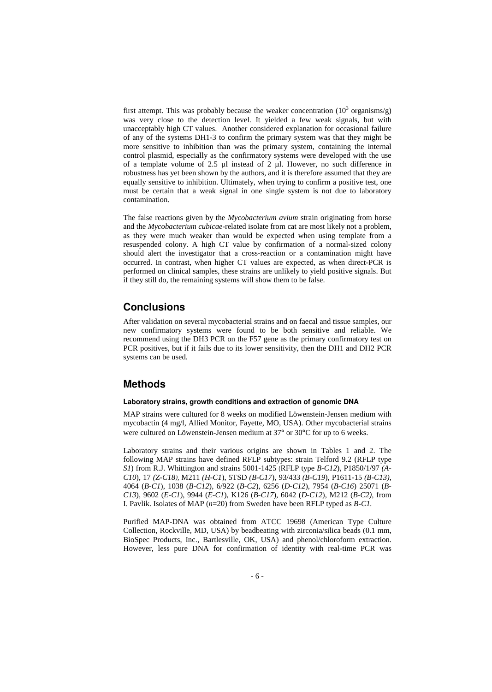first attempt. This was probably because the weaker concentration  $(10^3 \text{ organisms/g})$ was very close to the detection level. It yielded a few weak signals, but with unacceptably high CT values. Another considered explanation for occasional failure of any of the systems DH1-3 to confirm the primary system was that they might be more sensitive to inhibition than was the primary system, containing the internal control plasmid, especially as the confirmatory systems were developed with the use of a template volume of 2.5 μl instead of 2 μl. However, no such difference in robustness has yet been shown by the authors, and it is therefore assumed that they are equally sensitive to inhibition. Ultimately, when trying to confirm a positive test, one must be certain that a weak signal in one single system is not due to laboratory contamination.

The false reactions given by the *Mycobacterium avium* strain originating from horse and the *Mycobacterium cubicae*-related isolate from cat are most likely not a problem, as they were much weaker than would be expected when using template from a resuspended colony. A high CT value by confirmation of a normal-sized colony should alert the investigator that a cross-reaction or a contamination might have occurred. In contrast, when higher CT values are expected, as when direct-PCR is performed on clinical samples, these strains are unlikely to yield positive signals. But if they still do, the remaining systems will show them to be false.

# **Conclusions**

After validation on several mycobacterial strains and on faecal and tissue samples, our new confirmatory systems were found to be both sensitive and reliable. We recommend using the DH3 PCR on the F57 gene as the primary confirmatory test on PCR positives, but if it fails due to its lower sensitivity, then the DH1 and DH2 PCR systems can be used.

# **Methods**

#### **Laboratory strains, growth conditions and extraction of genomic DNA**

MAP strains were cultured for 8 weeks on modified Löwenstein-Jensen medium with mycobactin (4 mg/l, Allied Monitor, Fayette, MO, USA). Other mycobacterial strains were cultured on Löwenstein-Jensen medium at 37° or 30°C for up to 6 weeks.

Laboratory strains and their various origins are shown in Tables 1 and 2. The following MAP strains have defined RFLP subtypes: strain Telford 9.2 (RFLP type *S1*) from R.J. Whittington and strains 5001-1425 (RFLP type *B-C12*), P1850/1/97 *(A-C10*), 17 *(Z-C18*), M211 *(H-C1*), 5TSD *(B-C17*), 93/433 *(B-C19*), P1611-15 *(B-C13),* 4064 (*B-C1*), 1038 (*B-C12*), 6/922 (*B-C2*), 6256 (*D-C12*), 7954 (*B-C16*) 25071 (*B-C13*), 9602 (*E-C1*), 9944 (*E-C1*), K126 (*B-C17*), 6042 (*D-C12*), M212 (*B-C2),* from I. Pavlik. Isolates of MAP (*n*=20) from Sweden have been RFLP typed as *B-C1.* 

Purified MAP-DNA was obtained from ATCC 19698 (American Type Culture Collection, Rockville, MD, USA) by beadbeating with zirconia/silica beads (0.1 mm, BioSpec Products, Inc., Bartlesville, OK, USA) and phenol/chloroform extraction. However, less pure DNA for confirmation of identity with real-time PCR was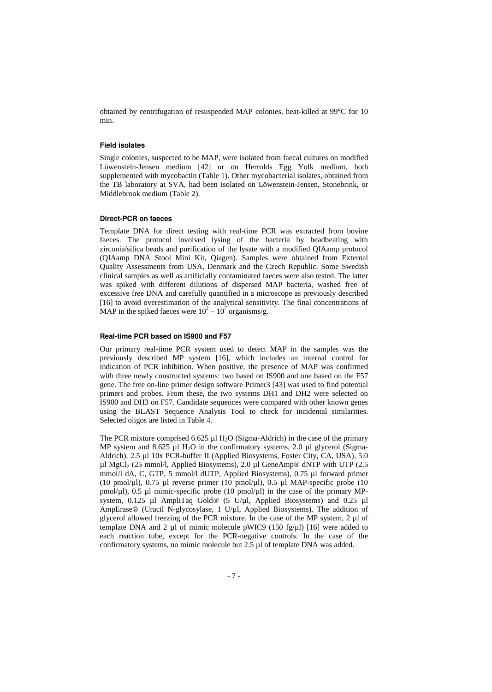obtained by centrifugation of resuspended MAP colonies, heat-killed at 99°C for 10 min.

#### **Field isolates**

Single colonies, suspected to be MAP*,* were isolated from faecal cultures on modified Löwenstein-Jensen medium [42] or on Herrolds Egg Yolk medium, both supplemented with mycobactin (Table 1). Other mycobacterial isolates, obtained from the TB laboratory at SVA, had been isolated on Löwenstein-Jensen, Stonebrink, or Middlebrook medium (Table 2).

### **Direct-PCR on faeces**

Template DNA for direct testing with real-time PCR was extracted from bovine faeces. The protocol involved lysing of the bacteria by beadbeating with zirconia/silica beads and purification of the lysate with a modified QIAamp protocol (QIAamp DNA Stool Mini Kit, Qiagen). Samples were obtained from External Quality Assessments from USA, Denmark and the Czech Republic. Some Swedish clinical samples as well as artificially contaminated faeces were also tested. The latter was spiked with different dilutions of dispersed MAP bacteria, washed free of excessive free DNA and carefully quantified in a microscope as previously described [16] to avoid overestimation of the analytical sensitivity. The final concentrations of MAP in the spiked faeces were  $10^2 - 10^7$  organisms/g.

### **Real-time PCR based on IS900 and F57**

Our primary real-time PCR system used to detect MAP in the samples was the previously described MP system [16], which includes an internal control for indication of PCR inhibition. When positive, the presence of MAP was confirmed with three newly constructed systems: two based on IS900 and one based on the F57 gene. The free on-line primer design software Primer3 [43] was used to find potential primers and probes. From these, the two systems DH1 and DH2 were selected on IS900 and DH3 on F57. Candidate sequences were compared with other known genes using the BLAST Sequence Analysis Tool to check for incidental similarities. Selected oligos are listed in Table 4.

The PCR mixture comprised 6.625 μl  $H_2O$  (Sigma-Aldrich) in the case of the primary MP system and 8.625 μl H<sub>2</sub>O in the confirmatory systems, 2.0 μl glycerol (Sigma-Aldrich), 2.5 μl 10x PCR-buffer II (Applied Biosystems, Foster City, CA, USA), 5.0 μl MgCl<sub>2</sub> (25 mmol/l, Applied Biosystems), 2.0 μl GeneAmp® dNTP with UTP (2.5 mmol/l dA, C, GTP, 5 mmol/l dUTP, Applied Biosystems), 0.75 μl forward primer (10 pmol/μl), 0.75 μl reverse primer (10 pmol/μl), 0.5 μl MAP-specific probe (10 pmol/μl), 0.5 μl mimic-specific probe (10 pmol/μl) in the case of the primary MPsystem, 0.125 μl AmpliTaq Gold® (5 U/μl, Applied Biosystems) and 0.25 μl AmpErase® (Uracil N-glycosylase, 1 U/μl, Applied Biosystems). The addition of glycerol allowed freezing of the PCR mixture. In the case of the MP system, 2 μl of template DNA and 2 μl of mimic molecule pWIC9 (150 fg/μl) [16] were added to each reaction tube, except for the PCR-negative controls. In the case of the confirmatory systems, no mimic molecule but 2.5 μl of template DNA was added.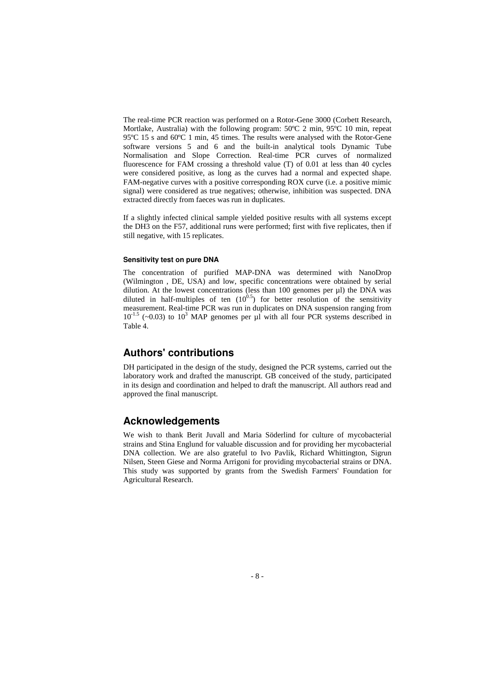The real-time PCR reaction was performed on a Rotor-Gene 3000 (Corbett Research, Mortlake, Australia) with the following program: 50ºC 2 min, 95ºC 10 min, repeat 95ºC 15 s and 60ºC 1 min, 45 times. The results were analysed with the Rotor-Gene software versions 5 and 6 and the built-in analytical tools Dynamic Tube Normalisation and Slope Correction. Real-time PCR curves of normalized fluorescence for FAM crossing a threshold value (T) of 0.01 at less than 40 cycles were considered positive, as long as the curves had a normal and expected shape. FAM-negative curves with a positive corresponding ROX curve (i.e. a positive mimic signal) were considered as true negatives; otherwise, inhibition was suspected. DNA extracted directly from faeces was run in duplicates.

If a slightly infected clinical sample yielded positive results with all systems except the DH3 on the F57, additional runs were performed; first with five replicates, then if still negative, with 15 replicates.

#### **Sensitivity test on pure DNA**

The concentration of purified MAP-DNA was determined with NanoDrop (Wilmington , DE, USA) and low, specific concentrations were obtained by serial dilution. At the lowest concentrations (less than 100 genomes per μl) the DNA was diluted in half-multiples of ten  $(10^{0.5})$  for better resolution of the sensitivity measurement. Real-time PCR was run in duplicates on DNA suspension ranging from  $10^{-1.5}$  (~0.03) to  $10^3$  MAP genomes per µl with all four PCR systems described in Table 4.

# **Authors' contributions**

DH participated in the design of the study, designed the PCR systems, carried out the laboratory work and drafted the manuscript. GB conceived of the study, participated in its design and coordination and helped to draft the manuscript. All authors read and approved the final manuscript.

# **Acknowledgements**

We wish to thank Berit Juvall and Maria Söderlind for culture of mycobacterial strains and Stina Englund for valuable discussion and for providing her mycobacterial DNA collection. We are also grateful to Ivo Pavlik, Richard Whittington, Sigrun Nilsen, Steen Giese and Norma Arrigoni for providing mycobacterial strains or DNA. This study was supported by grants from the Swedish Farmers' Foundation for Agricultural Research.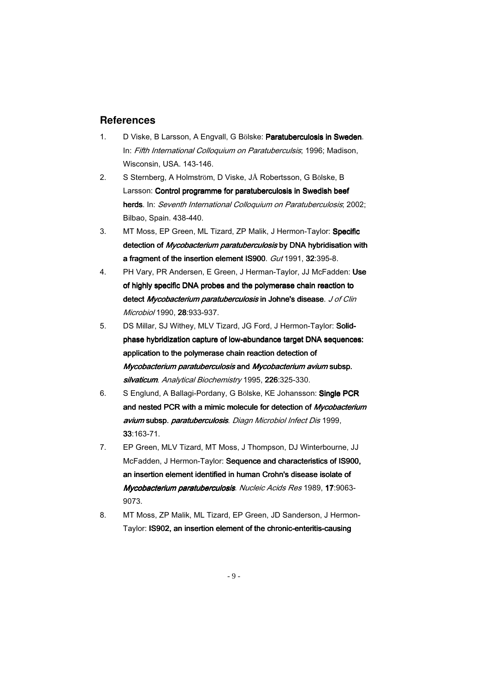# **References**

- $1.$ D Viske, B Larsson, A Engvall, G Bölske: Paratuberculosis in Sweden. In: Fifth International Colloquium on Paratuberculsis, 1996; Madison, Wisconsin, USA. 143-146.
- $2.$ S Sternberg, A Holmström, D Viske, JÅ Robertsson, G Bölske, B Larsson: Control programme for paratuberculosis in Swedish beef herds. In: Seventh International Colloquium on Paratuberculosis; 2002; Bilbao, Spain. 438-440.
- 3. MT Moss, EP Green, ML Tizard, ZP Malik, J Hermon-Taylor: Specific detection of Mycobacterium paratuberculosis by DNA hybridisation with a fragment of the insertion element IS900. Gut 1991, 32:395-8.
- $\overline{4}$ . PH Vary, PR Andersen, E Green, J Herman-Taylor, JJ McFadden: Use of highly specific DNA probes and the polymerase chain reaction to detect Mycobacterium paratuberculosis in Johne's disease. J of Clin Microbiol 1990, 28:933-937.
- 5. DS Millar, SJ Withey, MLV Tizard, JG Ford, J Hermon-Taylor: Solidphase hybridization capture of low-abundance target DNA sequences: application to the polymerase chain reaction detection of Mycobacterium paratuberculosis and Mycobacterium avium subsp. silvaticum. Analytical Biochemistry 1995, 226:325-330.
- 6. S Englund, A Ballagi-Pordany, G Bölske, KE Johansson: Single PCR and nested PCR with a mimic molecule for detection of Mycobacterium avium subsp. paratuberculosis. Diagn Microbiol Infect Dis 1999, 33:163-71.
- $\overline{7}$ . EP Green, MLV Tizard, MT Moss, J Thompson, DJ Winterbourne, JJ McFadden, J Hermon-Taylor: Sequence and characteristics of IS900, an insertion element identified in human Crohn's disease isolate of Mycobacterium paratuberculosis. Nucleic Acids Res 1989, 17:9063-9073.
- MT Moss, ZP Malik, ML Tizard, EP Green, JD Sanderson, J Hermon-8. Taylor: IS902, an insertion element of the chronic-enteritis-causing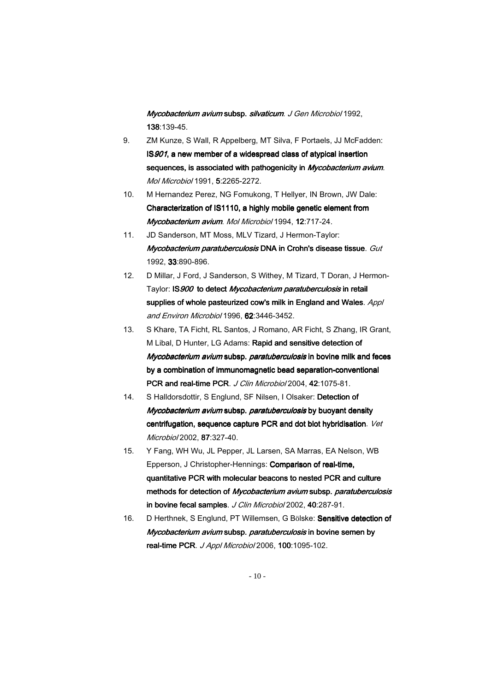Mycobacterium avium subsp. silvaticum. J Gen Microbiol 1992, 138:139-45.

- 9. ZM Kunze, S Wall, R Appelberg, MT Silva, F Portaels, JJ McFadden: IS 901, a new member of a widespread class of atypical insertion sequences, is associated with pathogenicity in Mycobacterium avium. Mol Microbiol 1991, 5:2265-2272.
- M Hernandez Perez, NG Fomukong, T Hellyer, IN Brown, JW Dale:  $10.$ Characterization of IS1110, a highly mobile genetic element from Mycobacterium avium. Mol Microbiol 1994, 12:717-24.
- $11.$ JD Sanderson, MT Moss, MLV Tizard, J Hermon-Taylor: Mycobacterium paratuberculosis DNA in Crohn's disease tissue. Gut 1992, 33:890-896.
- $12.$ D Millar, J Ford, J Sanderson, S Withey, M Tizard, T Doran, J Hermon-Taylor: IS 900 to detect Mycobacterium paratuberculosis in retail supplies of whole pasteurized cow's milk in England and Wales. Appl and Environ Microbiol 1996, 62:3446-3452.
- $13.$ S Khare, TA Ficht, RL Santos, J Romano, AR Ficht, S Zhang, IR Grant, M Libal, D Hunter, LG Adams: Rapid and sensitive detection of Mycobacterium avium subsp. paratuberculosis in bovine milk and feces by a combination of immunomagnetic bead separation-conventional PCR and real-time PCR. J Clin Microbiol 2004, 42:1075-81.
- $14.$ S Halldorsdottir, S Englund, SF Nilsen, I Olsaker: Detection of Mycobacterium avium subsp. paratuberculosis by buoyant density centrifugation, sequence capture PCR and dot blot hybridisation. Vet Microbiol 2002, 87:327-40.
- $15.$ Y Fang. WH Wu. JL Pepper, JL Larsen, SA Marras, EA Nelson, WB Epperson, J Christopher-Hennings: Comparison of real-time, quantitative PCR with molecular beacons to nested PCR and culture methods for detection of Mycobacterium avium subsp. paratuberculosis in bovine fecal samples. J Clin Microbiol 2002, 40:287-91.
- D Herthnek, S Englund, PT Willemsen, G Bölske: Sensitive detection of 16. Mycobacterium avium subsp. paratuberculosis in bovine semen by real-time PCR. J Appl Microbiol 2006, 100:1095-102.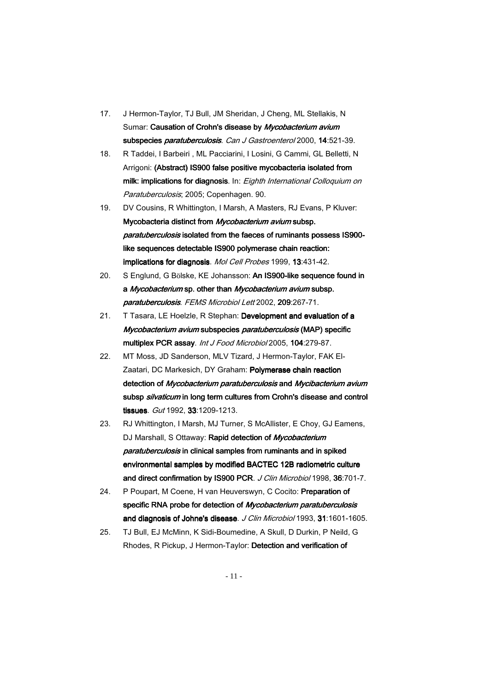- $17<sub>1</sub>$ J Hermon-Taylor, TJ Bull, JM Sheridan, J Cheng, ML Stellakis, N Sumar: Causation of Crohn's disease by Mycobacterium avium subspecies paratuberculosis. Can J Gastroenterol 2000, 14:521-39.
- R Taddei, I Barbeiri, ML Pacciarini, I Losini, G Cammi, GL Belletti, N 18. Arrigoni: (Abstract) IS900 false positive mycobacteria isolated from milk: implications for diagnosis. In: Eighth International Colloquium on Paratuberculosis; 2005; Copenhagen. 90.
- 19. DV Cousins, R Whittington, I Marsh, A Masters, RJ Evans, P Kluver; Mycobacteria distinct from Mycobacterium avium subsp. paratuberculosis isolated from the faeces of ruminants possess IS900like sequences detectable IS900 polymerase chain reaction: implications for diagnosis. Mol Cell Probes 1999, 13:431-42.
- 20. S Englund, G Bölske, KE Johansson: An IS900-like sequence found in a Mycobacterium sp. other than Mycobacterium avium subsp. paratuberculosis. FEMS Microbiol Lett 2002, 209:267-71.
- T Tasara, LE Hoelzle, R Stephan: Development and evaluation of a  $21.$ Mycobacterium avium subspecies paratuberculosis (MAP) specific multiplex PCR assay. Int J Food Microbiol 2005, 104:279-87.
- $22.$ MT Moss, JD Sanderson, MLV Tizard, J Hermon-Taylor, FAK El-Zaatari, DC Markesich, DY Graham: Polymerase chain reaction detection of Mycobacterium paratuberculosis and Mycibacterium avium subsp silvaticum in long term cultures from Crohn's disease and control tissues. Gut 1992, 33:1209-1213.
- 23. RJ Whittington, I Marsh, MJ Turner, S McAllister, E Choy, GJ Eamens, DJ Marshall, S Ottaway: Rapid detection of Mycobacterium *paratuberculosis* in clinical samples from ruminants and in spiked environmental samples by modified BACTEC 12B radiometric culture and direct confirmation by IS900 PCR. J Clin Microbiol 1998, 36:701-7.
- $24.$ P Poupart, M Coene, H van Heuverswyn, C Cocito: Preparation of specific RNA probe for detection of Mycobacterium paratuberculosis and diagnosis of Johne's disease. J Clin Microbiol 1993, 31:1601-1605.
- 25. TJ Bull, EJ McMinn, K Sidi-Boumedine, A Skull, D Durkin, P Neild, G Rhodes, R Pickup, J Hermon-Taylor: Detection and verification of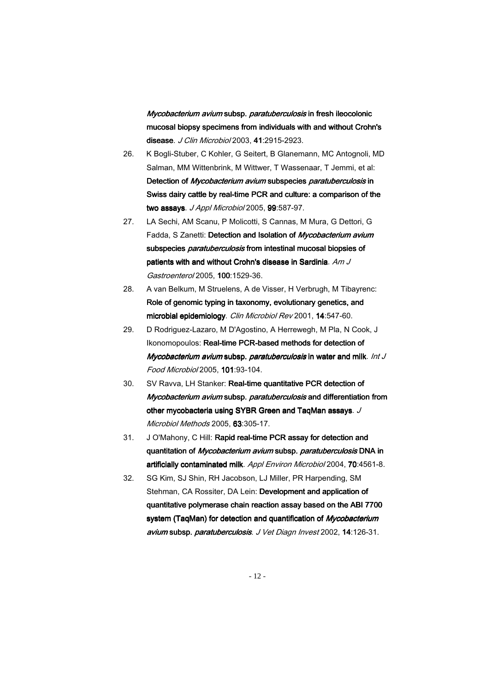Mycobacterium avium subsp. paratuberculosis in fresh ileocolonic mucosal biopsy specimens from individuals with and without Crohn's disease. J Clin Microbiol 2003, 41:2915-2923.

- 26. K Bogli-Stuber, C Kohler, G Seitert, B Glanemann, MC Antognoli, MD Salman, MM Wittenbrink, M Wittwer, T Wassenaar, T Jemmi, et al: Detection of Mycobacterium avium subspecies paratuberculosis in Swiss dairy cattle by real-time PCR and culture: a comparison of the two assays. J Appl Microbiol 2005, 99:587-97.
- 27. LA Sechi, AM Scanu, P Molicotti, S Cannas, M Mura, G Dettori, G Fadda, S Zanetti: Detection and Isolation of Mycobacterium avium subspecies *paratuberculosis* from intestinal mucosal biopsies of patients with and without Crohn's disease in Sardinia. Am J Gastroenterol 2005, 100:1529-36.
- 28. A van Belkum, M Struelens, A de Visser, H Verbrugh, M Tibayrenc: Role of genomic typing in taxonomy, evolutionary genetics, and microbial epidemiology. Clin Microbiol Rev 2001, 14:547-60.
- 29. D Rodriguez-Lazaro, M D'Agostino, A Herrewegh, M Pla, N Cook, J Ikonomopoulos: Real-time PCR-based methods for detection of Mycobacterium avium subsp. paratuberculosis in water and milk. Int J Food Microbiol 2005, 101:93-104.
- 30. SV Ravva, LH Stanker: Real-time quantitative PCR detection of Mycobacterium avium subsp. paratuberculosis and differentiation from other mycobacteria using SYBR Green and TaqMan assays. J Microbiol Methods 2005, 63:305-17.
- $31.$ J O'Mahony, C Hill: Rapid real-time PCR assay for detection and quantitation of Mycobacterium avium subsp. paratuberculosis DNA in artificially contaminated milk. Appl Environ Microbiol 2004, 70:4561-8.
- 32. SG Kim, SJ Shin, RH Jacobson, LJ Miller, PR Harpending, SM Stehman, CA Rossiter, DA Lein: Development and application of quantitative polymerase chain reaction assay based on the ABI 7700 system (TaqMan) for detection and quantification of Mycobacterium avium subsp. paratuberculosis. J Vet Diagn Invest 2002, 14:126-31.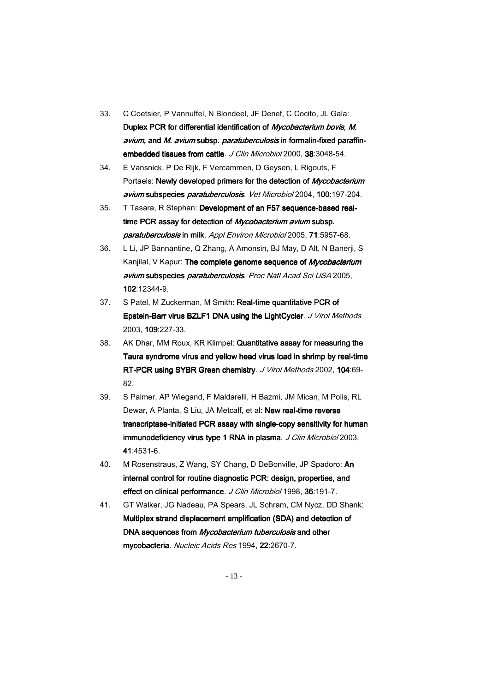- 33. C Coetsier, P Vannuffel, N Blondeel, JF Denef, C Cocito, JL Gala: Duplex PCR for differential identification of Mycobacterium bovis, M. avium, and M. avium subsp. paratuberculosis in formalin-fixed paraffinembedded tissues from cattle. J Clin Microbiol 2000, 38:3048-54.
- E Vansnick, P De Rijk, F Vercammen, D Geysen, L Rigouts, F 34. Portaels: Newly developed primers for the detection of Mycobacterium avium subspecies paratuberculosis. Vet Microbiol 2004, 100:197-204.
- 35. T Tasara, R Stephan: Development of an F57 sequence-based realtime PCR assay for detection of Mycobacterium avium subsp. paratuberculosis in milk. Appl Environ Microbiol 2005, 71:5957-68.
- 36. L Li, JP Bannantine, Q Zhang, A Amonsin, BJ May, D Alt, N Banerji, S Kanjilal, V Kapur: The complete genome sequence of Mycobacterium avium subspecies paratuberculosis. Proc Natl Acad Sci USA 2005, 102:12344-9.
- 37. S Patel, M Zuckerman, M Smith: Real-time quantitative PCR of Epstein-Barr virus BZLF1 DNA using the LightCycler. J Virol Methods 2003, 109:227-33.
- AK Dhar, MM Roux, KR Klimpel: Quantitative assay for measuring the 38. Taura syndrome virus and yellow head virus load in shrimp by real-time RT-PCR using SYBR Green chemistry. J Virol Methods 2002, 104:69-82.
- 39. S Palmer, AP Wiegand, F Maldarelli, H Bazmi, JM Mican, M Polis, RL Dewar, A Planta, S Liu, JA Metcalf, et al: New real-time reverse transcriptase-initiated PCR assay with single-copy sensitivity for human immunodeficiency virus type 1 RNA in plasma. J Clin Microbiol 2003, 41:4531-6.
- 40. M Rosenstraus, Z Wang, SY Chang, D DeBonville, JP Spadoro: An internal control for routine diagnostic PCR: design, properties, and effect on clinical performance. J Clin Microbiol 1998, 36:191-7.
- 41. GT Walker, JG Nadeau, PA Spears, JL Schram, CM Nycz, DD Shank: Multiplex strand displacement amplification (SDA) and detection of DNA sequences from Mycobacterium tuberculosis and other mycobacteria. Nucleic Acids Res 1994, 22:2670-7.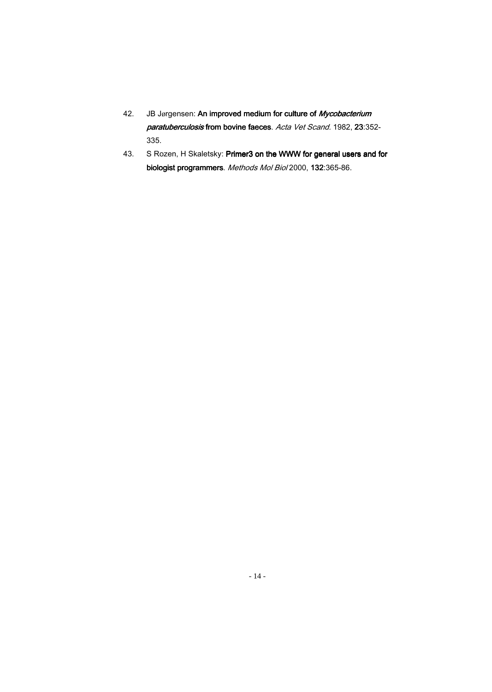- 42. JB Jørgensen: An improved medium for culture of Mycobacterium paratuberculosis from bovine faeces. Acta Vet Scand. 1982, 23:352-335.
- 43. S Rozen, H Skaletsky: Primer3 on the WWW for general users and for biologist programmers. Methods Mol Biol 2000, 132:365-86.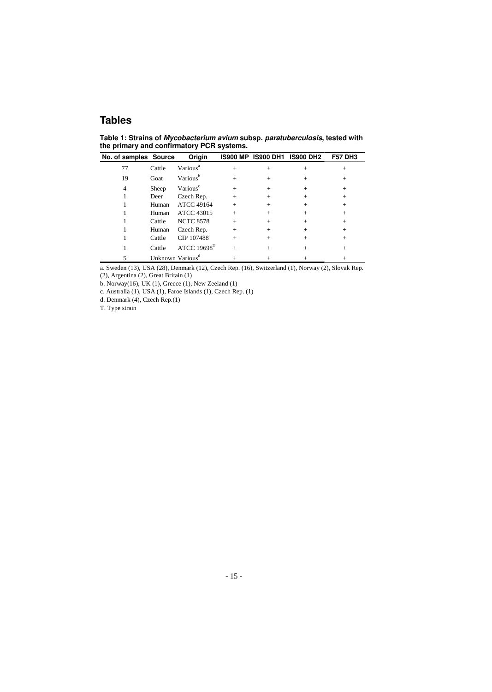# **Tables**

**Table 1: Strains of** *Mycobacterium avium* **subsp.** *paratuberculosis***, tested with the primary and confirmatory PCR systems.** 

| No. of samples Source |                              | Origin                    | <b>IS900 MP</b> | <b>IS900 DH1</b> | <b>IS900 DH2</b> | <b>F57 DH3</b> |
|-----------------------|------------------------------|---------------------------|-----------------|------------------|------------------|----------------|
| 77                    | Cattle                       | Various <sup>a</sup>      | $^{+}$          | $+$              | $\overline{+}$   |                |
| 19                    | Goat                         | Various <sup>b</sup>      | $^{+}$          | $+$              | $^{+}$           | $^{+}$         |
| 4                     | Sheep                        | Various <sup>c</sup>      | $^{+}$          | $+$              | $^{+}$           | $+$            |
|                       | Deer                         | Czech Rep.                | $+$             | $+$              | $^{+}$           | $+$            |
|                       | Human                        | <b>ATCC 49164</b>         | $+$             | $+$              | $+$              | $^{+}$         |
|                       | Human                        | <b>ATCC 43015</b>         | $+$             | $+$              | $+$              | $^{+}$         |
|                       | Cattle                       | <b>NCTC 8578</b>          | $^{+}$          | $+$              | $^{+}$           | $^{+}$         |
|                       | Human                        | Czech Rep.                | $+$             | $+$              | $\div$           | $\div$         |
|                       | Cattle                       | CIP 107488                | $+$             | $+$              | $\, +$           | $^{+}$         |
|                       | Cattle                       | ATCC $19698$ <sup>T</sup> | $+$             | $+$              | $+$              | $^{+}$         |
|                       | Unknown Various <sup>d</sup> |                           |                 |                  |                  |                |

a. Sweden (13), USA (28), Denmark (12), Czech Rep. (16), Switzerland (1), Norway (2), Slovak Rep. (2), Argentina (2), Great Britain (1)

b. Norway(16), UK (1), Greece (1), New Zeeland (1)

c. Australia (1), USA (1), Faroe Islands (1), Czech Rep. (1)

d. Denmark (4), Czech Rep.(1)

T. Type strain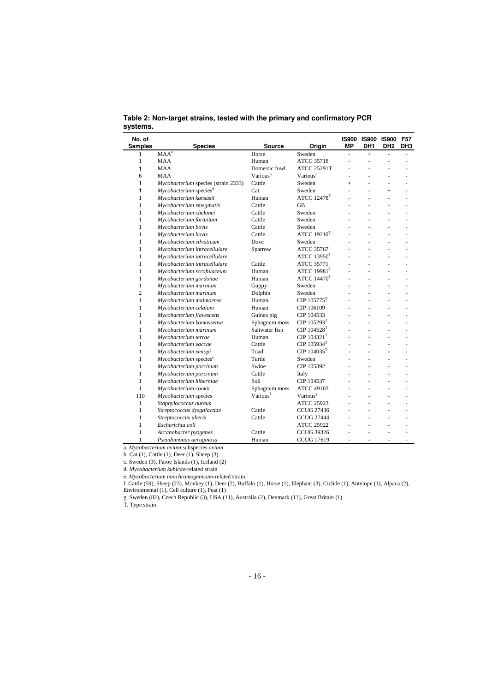| No. of<br><b>Samples</b> | <b>Species</b>                      | Source               | Origin                    | <b>MP</b>      | IS900 IS900 IS900<br>DH <sub>1</sub> | DH <sub>2</sub> | <b>F57</b><br>DH <sub>3</sub> |
|--------------------------|-------------------------------------|----------------------|---------------------------|----------------|--------------------------------------|-----------------|-------------------------------|
| 1                        | MAA <sup>a</sup>                    | Horse                | Sweden                    | $\overline{a}$ | $\ddot{}$                            | $\overline{a}$  | ÷,                            |
| $\mathbf{1}$             | <b>MAA</b>                          | Human                | <b>ATCC 35718</b>         |                | $\overline{a}$                       |                 |                               |
| 1                        | <b>MAA</b>                          | Domestic fowl        | <b>ATCC 25291T</b>        |                |                                      |                 |                               |
| 6                        | <b>MAA</b>                          | Various <sup>b</sup> | Various <sup>c</sup>      |                |                                      |                 |                               |
| 1                        | Mycobacterium species (strain 2333) | Cattle               | Sweden                    | $^{+}$         |                                      |                 |                               |
| $\mathbf{1}$             | Mycobacterium species <sup>d</sup>  | Cat                  | Sweden                    |                |                                      | $\ddot{}$       |                               |
| $\mathbf{1}$             | Mycobacterium kansasii              | Human                | ATCC $12478$ <sup>T</sup> |                |                                      |                 |                               |
| $\mathbf{1}$             | Mycobacterium smegmatis             | Cattle               | <b>GB</b>                 |                |                                      |                 |                               |
| $\mathbf{1}$             | Mycobacterium chelonei              | Cattle               | Sweden                    |                |                                      |                 |                               |
| $\mathbf{1}$             | Mycobacterium fortuitum             | Cattle               | Sweden                    |                |                                      |                 |                               |
| $\mathbf{1}$             | Mycobacterium bovis                 | Cattle               | Sweden                    |                |                                      |                 |                               |
| $\mathbf{1}$             | Mycobacterium bovis                 | Cattle               | ATCC $19210T$             |                |                                      |                 |                               |
| $\mathbf{1}$             | Mycobacterium silvaticum            | Dove                 | Sweden                    |                |                                      |                 |                               |
| $\mathbf{1}$             | Mycobacterium intracellulare        | Sparrow              | <b>ATCC 35767</b>         |                |                                      |                 |                               |
| $\mathbf{1}$             | Mycobacterium intracellulare        |                      | ATCC $13950$ <sup>T</sup> |                |                                      |                 |                               |
| $\mathbf{1}$             | Mycobacterium intracellulare        | Cattle               | <b>ATCC 35771</b>         |                |                                      |                 |                               |
| $\mathbf{1}$             | Mycobacterium scrofulaceum          | Human                | ATCC $19981$ <sup>T</sup> |                |                                      |                 |                               |
| 1                        | Mycobacterium gordonae              | Human                | ATCC $14470$ <sup>T</sup> |                |                                      |                 |                               |
| $\mathbf{1}$             | Mycobacterium marinum               | Guppy                | Sweden                    |                |                                      |                 |                               |
| $\overline{c}$           | Mycobacterium marinum               | Dolphin              | Sweden                    |                |                                      |                 |                               |
| $\mathbf{1}$             | Mycobacterium malmoense             | Human                | CIP $105775$ <sup>T</sup> |                |                                      |                 |                               |
| $\mathbf{1}$             | Mycobacterium celatum               | Human                | CIP 106109                |                |                                      |                 |                               |
| $\mathbf{1}$             | Mycobacterium flavescens            | Guinea pig           | CIP 104533                |                |                                      |                 |                               |
| $\mathbf{1}$             | Mycobacterium komossense            | Sphagnum moss        | $CIP$ 105293 $T$          |                |                                      |                 |                               |
| $\mathbf{1}$             | Mycobacterium marinum               | Saltwater fish       | CIP 104528 <sup>T</sup>   |                |                                      |                 |                               |
| $\mathbf{1}$             | Mycobacterium terrae                | Human                | CIP 104321 <sup>T</sup>   |                |                                      |                 |                               |
| $\mathbf{1}$             | Mycobacterium vaccae                | Cattle               | CIP 105934T               |                |                                      |                 |                               |
| $\mathbf{1}$             | Mycobacterium xenopi                | Toad                 | CIP 104035 <sup>T</sup>   |                |                                      |                 |                               |
| $\mathbf{1}$             | Mycobacterium species <sup>e</sup>  | Turtle               | Sweden                    |                |                                      |                 |                               |
| $\mathbf{1}$             | Mycobacterium porcinum              | Swine                | CIP 105392                |                |                                      |                 |                               |
| $\mathbf{1}$             | Mycobacterium porcinum              | Cattle               | Italy                     |                |                                      |                 | $\overline{\phantom{a}}$      |
| 1                        | Mycobacterium hiberniae             | Soil                 | CIP 104537                |                |                                      |                 |                               |
| $\mathbf{1}$             | Mycobacterium cookii                | Sphagnum moss        | <b>ATCC 49103</b>         |                |                                      |                 |                               |
| 110                      | Mycobacterium species               | Various <sup>f</sup> | Various <sup>g</sup>      |                |                                      |                 |                               |
| 1                        | Staphylococcus aureus               |                      | <b>ATCC 25923</b>         |                |                                      |                 |                               |
| $\mathbf{1}$             | Streptococcus dysgalactiae          | Cattle               | <b>CCUG 27436</b>         |                |                                      |                 |                               |
| 1                        | Streptococcus uberis                | Cattle               | <b>CCUG 27444</b>         |                |                                      |                 |                               |
| $\mathbf{1}$             | Escherichia coli                    |                      | ATCC 25922                |                |                                      |                 |                               |
| $\mathbf{1}$             | Arcanobacter pyogenes               | Cattle               | <b>CCUG 39326</b>         |                |                                      |                 |                               |
| $\mathbf{1}$             | Pseudomonas aeruginosa              | Human                | <b>CCUG 17619</b>         |                | Ξ                                    | ٠               |                               |
|                          |                                     |                      |                           |                |                                      |                 |                               |

**Table 2: Non-target strains, tested with the primary and confirmatory PCR systems.** 

a. *Mycobacterium avium* subspecies *avium*

b. Cat (1), Cattle (1), Deer (1), Sheep (3)

c. Sweden (3), Faroe Islands (1), Iceland (2)

d. *Mycobacterium kubicae-*related strain

e. *Mycobacterium nonchromogenicum*-related strain

f. Cattle (59), Sheep (23), Monkey (1), Deer (2), Buffalo (1), Horse (1), Elephant (3), Ciclide (1), Antelope (1), Alpaca (2), Environmental (1), Cell culture (1), Peat (1)

g. Sweden (82), Czech Republic (3), USA (11), Australia (2), Denmark (11), Great Britain (1)

T. Type strain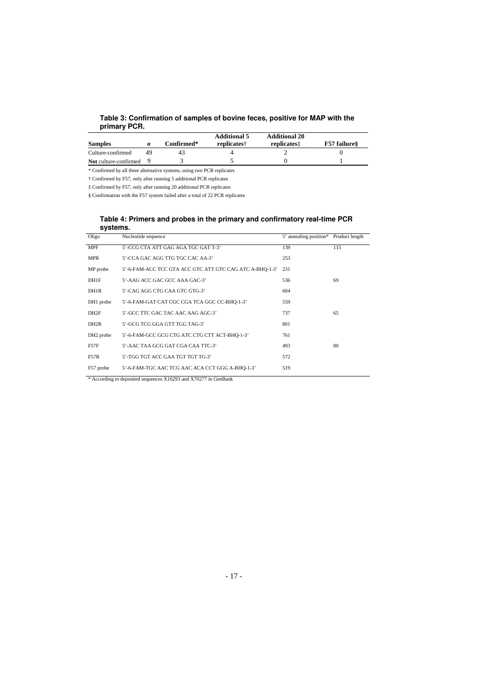| Table 3: Confirmation of samples of bovine feces, positive for MAP with the |  |
|-----------------------------------------------------------------------------|--|
| primary PCR.                                                                |  |

|                         |    |            | <b>Additional 5</b> | <b>Additional 20</b> |                     |
|-------------------------|----|------------|---------------------|----------------------|---------------------|
| <b>Samples</b>          | n  | Confirmed* | replicates†         | replicates:          | <b>F57 failures</b> |
| Culture-confirmed       | 49 |            |                     |                      |                     |
| Not culture-confirmed 9 |    |            |                     |                      |                     |

\* Confirmed by all three alternative systems, using two PCR replicates

† Confirmed by F57, only after running 5 additional PCR replicates

‡ Confirmed by F57, only after running 20 additional PCR replicates

§ Confirmation with the F57 system failed after a total of 22 PCR replicates

| Table 4: Primers and probes in the primary and confirmatory real-time PCR |  |
|---------------------------------------------------------------------------|--|
| systems.                                                                  |  |

| Oligo                 | Nucleotide sequence                                                           | 5' annealing position* Product length |     |
|-----------------------|-------------------------------------------------------------------------------|---------------------------------------|-----|
| <b>MPF</b>            | 5'-CCG CTA ATT GAG AGA TGC GAT T-3'                                           | 139                                   | 115 |
| <b>MPR</b>            | 5'-CCA GAC AGG TTG TGC CAC AA-3'                                              | 253                                   |     |
| MP probe              | 5'-6-FAM-ACC TCC GTA ACC GTC ATT GTC CAG ATC A-BHQ-1-3'                       | 231                                   |     |
| DH1F                  | 5'-AAG ACC GAC GCC AAA GAC-3'                                                 | 536                                   | 69  |
| DH1R                  | 5'-CAG AGG CTG CAA GTC GTG-3'                                                 | 604                                   |     |
| DH1 probe             | 5'-6-FAM-GAT CAT CGC CGA TCA GGC CC-BHQ-1-3'                                  | 559                                   |     |
| DH <sub>2F</sub>      | 5'-GCC TTC GAC TAC AAC AAG AGC-3'                                             | 737                                   | 65  |
| DH <sub>2</sub> R     | 5'-GCG TCG GGA GTT TGG TAG-3'                                                 | 801                                   |     |
| DH <sub>2</sub> probe | 5'-6-FAM-GCC GCG CTG ATC CTG CTT ACT-BHQ-1-3'                                 | 761                                   |     |
| F57F                  | 5'-AAC TAA GCG GAT CGA CAA TTC-3'                                             | 493                                   | 80  |
| F57R                  | 5'-TGG TGT ACC GAA TGT TGT TG-3'                                              | 572                                   |     |
| F57 probe             | 5'-6-FAM-TGC AAC TCG AAC ACA CCT GGG A-BHQ-1-3'                               | 519                                   |     |
|                       | $*$ According to depended converges $V16202$ and $V70277$ in $C_{22}D_{22}$ . |                                       |     |

 $^\ast$  According to deposited sequences X16293 and X70277 in GenBank